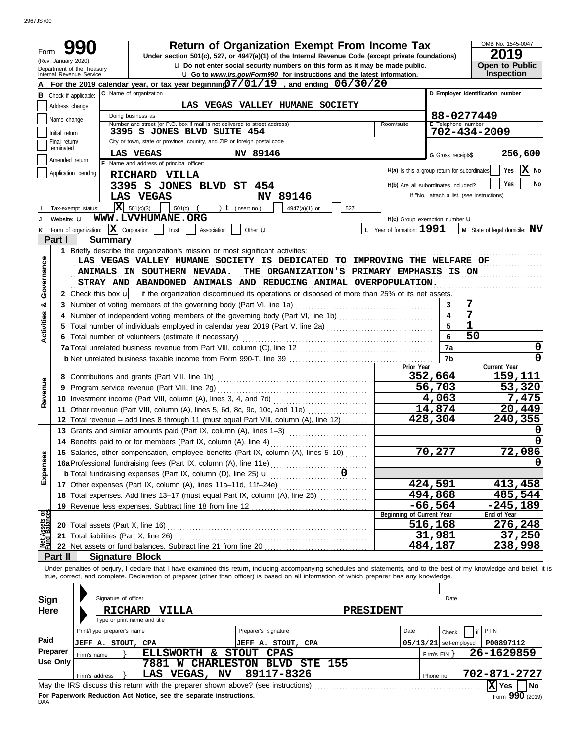| Form                                                                          |                                                                                                                                                                       | <b>Return of Organization Exempt From Income Tax</b>                                                                                                                                                                                                                                                                     |                                           |                  |                                              |                              | OMB No. 1545-0047                          |
|-------------------------------------------------------------------------------|-----------------------------------------------------------------------------------------------------------------------------------------------------------------------|--------------------------------------------------------------------------------------------------------------------------------------------------------------------------------------------------------------------------------------------------------------------------------------------------------------------------|-------------------------------------------|------------------|----------------------------------------------|------------------------------|--------------------------------------------|
| (Rev. January 2020)<br>Department of the Treasury<br>Internal Revenue Service |                                                                                                                                                                       | Under section 501(c), 527, or 4947(a)(1) of the Internal Revenue Code (except private foundations)<br>u Do not enter social security numbers on this form as it may be made public.<br><b>u</b> Go to www.irs.gov/Form990 for instructions and the latest information.                                                   |                                           |                  |                                              |                              | 2019<br>Open to Public<br>Inspection       |
|                                                                               |                                                                                                                                                                       | For the 2019 calendar year, or tax year beginning $07/01/19$ , and ending $06/30/20$                                                                                                                                                                                                                                     |                                           |                  |                                              |                              |                                            |
| <b>B</b> Check if applicable:                                                 | C Name of organization                                                                                                                                                |                                                                                                                                                                                                                                                                                                                          |                                           |                  |                                              |                              | D Employer identification number           |
| Address change                                                                |                                                                                                                                                                       | LAS VEGAS VALLEY HUMANE SOCIETY                                                                                                                                                                                                                                                                                          |                                           |                  |                                              |                              |                                            |
| Name change                                                                   | Doing business as                                                                                                                                                     |                                                                                                                                                                                                                                                                                                                          |                                           |                  |                                              |                              | 88-0277449                                 |
| Initial return                                                                |                                                                                                                                                                       | Number and street (or P.O. box if mail is not delivered to street address)<br>3395 S JONES BLVD SUITE 454                                                                                                                                                                                                                |                                           |                  | Room/suite                                   | E Telephone number           | 702-434-2009                               |
| Final return/                                                                 |                                                                                                                                                                       | City or town, state or province, country, and ZIP or foreign postal code                                                                                                                                                                                                                                                 |                                           |                  |                                              |                              |                                            |
| terminated                                                                    | LAS VEGAS                                                                                                                                                             | NV 89146                                                                                                                                                                                                                                                                                                                 |                                           |                  |                                              | G Gross receipts\$           | 256,600                                    |
| Amended return                                                                | F Name and address of principal officer:                                                                                                                              |                                                                                                                                                                                                                                                                                                                          |                                           |                  |                                              |                              |                                            |
| Application pending                                                           | RICHARD VILLA                                                                                                                                                         |                                                                                                                                                                                                                                                                                                                          |                                           |                  | H(a) Is this a group return for subordinates |                              | $ \mathbf{X} $ No<br>Yes                   |
|                                                                               |                                                                                                                                                                       | 3395 S JONES BLVD ST 454                                                                                                                                                                                                                                                                                                 |                                           |                  | H(b) Are all subordinates included?          |                              | Yes<br>No                                  |
|                                                                               | LAS VEGAS                                                                                                                                                             |                                                                                                                                                                                                                                                                                                                          | NV 89146                                  |                  |                                              |                              | If "No," attach a list. (see instructions) |
| Tax-exempt status:                                                            | ೱ∣<br>501(c)(3)                                                                                                                                                       | $t$ (insert no.)<br>501(c)                                                                                                                                                                                                                                                                                               | 4947(a)(1) or                             | 527              |                                              |                              |                                            |
| Website: U                                                                    | WWW.LVVHUMANE.ORG                                                                                                                                                     |                                                                                                                                                                                                                                                                                                                          |                                           |                  | H(c) Group exemption number LI               |                              |                                            |
| K Form of organization:                                                       | $ \mathbf{X} $ Corporation<br>Trust                                                                                                                                   | Other $\mathbf u$<br>Association                                                                                                                                                                                                                                                                                         |                                           |                  | $L$ Year of formation: $1991$                |                              | M State of legal domicile: NV              |
| Part I                                                                        | <b>Summary</b>                                                                                                                                                        |                                                                                                                                                                                                                                                                                                                          |                                           |                  |                                              |                              |                                            |
|                                                                               |                                                                                                                                                                       | 1 Briefly describe the organization's mission or most significant activities:                                                                                                                                                                                                                                            |                                           |                  |                                              |                              |                                            |
| Governance                                                                    |                                                                                                                                                                       | LAS VEGAS VALLEY HUMANE SOCIETY IS DEDICATED TO IMPROVING THE WELFARE OF                                                                                                                                                                                                                                                 |                                           |                  |                                              |                              |                                            |
|                                                                               | ANIMALS IN SOUTHERN NEVADA.                                                                                                                                           |                                                                                                                                                                                                                                                                                                                          | THE ORGANIZATION'S PRIMARY EMPHASIS IS ON |                  |                                              |                              |                                            |
|                                                                               |                                                                                                                                                                       | STRAY AND ABANDONED ANIMALS AND REDUCING ANIMAL OVERPOPULATION.                                                                                                                                                                                                                                                          |                                           |                  |                                              |                              |                                            |
|                                                                               |                                                                                                                                                                       | 2 Check this box u   if the organization discontinued its operations or disposed of more than 25% of its net assets.                                                                                                                                                                                                     |                                           |                  |                                              |                              |                                            |
| න්                                                                            |                                                                                                                                                                       | 3 Number of voting members of the governing body (Part VI, line 1a)                                                                                                                                                                                                                                                      |                                           |                  |                                              | 3<br>$\overline{\mathbf{4}}$ | 7<br>7                                     |
|                                                                               |                                                                                                                                                                       | 4 Number of independent voting members of the governing body (Part VI, line 1b)                                                                                                                                                                                                                                          |                                           |                  |                                              | 5                            | $\mathbf{1}$                               |
| <b>Activities</b>                                                             | 5 Total number of individuals employed in calendar year 2019 (Part V, line 2a) [[[[[[[[[[[[[[[[[[[[[[[[[[[[[[<br>6 Total number of volunteers (estimate if necessary) |                                                                                                                                                                                                                                                                                                                          |                                           |                  |                                              |                              | 50                                         |
|                                                                               |                                                                                                                                                                       |                                                                                                                                                                                                                                                                                                                          |                                           |                  |                                              | 6<br>7a                      | $\mathbf 0$                                |
|                                                                               |                                                                                                                                                                       |                                                                                                                                                                                                                                                                                                                          |                                           |                  |                                              | 7b                           | $\mathbf 0$                                |
|                                                                               |                                                                                                                                                                       |                                                                                                                                                                                                                                                                                                                          |                                           |                  | Prior Year                                   |                              | Current Year                               |
|                                                                               |                                                                                                                                                                       |                                                                                                                                                                                                                                                                                                                          |                                           |                  |                                              | 352,664                      | 159,111                                    |
| Revenue                                                                       | 9 Program service revenue (Part VIII, line 2g)                                                                                                                        |                                                                                                                                                                                                                                                                                                                          |                                           |                  |                                              | 56,703                       | 53,320                                     |
|                                                                               |                                                                                                                                                                       |                                                                                                                                                                                                                                                                                                                          |                                           |                  |                                              | 4,063                        | 7,475                                      |
|                                                                               |                                                                                                                                                                       | 11 Other revenue (Part VIII, column (A), lines 5, 6d, 8c, 9c, 10c, and 11e)                                                                                                                                                                                                                                              |                                           |                  |                                              | 14,874                       | 20,449                                     |
|                                                                               |                                                                                                                                                                       | 12 Total revenue – add lines 8 through 11 (must equal Part VIII, column (A), line 12)                                                                                                                                                                                                                                    |                                           |                  |                                              | 428,304                      | 240,355                                    |
|                                                                               |                                                                                                                                                                       | 13 Grants and similar amounts paid (Part IX, column (A), lines 1-3)                                                                                                                                                                                                                                                      |                                           |                  |                                              |                              | 0                                          |
|                                                                               |                                                                                                                                                                       | 14 Benefits paid to or for members (Part IX, column (A), line 4)                                                                                                                                                                                                                                                         |                                           |                  |                                              |                              | $\overline{0}$                             |
|                                                                               |                                                                                                                                                                       | 15 Salaries, other compensation, employee benefits (Part IX, column (A), lines 5-10)                                                                                                                                                                                                                                     |                                           |                  |                                              | 70,277                       | 72,086                                     |
| Expenses                                                                      |                                                                                                                                                                       | 15 Salaries, other components.<br>16a Professional fundraising fees (Part IX, column (A), line 11e)<br><b>h</b> Total fundraising expenses (Part IX, column (D), line 25) <b>u</b>                                                                                                                                       |                                           |                  |                                              |                              |                                            |
|                                                                               |                                                                                                                                                                       |                                                                                                                                                                                                                                                                                                                          |                                           |                  |                                              | 424,591                      |                                            |
|                                                                               |                                                                                                                                                                       | 17 Other expenses (Part IX, column (A), lines 11a-11d, 11f-24e)<br>18 Total expenses. Add lines 13-17 (must equal Part IX, column (A), line 25) [                                                                                                                                                                        |                                           |                  |                                              | 494,868                      | 413,458<br>485,544                         |
|                                                                               |                                                                                                                                                                       |                                                                                                                                                                                                                                                                                                                          |                                           |                  |                                              | $-66,564$                    | $-245,189$                                 |
|                                                                               |                                                                                                                                                                       |                                                                                                                                                                                                                                                                                                                          |                                           |                  | Beginning of Current Year                    |                              | End of Year                                |
| Assets or                                                                     | 20 Total assets (Part X, line 16)                                                                                                                                     |                                                                                                                                                                                                                                                                                                                          |                                           |                  |                                              | 516,168                      | 276,248                                    |
|                                                                               | 21 Total liabilities (Part X, line 26)                                                                                                                                |                                                                                                                                                                                                                                                                                                                          |                                           |                  |                                              | 31,981                       | 37,250                                     |
|                                                                               |                                                                                                                                                                       |                                                                                                                                                                                                                                                                                                                          |                                           |                  |                                              | 484,187                      | 238,998                                    |
| Part II                                                                       | <b>Signature Block</b>                                                                                                                                                |                                                                                                                                                                                                                                                                                                                          |                                           |                  |                                              |                              |                                            |
|                                                                               |                                                                                                                                                                       | Under penalties of perjury, I declare that I have examined this return, including accompanying schedules and statements, and to the best of my knowledge and belief, it is<br>true, correct, and complete. Declaration of preparer (other than officer) is based on all information of which preparer has any knowledge. |                                           |                  |                                              |                              |                                            |
| <b>Sign</b>                                                                   | Signature of officer                                                                                                                                                  |                                                                                                                                                                                                                                                                                                                          |                                           |                  |                                              | Date                         |                                            |
| Here                                                                          | <b>RICHARD</b>                                                                                                                                                        | <b>VILLA</b>                                                                                                                                                                                                                                                                                                             |                                           | <b>PRESIDENT</b> |                                              |                              |                                            |
|                                                                               | Type or print name and title                                                                                                                                          |                                                                                                                                                                                                                                                                                                                          |                                           |                  |                                              |                              |                                            |
|                                                                               | Print/Type preparer's name                                                                                                                                            | Preparer's signature                                                                                                                                                                                                                                                                                                     |                                           |                  | Date                                         | Check                        | <b>PTIN</b><br>if                          |
| Paid                                                                          | <b>JEFF A. STOUT, CPA</b>                                                                                                                                             |                                                                                                                                                                                                                                                                                                                          | <b>JEFF A. STOUT, CPA</b>                 |                  |                                              | $05/13/21$ self-employed     | P00897112                                  |
| Preparer<br>Firm's name                                                       |                                                                                                                                                                       | ELLSWORTH & STOUT CPAS                                                                                                                                                                                                                                                                                                   |                                           |                  |                                              | Firm's $EIN$ }               | 26-1629859                                 |
| <b>Use Only</b>                                                               |                                                                                                                                                                       | 7881 W CHARLESTON BLVD STE 155                                                                                                                                                                                                                                                                                           |                                           |                  |                                              |                              |                                            |
| Firm's address                                                                |                                                                                                                                                                       | LAS VEGAS, NV                                                                                                                                                                                                                                                                                                            | 89117-8326                                |                  |                                              | Phone no.                    | 702-871-2727                               |
|                                                                               |                                                                                                                                                                       | May the IRS discuss this return with the preparer shown above? (see instructions)                                                                                                                                                                                                                                        |                                           |                  |                                              |                              | $\overline{X}$ Yes<br><b>No</b>            |

| Paid                                                                                                      |                |  | JEFF A. STOUT, CPA |                                | JEFF A. STOUT, CPA |  |  | $\vert$ 05/13/21 self-employed $\vert$ |  | P00897112    |  |
|-----------------------------------------------------------------------------------------------------------|----------------|--|--------------------|--------------------------------|--------------------|--|--|----------------------------------------|--|--------------|--|
| Preparer                                                                                                  | Firm's name    |  |                    | ELLSWORTH & STOUT CPAS         |                    |  |  | Firm's $EIN$                           |  | 26-1629859   |  |
| Use Only                                                                                                  |                |  |                    | 7881 W CHARLESTON BLVD STE 155 |                    |  |  |                                        |  |              |  |
|                                                                                                           | Firm's address |  |                    | LAS VEGAS, NV 89117-8326       |                    |  |  | Phone no.                              |  | 702-871-2727 |  |
| <b>No</b><br>May the IRS discuss this return with the preparer shown above? (see instructions)<br> X  Yes |                |  |                    |                                |                    |  |  |                                        |  |              |  |
| Form 990 (2019)<br>For Paperwork Reduction Act Notice, see the separate instructions.<br>DAA              |                |  |                    |                                |                    |  |  |                                        |  |              |  |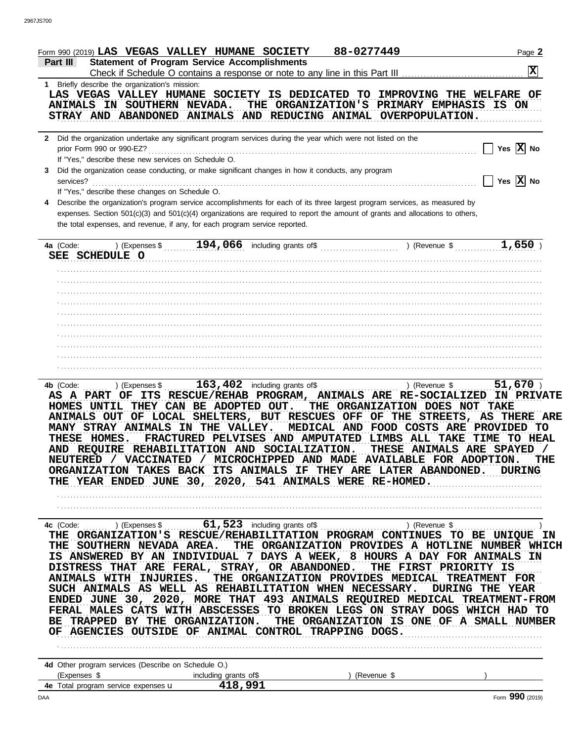| 88-0277449<br>Form 990 (2019) LAS VEGAS VALLEY HUMANE SOCIETY                                                                                                                                                                                                                                                                                                                                                                                                                                                                                                                                                                                                                                                                                                                            | Page 2                                         |
|------------------------------------------------------------------------------------------------------------------------------------------------------------------------------------------------------------------------------------------------------------------------------------------------------------------------------------------------------------------------------------------------------------------------------------------------------------------------------------------------------------------------------------------------------------------------------------------------------------------------------------------------------------------------------------------------------------------------------------------------------------------------------------------|------------------------------------------------|
| <b>Statement of Program Service Accomplishments</b><br>Part III                                                                                                                                                                                                                                                                                                                                                                                                                                                                                                                                                                                                                                                                                                                          |                                                |
|                                                                                                                                                                                                                                                                                                                                                                                                                                                                                                                                                                                                                                                                                                                                                                                          | $\mathbf{x}$                                   |
| 1 Briefly describe the organization's mission:<br>LAS VEGAS VALLEY HUMANE SOCIETY IS DEDICATED TO IMPROVING THE WELFARE OF<br>ANIMALS IN SOUTHERN NEVADA.<br>THE ORGANIZATION'S PRIMARY EMPHASIS IS ON<br>STRAY AND ABANDONED ANIMALS AND REDUCING ANIMAL OVERPOPULATION.                                                                                                                                                                                                                                                                                                                                                                                                                                                                                                                |                                                |
| 2 Did the organization undertake any significant program services during the year which were not listed on the<br>If "Yes," describe these new services on Schedule O.<br>Did the organization cease conducting, or make significant changes in how it conducts, any program<br>3<br>If "Yes," describe these changes on Schedule O.<br>Describe the organization's program service accomplishments for each of its three largest program services, as measured by<br>expenses. Section 501(c)(3) and 501(c)(4) organizations are required to report the amount of grants and allocations to others,<br>the total expenses, and revenue, if any, for each program service reported.                                                                                                      | Yes $\overline{X}$ No<br>Yes $\overline{X}$ No |
| ) (Expenses $\frac{194,066}{194}$ including grants of $\frac{100,000}{1000}$<br>) (Revenue \$<br>4a (Code:<br>SEE SCHEDULE O                                                                                                                                                                                                                                                                                                                                                                                                                                                                                                                                                                                                                                                             | 1,650                                          |
|                                                                                                                                                                                                                                                                                                                                                                                                                                                                                                                                                                                                                                                                                                                                                                                          |                                                |
| $163, 402$ including grants of\$<br>)(Expenses \$<br>) (Revenue \$<br>4b (Code: $\ldots$<br>AS A PART OF ITS RESCUE/REHAB PROGRAM, ANIMALS ARE RE-SOCIALIZED IN PRIVATE<br>HOMES UNTIL THEY CAN BE ADOPTED OUT.<br>THE ORGANIZATION DOES NOT TAKE<br>ANIMALS OUT OF LOCAL SHELTERS, BUT RESCUES OFF OF THE STREETS, AS THERE ARE<br>MANY STRAY ANIMALS IN THE VALLEY.<br>MEDICAL AND FOOD COSTS ARE PROVIDED TO<br>FRACTURED PELVISES AND AMPUTATED LIMBS ALL TAKE TIME TO HEAL<br>THESE HOMES.<br>AND REQUIRE REHABILITATION AND SOCIALIZATION. THESE ANIMALS ARE SPAYED /<br>NEUTERED / VACCINATED / MICROCHIPPED AND MADE AVAILABLE FOR ADOPTION. THE<br>ORGANIZATION TAKES BACK ITS ANIMALS IF THEY ARE LATER ABANDONED.<br>THE YEAR ENDED JUNE 30, 2020, 541 ANIMALS WERE RE-HOMED. | $51,670$ )<br><b>DURING</b>                    |
| THE ORGANIZATION'S RESCUE/REHABILITATION PROGRAM CONTINUES TO BE UNIQUE IN<br>THE SOUTHERN NEVADA AREA. THE ORGANIZATION PROVIDES A HOTLINE NUMBER WHICH<br>IS ANSWERED BY AN INDIVIDUAL 7 DAYS A WEEK, 8 HOURS A DAY FOR ANIMALS IN<br>DISTRESS THAT ARE FERAL, STRAY, OR ABANDONED. THE FIRST PRIORITY IS<br>ANIMALS WITH INJURIES. THE ORGANIZATION PROVIDES MEDICAL TREATMENT FOR<br>SUCH ANIMALS AS WELL AS REHABILITATION WHEN NECESSARY. DURING THE YEAR<br>ENDED JUNE 30, 2020, MORE THAT 493 ANIMALS REQUIRED MEDICAL TREATMENT-FROM<br>FERAL MALES CATS WITH ABSCESSES TO BROKEN LEGS ON STRAY DOGS WHICH HAD TO<br>BE TRAPPED BY THE ORGANIZATION. THE ORGANIZATION IS ONE OF A SMALL NUMBER<br>OF AGENCIES OUTSIDE OF ANIMAL CONTROL TRAPPING DOGS.                          |                                                |

|                                                   | 4d Other program services (Describe on Schedule O.) |             |       |  |  |  |
|---------------------------------------------------|-----------------------------------------------------|-------------|-------|--|--|--|
| (Expenses                                         | including grants of \$                              | (Revenue \$ |       |  |  |  |
| <b>4e</b> Total program service expenses <b>u</b> | 418,991                                             |             |       |  |  |  |
|                                                   |                                                     |             | - - - |  |  |  |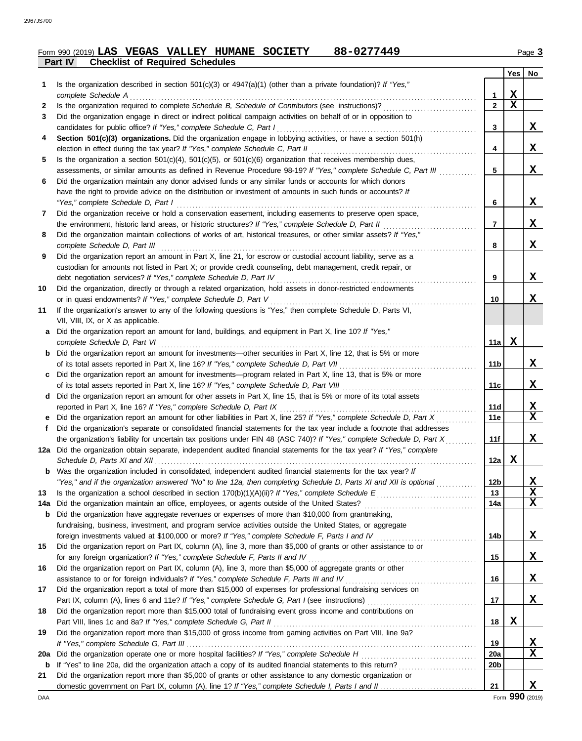|         |  |                                        | Form 990 (2019) LAS VEGAS VALLEY HUMANE SOCIETY | 88-0277449 | Page 3 |
|---------|--|----------------------------------------|-------------------------------------------------|------------|--------|
| Part IV |  | <b>Checklist of Required Schedules</b> |                                                 |            |        |

|     |                                                                                                                                                                                          |                 | Yes         | No          |
|-----|------------------------------------------------------------------------------------------------------------------------------------------------------------------------------------------|-----------------|-------------|-------------|
|     | Is the organization described in section 501(c)(3) or $4947(a)(1)$ (other than a private foundation)? If "Yes,"                                                                          |                 |             |             |
|     | complete Schedule A                                                                                                                                                                      | 1               | X           |             |
| 2   |                                                                                                                                                                                          | $\overline{2}$  | $\mathbf X$ |             |
| 3   | Did the organization engage in direct or indirect political campaign activities on behalf of or in opposition to                                                                         |                 |             |             |
|     | candidates for public office? If "Yes," complete Schedule C, Part I                                                                                                                      | 3               |             | X           |
| 4   | Section 501(c)(3) organizations. Did the organization engage in lobbying activities, or have a section 501(h)                                                                            |                 |             |             |
|     |                                                                                                                                                                                          | 4               |             | X           |
| 5   | Is the organization a section $501(c)(4)$ , $501(c)(5)$ , or $501(c)(6)$ organization that receives membership dues,                                                                     |                 |             |             |
|     | assessments, or similar amounts as defined in Revenue Procedure 98-19? If "Yes," complete Schedule C, Part III                                                                           | 5               |             | X           |
| 6   | Did the organization maintain any donor advised funds or any similar funds or accounts for which donors                                                                                  |                 |             |             |
|     | have the right to provide advice on the distribution or investment of amounts in such funds or accounts? If                                                                              |                 |             |             |
|     | "Yes," complete Schedule D, Part I                                                                                                                                                       | 6               |             | X           |
| 7   | Did the organization receive or hold a conservation easement, including easements to preserve open space,                                                                                |                 |             |             |
|     | the environment, historic land areas, or historic structures? If "Yes," complete Schedule D, Part II                                                                                     | $\overline{7}$  |             | X           |
| 8   | Did the organization maintain collections of works of art, historical treasures, or other similar assets? If "Yes,"                                                                      |                 |             |             |
|     | complete Schedule D, Part III                                                                                                                                                            | 8               |             | X           |
| 9   | Did the organization report an amount in Part X, line 21, for escrow or custodial account liability, serve as a                                                                          |                 |             |             |
|     | custodian for amounts not listed in Part X; or provide credit counseling, debt management, credit repair, or                                                                             |                 |             |             |
|     | debt negotiation services? If "Yes," complete Schedule D, Part IV                                                                                                                        | 9               |             | X           |
| 10  | Did the organization, directly or through a related organization, hold assets in donor-restricted endowments                                                                             |                 |             |             |
|     | or in quasi endowments? If "Yes," complete Schedule D, Part V                                                                                                                            | 10              |             | X           |
| 11  | If the organization's answer to any of the following questions is "Yes," then complete Schedule D, Parts VI,                                                                             |                 |             |             |
|     | VII, VIII, IX, or X as applicable.                                                                                                                                                       |                 |             |             |
| a   | Did the organization report an amount for land, buildings, and equipment in Part X, line 10? If "Yes,"                                                                                   |                 |             |             |
|     | complete Schedule D, Part VI                                                                                                                                                             | 11a             | X           |             |
| b   | Did the organization report an amount for investments—other securities in Part X, line 12, that is 5% or more                                                                            |                 |             |             |
|     |                                                                                                                                                                                          | 11b             |             | X           |
| c   | Did the organization report an amount for investments—program related in Part X, line 13, that is 5% or more                                                                             |                 |             |             |
|     |                                                                                                                                                                                          | 11c             |             | X           |
| d   | Did the organization report an amount for other assets in Part X, line 15, that is 5% or more of its total assets<br>reported in Part X, line 16? If "Yes," complete Schedule D, Part IX | 11d             |             | <u>x</u>    |
|     | Did the organization report an amount for other liabilities in Part X, line 25? If "Yes," complete Schedule D, Part X                                                                    | 11e             |             | $\mathbf x$ |
| Ť.  | Did the organization's separate or consolidated financial statements for the tax year include a footnote that addresses                                                                  |                 |             |             |
|     | the organization's liability for uncertain tax positions under FIN 48 (ASC 740)? If "Yes," complete Schedule D, Part X                                                                   | 11f             |             | X           |
|     | 12a Did the organization obtain separate, independent audited financial statements for the tax year? If "Yes," complete                                                                  |                 |             |             |
|     |                                                                                                                                                                                          | 12a             | X           |             |
|     | Was the organization included in consolidated, independent audited financial statements for the tax year? If                                                                             |                 |             |             |
|     | "Yes," and if the organization answered "No" to line 12a, then completing Schedule D, Parts XI and XII is optional                                                                       | 12 <sub>b</sub> |             | X           |
| 13  |                                                                                                                                                                                          | 13              |             | X           |
| 14a | Did the organization maintain an office, employees, or agents outside of the United States?                                                                                              | 14a             |             | $\mathbf x$ |
| b   | Did the organization have aggregate revenues or expenses of more than \$10,000 from grantmaking,                                                                                         |                 |             |             |
|     | fundraising, business, investment, and program service activities outside the United States, or aggregate                                                                                |                 |             |             |
|     |                                                                                                                                                                                          | 14b             |             | X           |
| 15  | Did the organization report on Part IX, column (A), line 3, more than \$5,000 of grants or other assistance to or                                                                        |                 |             |             |
|     | for any foreign organization? If "Yes," complete Schedule F, Parts II and IV                                                                                                             | 15              |             | X           |
| 16  | Did the organization report on Part IX, column (A), line 3, more than \$5,000 of aggregate grants or other                                                                               |                 |             |             |
|     |                                                                                                                                                                                          | 16              |             | X           |
| 17  | Did the organization report a total of more than \$15,000 of expenses for professional fundraising services on                                                                           |                 |             |             |
|     |                                                                                                                                                                                          | 17              |             | X           |
| 18  | Did the organization report more than \$15,000 total of fundraising event gross income and contributions on                                                                              |                 |             |             |
|     | Part VIII, lines 1c and 8a? If "Yes," complete Schedule G, Part II                                                                                                                       | 18              | X           |             |
| 19  | Did the organization report more than \$15,000 of gross income from gaming activities on Part VIII, line 9a?                                                                             |                 |             |             |
|     |                                                                                                                                                                                          | 19              |             | X           |
| 20a | Did the organization operate one or more hospital facilities? If "Yes," complete Schedule H                                                                                              | <b>20a</b>      |             | X           |
| b   |                                                                                                                                                                                          | 20 <sub>b</sub> |             |             |
| 21  | Did the organization report more than \$5,000 of grants or other assistance to any domestic organization or                                                                              |                 |             |             |
|     |                                                                                                                                                                                          | 21              |             | X           |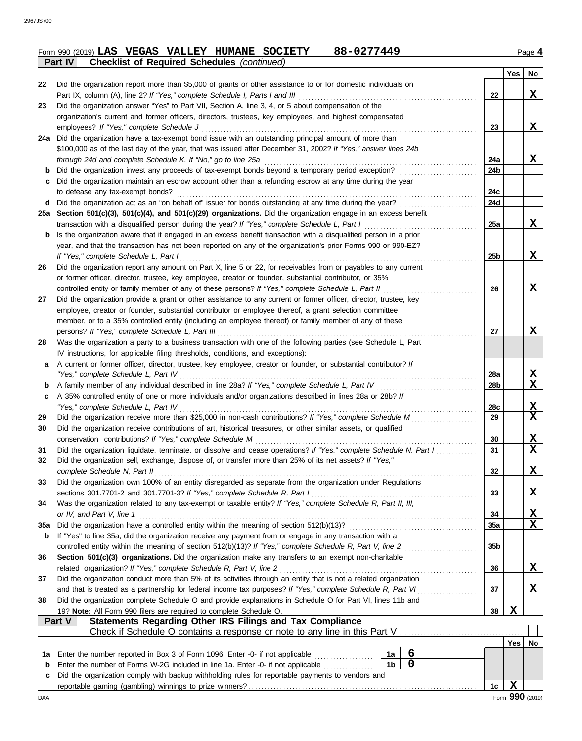|  |                                                            | Form 990 (2019) LAS VEGAS VALLEY HUMANE SOCIETY | 88-0277449 | Page 4 |
|--|------------------------------------------------------------|-------------------------------------------------|------------|--------|
|  | <b>Part IV</b> Checklist of Required Schedules (continued) |                                                 |            |        |

|     |                                                                                                                                               |                 | Yes | No          |
|-----|-----------------------------------------------------------------------------------------------------------------------------------------------|-----------------|-----|-------------|
| 22  | Did the organization report more than \$5,000 of grants or other assistance to or for domestic individuals on                                 |                 |     |             |
|     |                                                                                                                                               | 22              |     | X           |
| 23  | Did the organization answer "Yes" to Part VII, Section A, line 3, 4, or 5 about compensation of the                                           |                 |     |             |
|     | organization's current and former officers, directors, trustees, key employees, and highest compensated                                       |                 |     |             |
|     | employees? If "Yes," complete Schedule J                                                                                                      | 23              |     | X           |
|     | 24a Did the organization have a tax-exempt bond issue with an outstanding principal amount of more than                                       |                 |     |             |
|     | \$100,000 as of the last day of the year, that was issued after December 31, 2002? If "Yes," answer lines 24b                                 |                 |     |             |
|     | through 24d and complete Schedule K. If "No," go to line 25a                                                                                  | 24a             |     | X.          |
| b   | Did the organization invest any proceeds of tax-exempt bonds beyond a temporary period exception?                                             | 24b             |     |             |
| c   | Did the organization maintain an escrow account other than a refunding escrow at any time during the year                                     |                 |     |             |
|     | to defease any tax-exempt bonds?<br>d Did the organization act as an "on behalf of" issuer for bonds outstanding at any time during the year? | 24c<br>24d      |     |             |
|     | 25a Section 501(c)(3), 501(c)(4), and 501(c)(29) organizations. Did the organization engage in an excess benefit                              |                 |     |             |
|     | transaction with a disqualified person during the year? If "Yes," complete Schedule L, Part I                                                 | 25a             |     | X.          |
| b   | Is the organization aware that it engaged in an excess benefit transaction with a disqualified person in a prior                              |                 |     |             |
|     | year, and that the transaction has not been reported on any of the organization's prior Forms 990 or 990-EZ?                                  |                 |     |             |
|     | If "Yes," complete Schedule L, Part I                                                                                                         | 25b             |     | X           |
| 26  | Did the organization report any amount on Part X, line 5 or 22, for receivables from or payables to any current                               |                 |     |             |
|     | or former officer, director, trustee, key employee, creator or founder, substantial contributor, or 35%                                       |                 |     |             |
|     | controlled entity or family member of any of these persons? If "Yes," complete Schedule L, Part II                                            | 26              |     | X           |
| 27  | Did the organization provide a grant or other assistance to any current or former officer, director, trustee, key                             |                 |     |             |
|     | employee, creator or founder, substantial contributor or employee thereof, a grant selection committee                                        |                 |     |             |
|     | member, or to a 35% controlled entity (including an employee thereof) or family member of any of these                                        |                 |     |             |
|     | persons? If "Yes," complete Schedule L, Part III                                                                                              | 27              |     | X           |
| 28  | Was the organization a party to a business transaction with one of the following parties (see Schedule L, Part                                |                 |     |             |
|     | IV instructions, for applicable filing thresholds, conditions, and exceptions):                                                               |                 |     |             |
| a   | A current or former officer, director, trustee, key employee, creator or founder, or substantial contributor? If                              |                 |     |             |
|     | "Yes," complete Schedule L, Part IV                                                                                                           | <b>28a</b>      |     | x           |
| b   |                                                                                                                                               | 28b             |     | X           |
| c   | A 35% controlled entity of one or more individuals and/or organizations described in lines 28a or 28b? If                                     |                 |     |             |
| 29  | Did the organization receive more than \$25,000 in non-cash contributions? If "Yes," complete Schedule M                                      | 28c<br>29       |     | X<br>X      |
| 30  | Did the organization receive contributions of art, historical treasures, or other similar assets, or qualified                                |                 |     |             |
|     |                                                                                                                                               | 30              |     | X           |
| 31  | Did the organization liquidate, terminate, or dissolve and cease operations? If "Yes," complete Schedule N, Part I                            | 31              |     | $\mathbf x$ |
| 32  | Did the organization sell, exchange, dispose of, or transfer more than 25% of its net assets? If "Yes,"                                       |                 |     |             |
|     | complete Schedule N, Part II                                                                                                                  | 32              |     | Х           |
| 33  | Did the organization own 100% of an entity disregarded as separate from the organization under Regulations                                    |                 |     |             |
|     | sections 301.7701-2 and 301.7701-3? If "Yes," complete Schedule R, Part I                                                                     | 33              |     | X           |
| 34  | Was the organization related to any tax-exempt or taxable entity? If "Yes," complete Schedule R, Part II, III,                                |                 |     |             |
|     | or IV, and Part V, line 1                                                                                                                     | 34              |     | X           |
| 35a |                                                                                                                                               | 35a             |     | X           |
| b   | If "Yes" to line 35a, did the organization receive any payment from or engage in any transaction with a                                       |                 |     |             |
|     |                                                                                                                                               | 35 <sub>b</sub> |     |             |
| 36  | Section 501(c)(3) organizations. Did the organization make any transfers to an exempt non-charitable                                          |                 |     |             |
|     | related organization? If "Yes," complete Schedule R, Part V, line 2                                                                           | 36              |     | X           |
| 37  | Did the organization conduct more than 5% of its activities through an entity that is not a related organization                              | 37              |     | x           |
| 38  | Did the organization complete Schedule O and provide explanations in Schedule O for Part VI, lines 11b and                                    |                 |     |             |
|     | 19? Note: All Form 990 filers are required to complete Schedule O.                                                                            | 38              | X   |             |
|     | Statements Regarding Other IRS Filings and Tax Compliance<br>Part V                                                                           |                 |     |             |
|     |                                                                                                                                               |                 |     |             |
|     |                                                                                                                                               |                 | Yes | No          |
| 1a  | 6<br>Enter the number reported in Box 3 of Form 1096. Enter -0- if not applicable<br>1a                                                       |                 |     |             |
| b   | 1 <sub>b</sub><br>0<br>Enter the number of Forms W-2G included in line 1a. Enter -0- if not applicable                                        |                 |     |             |
| c   | Did the organization comply with backup withholding rules for reportable payments to vendors and                                              |                 |     |             |
|     |                                                                                                                                               | 1 <sub>c</sub>  | X   |             |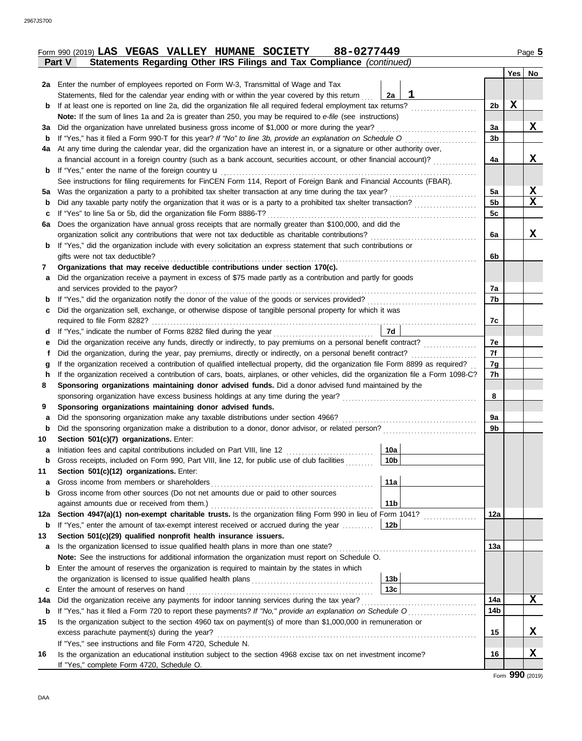|        | 88-0277449<br>Form 990 (2019) LAS VEGAS VALLEY HUMANE SOCIETY                                                                                                                                                                              |                |             | Page 5        |  |  |
|--------|--------------------------------------------------------------------------------------------------------------------------------------------------------------------------------------------------------------------------------------------|----------------|-------------|---------------|--|--|
|        | Statements Regarding Other IRS Filings and Tax Compliance (continued)<br><b>Part V</b>                                                                                                                                                     |                |             |               |  |  |
|        |                                                                                                                                                                                                                                            |                |             | $Yes \mid No$ |  |  |
|        | 2a Enter the number of employees reported on Form W-3, Transmittal of Wage and Tax                                                                                                                                                         |                |             |               |  |  |
|        | 1<br>Statements, filed for the calendar year ending with or within the year covered by this return<br>2a                                                                                                                                   |                |             |               |  |  |
| b      | If at least one is reported on line 2a, did the organization file all required federal employment tax returns?                                                                                                                             | 2b             | $\mathbf X$ |               |  |  |
|        | Note: If the sum of lines 1a and 2a is greater than 250, you may be required to e-file (see instructions)                                                                                                                                  |                |             |               |  |  |
| За     | Did the organization have unrelated business gross income of \$1,000 or more during the year?                                                                                                                                              | Зa             |             | X             |  |  |
| b      | If "Yes," has it filed a Form 990-T for this year? If "No" to line 3b, provide an explanation on Schedule O                                                                                                                                | 3 <sub>b</sub> |             |               |  |  |
| 4a     | At any time during the calendar year, did the organization have an interest in, or a signature or other authority over,                                                                                                                    |                |             |               |  |  |
|        | a financial account in a foreign country (such as a bank account, securities account, or other financial account)?                                                                                                                         | 4a             |             | X             |  |  |
| b      | If "Yes," enter the name of the foreign country $\mathbf u$                                                                                                                                                                                |                |             |               |  |  |
|        | See instructions for filing requirements for FinCEN Form 114, Report of Foreign Bank and Financial Accounts (FBAR).                                                                                                                        |                |             |               |  |  |
| 5а     | Was the organization a party to a prohibited tax shelter transaction at any time during the tax year?                                                                                                                                      | 5a             |             | $\mathbf x$   |  |  |
| b      | Did any taxable party notify the organization that it was or is a party to a prohibited tax shelter transaction?                                                                                                                           | 5 <sub>b</sub> |             | X             |  |  |
| c      | If "Yes" to line 5a or 5b, did the organization file Form 8886-T?                                                                                                                                                                          | 5c             |             |               |  |  |
| 6a     | Does the organization have annual gross receipts that are normally greater than \$100,000, and did the                                                                                                                                     |                |             |               |  |  |
|        | organization solicit any contributions that were not tax deductible as charitable contributions?                                                                                                                                           | 6a             |             | X             |  |  |
| b      | If "Yes," did the organization include with every solicitation an express statement that such contributions or                                                                                                                             |                |             |               |  |  |
|        | gifts were not tax deductible?                                                                                                                                                                                                             | 6b             |             |               |  |  |
| 7      | Organizations that may receive deductible contributions under section 170(c).                                                                                                                                                              |                |             |               |  |  |
| a      | Did the organization receive a payment in excess of \$75 made partly as a contribution and partly for goods                                                                                                                                |                |             |               |  |  |
|        | and services provided to the payor?                                                                                                                                                                                                        | 7a             |             |               |  |  |
| b      |                                                                                                                                                                                                                                            | 7b             |             |               |  |  |
| c      | Did the organization sell, exchange, or otherwise dispose of tangible personal property for which it was                                                                                                                                   |                |             |               |  |  |
|        |                                                                                                                                                                                                                                            | 7c             |             |               |  |  |
| d      | 7d<br>If "Yes," indicate the number of Forms 8282 filed during the year<br>[[[[[[[[[[[[[[[[]]]]]]                                                                                                                                          |                |             |               |  |  |
| е      |                                                                                                                                                                                                                                            | 7е<br>7f       |             |               |  |  |
|        | Did the organization, during the year, pay premiums, directly or indirectly, on a personal benefit contract?<br>t                                                                                                                          |                |             |               |  |  |
| g      | If the organization received a contribution of qualified intellectual property, did the organization file Form 8899 as required?                                                                                                           | 7g<br>7h       |             |               |  |  |
| h<br>8 | If the organization received a contribution of cars, boats, airplanes, or other vehicles, did the organization file a Form 1098-C?<br>Sponsoring organizations maintaining donor advised funds. Did a donor advised fund maintained by the |                |             |               |  |  |
|        |                                                                                                                                                                                                                                            | 8              |             |               |  |  |
| 9      | Sponsoring organizations maintaining donor advised funds.                                                                                                                                                                                  |                |             |               |  |  |
| a      | Did the sponsoring organization make any taxable distributions under section 4966?                                                                                                                                                         | 9a             |             |               |  |  |
| b      | Did the sponsoring organization make a distribution to a donor, donor advisor, or related person?                                                                                                                                          | 9b             |             |               |  |  |
| 10     | Section 501(c)(7) organizations. Enter:                                                                                                                                                                                                    |                |             |               |  |  |
|        | 10a <br>Initiation fees and capital contributions included on Part VIII, line 12 [11][11][11][11][11][11][11][11][11][                                                                                                                     |                |             |               |  |  |
| b      | Gross receipts, included on Form 990, Part VIII, line 12, for public use of club facilities<br>10b                                                                                                                                         |                |             |               |  |  |
| 11     | Section 501(c)(12) organizations. Enter:                                                                                                                                                                                                   |                |             |               |  |  |
| a      | 11a<br>Gross income from members or shareholders                                                                                                                                                                                           |                |             |               |  |  |
| b      | Gross income from other sources (Do not net amounts due or paid to other sources                                                                                                                                                           |                |             |               |  |  |
|        | 11 <sub>b</sub><br>against amounts due or received from them.)                                                                                                                                                                             |                |             |               |  |  |
| 12a    | Section 4947(a)(1) non-exempt charitable trusts. Is the organization filing Form 990 in lieu of Form 1041?                                                                                                                                 | 12a            |             |               |  |  |
| b      | If "Yes," enter the amount of tax-exempt interest received or accrued during the year<br>  12b                                                                                                                                             |                |             |               |  |  |
| 13     | Section 501(c)(29) qualified nonprofit health insurance issuers.                                                                                                                                                                           |                |             |               |  |  |
| a      | Is the organization licensed to issue qualified health plans in more than one state?                                                                                                                                                       | 13а            |             |               |  |  |
|        | Note: See the instructions for additional information the organization must report on Schedule O.                                                                                                                                          |                |             |               |  |  |
| b      | Enter the amount of reserves the organization is required to maintain by the states in which                                                                                                                                               |                |             |               |  |  |
|        | 13 <sub>b</sub>                                                                                                                                                                                                                            |                |             |               |  |  |
| c      | 13 <sub>c</sub><br>Enter the amount of reserves on hand                                                                                                                                                                                    |                |             |               |  |  |
| 14a    | Did the organization receive any payments for indoor tanning services during the tax year?                                                                                                                                                 | 14a            |             | X             |  |  |
| b      | If "Yes," has it filed a Form 720 to report these payments? If "No," provide an explanation on Schedule O                                                                                                                                  | 14b            |             |               |  |  |
| 15     | Is the organization subject to the section 4960 tax on payment(s) of more than \$1,000,000 in remuneration or                                                                                                                              |                |             |               |  |  |
|        | excess parachute payment(s) during the year?                                                                                                                                                                                               | 15             |             | <u>x</u>      |  |  |
|        | If "Yes," see instructions and file Form 4720, Schedule N.                                                                                                                                                                                 |                |             |               |  |  |
| 16     | Is the organization an educational institution subject to the section 4968 excise tax on net investment income?                                                                                                                            | 16             |             | X             |  |  |
|        | If "Yes," complete Form 4720, Schedule O.                                                                                                                                                                                                  |                |             |               |  |  |

DAA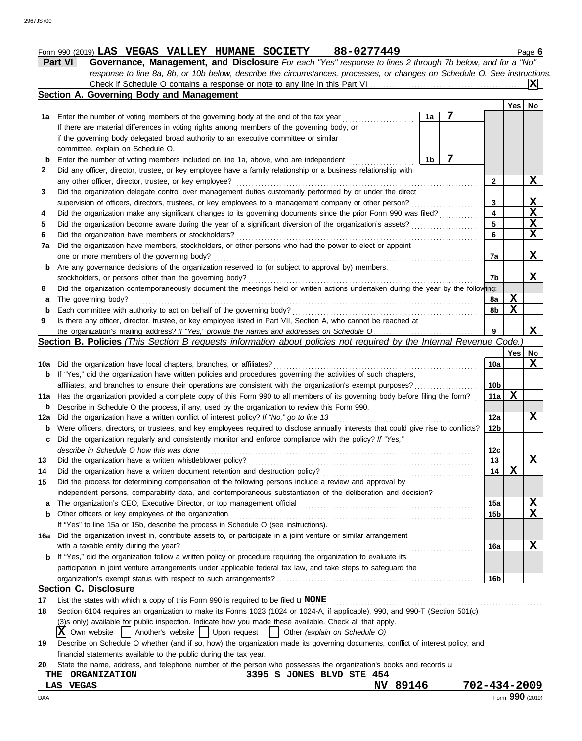## **Form 990 (2019) LAS VEGAS VALLEY HUMANE SOCIETY 88-0277449** Page 6

| Part VI | Governance, Management, and Disclosure For each "Yes" response to lines 2 through 7b below, and for a "No"                |
|---------|---------------------------------------------------------------------------------------------------------------------------|
|         | response to line 8a, 8b, or 10b below, describe the circumstances, processes, or changes on Schedule O. See instructions. |
|         |                                                                                                                           |

|        | Section A. Governing Body and Management                                                                                                                                                                                |                |   |                        |             |              |
|--------|-------------------------------------------------------------------------------------------------------------------------------------------------------------------------------------------------------------------------|----------------|---|------------------------|-------------|--------------|
|        |                                                                                                                                                                                                                         |                |   |                        | Yes         | No           |
|        | 1a Enter the number of voting members of the governing body at the end of the tax year                                                                                                                                  | 1a             | 7 |                        |             |              |
|        | If there are material differences in voting rights among members of the governing body, or                                                                                                                              |                |   |                        |             |              |
|        | if the governing body delegated broad authority to an executive committee or similar                                                                                                                                    |                |   |                        |             |              |
|        | committee, explain on Schedule O.                                                                                                                                                                                       |                |   |                        |             |              |
| b      | Enter the number of voting members included on line 1a, above, who are independent                                                                                                                                      | 1 <sub>b</sub> | 7 |                        |             |              |
| 2      | Did any officer, director, trustee, or key employee have a family relationship or a business relationship with                                                                                                          |                |   |                        |             |              |
|        | any other officer, director, trustee, or key employee?                                                                                                                                                                  |                |   | $\mathbf{2}$           |             | X            |
| 3      | Did the organization delegate control over management duties customarily performed by or under the direct                                                                                                               |                |   |                        |             |              |
|        | supervision of officers, directors, trustees, or key employees to a management company or other person?                                                                                                                 |                |   | 3                      |             | X            |
| 4      | Did the organization make any significant changes to its governing documents since the prior Form 990 was filed?                                                                                                        |                |   | 4                      |             | $\mathbf X$  |
| 5      | Did the organization become aware during the year of a significant diversion of the organization's assets?                                                                                                              |                |   | 5                      |             | $\mathbf x$  |
| 6      | Did the organization have members or stockholders?                                                                                                                                                                      |                |   | 6                      |             | $\mathbf{x}$ |
| 7а     | Did the organization have members, stockholders, or other persons who had the power to elect or appoint                                                                                                                 |                |   |                        |             |              |
|        | one or more members of the governing body?                                                                                                                                                                              |                |   | 7a                     |             | X            |
| b      | Are any governance decisions of the organization reserved to (or subject to approval by) members,                                                                                                                       |                |   |                        |             |              |
|        | stockholders, or persons other than the governing body?                                                                                                                                                                 |                |   | 7b                     |             | X            |
| 8      | Did the organization contemporaneously document the meetings held or written actions undertaken during the year by the following:                                                                                       |                |   |                        |             |              |
| a      | The governing body?                                                                                                                                                                                                     |                |   | 8a                     | X           |              |
| b      | Each committee with authority to act on behalf of the governing body?                                                                                                                                                   |                |   | 8b                     | $\mathbf X$ |              |
| 9      | Is there any officer, director, trustee, or key employee listed in Part VII, Section A, who cannot be reached at                                                                                                        |                |   |                        |             |              |
|        | the organization's mailing address? If "Yes," provide the names and addresses on Schedule O                                                                                                                             |                |   | 9                      |             | X            |
|        | Section B. Policies (This Section B requests information about policies not required by the Internal Revenue Code.)                                                                                                     |                |   |                        |             |              |
|        |                                                                                                                                                                                                                         |                |   |                        | Yes         | No           |
| 10a    | Did the organization have local chapters, branches, or affiliates?                                                                                                                                                      |                |   | 10a                    |             | X            |
| b      | If "Yes," did the organization have written policies and procedures governing the activities of such chapters,                                                                                                          |                |   |                        |             |              |
|        | affiliates, and branches to ensure their operations are consistent with the organization's exempt purposes?                                                                                                             |                |   | 10 <sub>b</sub>        |             |              |
| 11a    | Has the organization provided a complete copy of this Form 990 to all members of its governing body before filing the form?                                                                                             |                |   | 11a                    | $\mathbf X$ |              |
| b      | Describe in Schedule O the process, if any, used by the organization to review this Form 990.                                                                                                                           |                |   |                        |             |              |
| 12a    | Did the organization have a written conflict of interest policy? If "No," go to line 13                                                                                                                                 |                |   | 12a                    |             | X            |
| b      | Were officers, directors, or trustees, and key employees required to disclose annually interests that could give rise to conflicts?                                                                                     |                |   | 12b                    |             |              |
| c      | Did the organization regularly and consistently monitor and enforce compliance with the policy? If "Yes,"                                                                                                               |                |   |                        |             |              |
|        | describe in Schedule O how this was done                                                                                                                                                                                |                |   | 12c                    |             | X            |
| 13     | Did the organization have a written whistleblower policy?                                                                                                                                                               |                |   | 13                     | X           |              |
| 14     | Did the organization have a written document retention and destruction policy?                                                                                                                                          |                |   | 14                     |             |              |
| 15     | Did the process for determining compensation of the following persons include a review and approval by<br>independent persons, comparability data, and contemporaneous substantiation of the deliberation and decision? |                |   |                        |             |              |
|        | The organization's CEO, Executive Director, or top management official                                                                                                                                                  |                |   |                        |             | <u>x</u>     |
| a<br>b | Other officers or key employees of the organization                                                                                                                                                                     |                |   | 15a<br>15 <sub>b</sub> |             | X            |
|        | If "Yes" to line 15a or 15b, describe the process in Schedule O (see instructions).                                                                                                                                     |                |   |                        |             |              |
| 16a    | Did the organization invest in, contribute assets to, or participate in a joint venture or similar arrangement                                                                                                          |                |   |                        |             |              |
|        | with a taxable entity during the year?                                                                                                                                                                                  |                |   |                        |             | X            |
| b      | If "Yes," did the organization follow a written policy or procedure requiring the organization to evaluate its                                                                                                          |                |   | 16a                    |             |              |
|        | participation in joint venture arrangements under applicable federal tax law, and take steps to safeguard the                                                                                                           |                |   |                        |             |              |
|        |                                                                                                                                                                                                                         |                |   | 16b                    |             |              |
|        | <b>Section C. Disclosure</b>                                                                                                                                                                                            |                |   |                        |             |              |
| 17     | List the states with which a copy of this Form 990 is required to be filed $\mathbf u$ NONE                                                                                                                             |                |   |                        |             |              |
| 18     | Section 6104 requires an organization to make its Forms 1023 (1024 or 1024-A, if applicable), 990, and 990-T (Section 501(c)                                                                                            |                |   |                        |             |              |
|        | (3)s only) available for public inspection. Indicate how you made these available. Check all that apply.                                                                                                                |                |   |                        |             |              |
|        |                                                                                                                                                                                                                         |                |   |                        |             |              |

| 19 Describe on Schedule O whether (and if so, how) the organization made its governing documents, conflict of interest policy, and |
|------------------------------------------------------------------------------------------------------------------------------------|
| financial statements available to the public during the tax year.                                                                  |

|  |  |  |  |  |  |  | 20 State the name, address, and telephone number of the person who possesses the organization's books and records u |  |  |
|--|--|--|--|--|--|--|---------------------------------------------------------------------------------------------------------------------|--|--|
|--|--|--|--|--|--|--|---------------------------------------------------------------------------------------------------------------------|--|--|

**LAS VEGAS NV 89146 702-434-2009**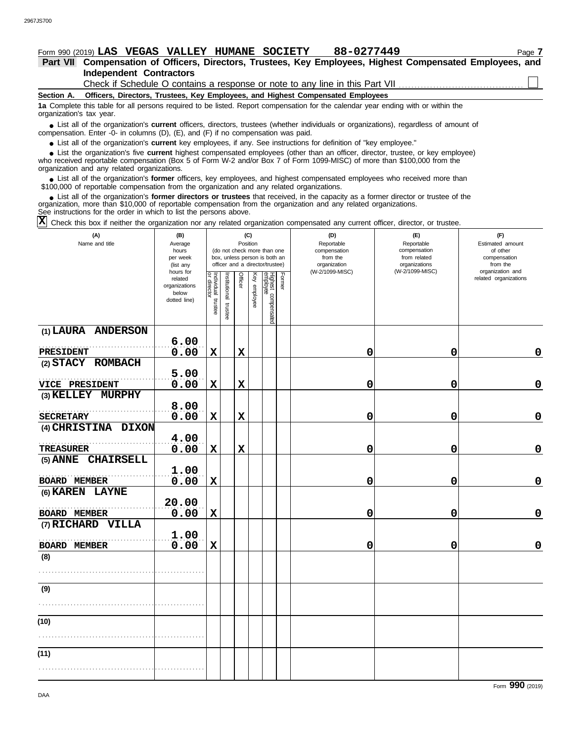# **Form 990 (2019) LAS VEGAS VALLEY HUMANE SOCIETY 88-0277449** Page 7

## **Independent Contractors Part VII Compensation of Officers, Directors, Trustees, Key Employees, Highest Compensated Employees, and**

Check if Schedule O contains a response or note to any line in this Part VII.

**Section A. Officers, Directors, Trustees, Key Employees, and Highest Compensated Employees**

**1a** Complete this table for all persons required to be listed. Report compensation for the calendar year ending with or within the organization's tax year.

■ List all of the organization's **current** officers, directors, trustees (whether individuals or organizations), regardless of amount of the organization Enter -0- in columns (D), (E), and (E) if no compensation was paid compensation. Enter -0- in columns (D), (E), and (F) if no compensation was paid.

● List all of the organization's **current** key employees, if any. See instructions for definition of "key employee."

who received reportable compensation (Box 5 of Form W-2 and/or Box 7 of Form 1099-MISC) of more than \$100,000 from the organization and any related organizations. ■ List the organization's five **current** highest compensated employees (other than an officer, director, trustee, or key employee)<br>
a received reportable compensation (Box 5 of Form W-2 and/or Box 7 of Form 1099-MISC) of

■ List all of the organization's **former** officers, key employees, and highest compensated employees who received more than<br>00,000 of reportable compensation from the organization and any related organizations \$100,000 of reportable compensation from the organization and any related organizations.

■ List all of the organization's **former directors or trustees** that received, in the capacity as a former director or trustee of the<br>enization, more than \$10,000 of reportable compensation from the organization and any r organization, more than \$10,000 of reportable compensation from the organization and any related organizations. See instructions for the order in which to list the persons above.

Check this box if neither the organization nor any related organization compensated any current officer, director, or trustee. **X**

| (A)<br>Name and title                      | (B)<br>Average<br>hours<br>per week<br>(list any               |                                   | (C)<br>Position<br>(do not check more than one<br>box, unless person is both an<br>officer and a director/trustee) |             |              |                                 |        | (D)<br>Reportable<br>compensation<br>from the<br>organization | (E)<br>Reportable<br>compensation<br>from related<br>organizations<br>(W-2/1099-MISC) | (F)<br>Estimated amount<br>of other<br>compensation<br>from the<br>organization and |
|--------------------------------------------|----------------------------------------------------------------|-----------------------------------|--------------------------------------------------------------------------------------------------------------------|-------------|--------------|---------------------------------|--------|---------------------------------------------------------------|---------------------------------------------------------------------------------------|-------------------------------------------------------------------------------------|
|                                            | hours for<br>related<br>organizations<br>below<br>dotted line) | Individual trustee<br>or director | nstitutional trustee                                                                                               | Officer     | Key employee | Highest compensated<br>employee | Former | (W-2/1099-MISC)                                               |                                                                                       | related organizations                                                               |
| (1) LAURA ANDERSON                         |                                                                |                                   |                                                                                                                    |             |              |                                 |        |                                                               |                                                                                       |                                                                                     |
| PRESIDENT                                  | 6.00<br>0.00                                                   | $\mathbf X$                       |                                                                                                                    | $\mathbf X$ |              |                                 |        | 0                                                             | 0                                                                                     | 0                                                                                   |
| (2) STACY ROMBACH                          |                                                                |                                   |                                                                                                                    |             |              |                                 |        |                                                               |                                                                                       |                                                                                     |
|                                            | 5.00                                                           |                                   |                                                                                                                    |             |              |                                 |        |                                                               |                                                                                       |                                                                                     |
| <b>VICE PRESIDENT</b><br>(3) KELLEY MURPHY | 0.00                                                           | $\mathbf x$                       |                                                                                                                    | $\mathbf x$ |              |                                 |        | 0                                                             | 0                                                                                     | $\mathbf 0$                                                                         |
|                                            | 8.00                                                           |                                   |                                                                                                                    |             |              |                                 |        |                                                               |                                                                                       |                                                                                     |
| <b>SECRETARY</b>                           | 0.00                                                           | $\mathbf X$                       |                                                                                                                    | $\mathbf x$ |              |                                 |        | 0                                                             | 0                                                                                     | $\mathbf 0$                                                                         |
| (4) CHRISTINA DIXON                        |                                                                |                                   |                                                                                                                    |             |              |                                 |        |                                                               |                                                                                       |                                                                                     |
|                                            | 4.00                                                           |                                   |                                                                                                                    |             |              |                                 |        |                                                               |                                                                                       |                                                                                     |
| <b>TREASURER</b>                           | 0.00                                                           | X                                 |                                                                                                                    | $\mathbf x$ |              |                                 |        | 0                                                             | 0                                                                                     | $\mathbf 0$                                                                         |
| (5) ANNE CHAIRSELL                         | 1.00                                                           |                                   |                                                                                                                    |             |              |                                 |        |                                                               |                                                                                       |                                                                                     |
| BOARD MEMBER                               | 0.00                                                           | X                                 |                                                                                                                    |             |              |                                 |        | 0                                                             | 0                                                                                     | $\mathbf 0$                                                                         |
| (6) KAREN LAYNE                            | 20.00                                                          |                                   |                                                                                                                    |             |              |                                 |        |                                                               |                                                                                       |                                                                                     |
| <b>BOARD MEMBER</b>                        | 0.00                                                           | $\mathbf X$                       |                                                                                                                    |             |              |                                 |        | 0                                                             | 0                                                                                     | $\mathbf 0$                                                                         |
| (7) RICHARD VILLA                          | 1.00                                                           |                                   |                                                                                                                    |             |              |                                 |        |                                                               |                                                                                       |                                                                                     |
| <b>BOARD MEMBER</b>                        | 0.00                                                           | $\mathbf x$                       |                                                                                                                    |             |              |                                 |        | 0                                                             | 0                                                                                     | $\mathbf 0$                                                                         |
| (8)                                        |                                                                |                                   |                                                                                                                    |             |              |                                 |        |                                                               |                                                                                       |                                                                                     |
|                                            |                                                                |                                   |                                                                                                                    |             |              |                                 |        |                                                               |                                                                                       |                                                                                     |
| (9)                                        |                                                                |                                   |                                                                                                                    |             |              |                                 |        |                                                               |                                                                                       |                                                                                     |
|                                            |                                                                |                                   |                                                                                                                    |             |              |                                 |        |                                                               |                                                                                       |                                                                                     |
| (10)                                       |                                                                |                                   |                                                                                                                    |             |              |                                 |        |                                                               |                                                                                       |                                                                                     |
|                                            |                                                                |                                   |                                                                                                                    |             |              |                                 |        |                                                               |                                                                                       |                                                                                     |
| (11)                                       |                                                                |                                   |                                                                                                                    |             |              |                                 |        |                                                               |                                                                                       |                                                                                     |
|                                            |                                                                |                                   |                                                                                                                    |             |              |                                 |        |                                                               |                                                                                       |                                                                                     |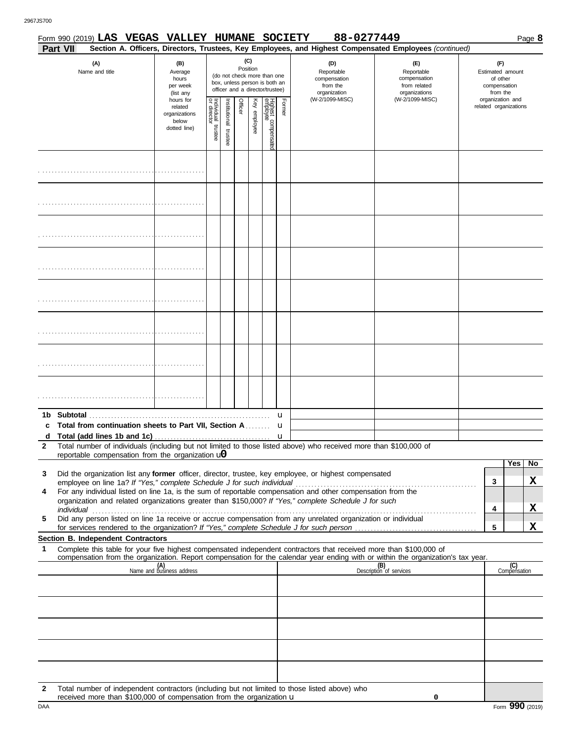|              |          | Form 990 (2019) LAS VEGAS VALLEY HUMANE SOCIETY                                                                                                                  |                                                                |                                   |                          |         |                 |                                                                                                 |        | 88-0277449                                                                                                                                                                                                           |                                                                                                                                                                    |                                                                 |                     | Page 8 |
|--------------|----------|------------------------------------------------------------------------------------------------------------------------------------------------------------------|----------------------------------------------------------------|-----------------------------------|--------------------------|---------|-----------------|-------------------------------------------------------------------------------------------------|--------|----------------------------------------------------------------------------------------------------------------------------------------------------------------------------------------------------------------------|--------------------------------------------------------------------------------------------------------------------------------------------------------------------|-----------------------------------------------------------------|---------------------|--------|
|              | Part VII |                                                                                                                                                                  |                                                                |                                   |                          |         |                 |                                                                                                 |        |                                                                                                                                                                                                                      | Section A. Officers, Directors, Trustees, Key Employees, and Highest Compensated Employees (continued)                                                             |                                                                 |                     |        |
|              |          | (A)<br>Name and title                                                                                                                                            | (B)<br>Average<br>hours<br>per week<br>(list any               |                                   |                          |         | (C)<br>Position | (do not check more than one<br>box, unless person is both an<br>officer and a director/trustee) |        | (D)<br>Reportable<br>compensation<br>from the<br>organization                                                                                                                                                        | (E)<br>Reportable<br>compensation<br>from related<br>organizations                                                                                                 | (F)<br>Estimated amount<br>of other<br>compensation<br>from the |                     |        |
|              |          |                                                                                                                                                                  | hours for<br>related<br>organizations<br>below<br>dotted line) | Individual trustee<br>or director | Institutional<br>trustee | Officer | Key employee    | Highest compensatec<br>employee                                                                 | Former | (W-2/1099-MISC)                                                                                                                                                                                                      | (W-2/1099-MISC)                                                                                                                                                    | organization and<br>related organizations                       |                     |        |
|              |          |                                                                                                                                                                  |                                                                |                                   |                          |         |                 |                                                                                                 |        |                                                                                                                                                                                                                      |                                                                                                                                                                    |                                                                 |                     |        |
|              |          |                                                                                                                                                                  |                                                                |                                   |                          |         |                 |                                                                                                 |        |                                                                                                                                                                                                                      |                                                                                                                                                                    |                                                                 |                     |        |
|              |          |                                                                                                                                                                  |                                                                |                                   |                          |         |                 |                                                                                                 |        |                                                                                                                                                                                                                      |                                                                                                                                                                    |                                                                 |                     |        |
|              |          |                                                                                                                                                                  |                                                                |                                   |                          |         |                 |                                                                                                 |        |                                                                                                                                                                                                                      |                                                                                                                                                                    |                                                                 |                     |        |
|              |          |                                                                                                                                                                  |                                                                |                                   |                          |         |                 |                                                                                                 |        |                                                                                                                                                                                                                      |                                                                                                                                                                    |                                                                 |                     |        |
|              |          |                                                                                                                                                                  |                                                                |                                   |                          |         |                 |                                                                                                 |        |                                                                                                                                                                                                                      |                                                                                                                                                                    |                                                                 |                     |        |
|              |          |                                                                                                                                                                  |                                                                |                                   |                          |         |                 |                                                                                                 |        |                                                                                                                                                                                                                      |                                                                                                                                                                    |                                                                 |                     |        |
|              |          |                                                                                                                                                                  |                                                                |                                   |                          |         |                 |                                                                                                 |        |                                                                                                                                                                                                                      |                                                                                                                                                                    |                                                                 |                     |        |
|              |          |                                                                                                                                                                  |                                                                |                                   |                          |         |                 |                                                                                                 | u      |                                                                                                                                                                                                                      |                                                                                                                                                                    |                                                                 |                     |        |
|              |          | c Total from continuation sheets to Part VII, Section A<br>d Total (add lines 1b and 1c) $\ldots$ $\ldots$ $\ldots$ $\ldots$ $\ldots$ $\ldots$ $\ldots$ $\ldots$ |                                                                |                                   |                          |         |                 |                                                                                                 | u      |                                                                                                                                                                                                                      |                                                                                                                                                                    |                                                                 |                     |        |
| $\mathbf{2}$ |          |                                                                                                                                                                  |                                                                |                                   |                          |         |                 |                                                                                                 |        | Total number of individuals (including but not limited to those listed above) who received more than \$100,000 of                                                                                                    |                                                                                                                                                                    |                                                                 |                     |        |
|              |          | reportable compensation from the organization $\mathbf{u}$                                                                                                       |                                                                |                                   |                          |         |                 |                                                                                                 |        |                                                                                                                                                                                                                      |                                                                                                                                                                    |                                                                 |                     |        |
| 3            |          |                                                                                                                                                                  |                                                                |                                   |                          |         |                 |                                                                                                 |        | Did the organization list any former officer, director, trustee, key employee, or highest compensated                                                                                                                |                                                                                                                                                                    |                                                                 | <b>Yes</b>          | No     |
|              |          |                                                                                                                                                                  |                                                                |                                   |                          |         |                 |                                                                                                 |        |                                                                                                                                                                                                                      |                                                                                                                                                                    | 3                                                               |                     | X      |
| 4            |          |                                                                                                                                                                  |                                                                |                                   |                          |         |                 |                                                                                                 |        | For any individual listed on line 1a, is the sum of reportable compensation and other compensation from the<br>organization and related organizations greater than \$150,000? If "Yes," complete Schedule J for such |                                                                                                                                                                    |                                                                 |                     |        |
|              |          |                                                                                                                                                                  |                                                                |                                   |                          |         |                 |                                                                                                 |        |                                                                                                                                                                                                                      |                                                                                                                                                                    | 4                                                               |                     | X      |
| 5            |          |                                                                                                                                                                  |                                                                |                                   |                          |         |                 |                                                                                                 |        | Did any person listed on line 1a receive or accrue compensation from any unrelated organization or individual                                                                                                        |                                                                                                                                                                    | $\sqrt{5}$                                                      |                     | X      |
|              |          | Section B. Independent Contractors                                                                                                                               |                                                                |                                   |                          |         |                 |                                                                                                 |        |                                                                                                                                                                                                                      |                                                                                                                                                                    |                                                                 |                     |        |
| 1            |          |                                                                                                                                                                  |                                                                |                                   |                          |         |                 |                                                                                                 |        | Complete this table for your five highest compensated independent contractors that received more than \$100,000 of                                                                                                   |                                                                                                                                                                    |                                                                 |                     |        |
|              |          |                                                                                                                                                                  | (A)<br>Name and business address                               |                                   |                          |         |                 |                                                                                                 |        |                                                                                                                                                                                                                      | compensation from the organization. Report compensation for the calendar year ending with or within the organization's tax year.<br>(B)<br>Description of services |                                                                 | (C)<br>Compensation |        |
|              |          |                                                                                                                                                                  |                                                                |                                   |                          |         |                 |                                                                                                 |        |                                                                                                                                                                                                                      |                                                                                                                                                                    |                                                                 |                     |        |
|              |          |                                                                                                                                                                  |                                                                |                                   |                          |         |                 |                                                                                                 |        |                                                                                                                                                                                                                      |                                                                                                                                                                    |                                                                 |                     |        |
|              |          |                                                                                                                                                                  |                                                                |                                   |                          |         |                 |                                                                                                 |        |                                                                                                                                                                                                                      |                                                                                                                                                                    |                                                                 |                     |        |
|              |          |                                                                                                                                                                  |                                                                |                                   |                          |         |                 |                                                                                                 |        |                                                                                                                                                                                                                      |                                                                                                                                                                    |                                                                 |                     |        |
|              |          |                                                                                                                                                                  |                                                                |                                   |                          |         |                 |                                                                                                 |        |                                                                                                                                                                                                                      |                                                                                                                                                                    |                                                                 |                     |        |
|              |          |                                                                                                                                                                  |                                                                |                                   |                          |         |                 |                                                                                                 |        |                                                                                                                                                                                                                      |                                                                                                                                                                    |                                                                 |                     |        |
|              |          |                                                                                                                                                                  |                                                                |                                   |                          |         |                 |                                                                                                 |        |                                                                                                                                                                                                                      |                                                                                                                                                                    |                                                                 |                     |        |
|              |          |                                                                                                                                                                  |                                                                |                                   |                          |         |                 |                                                                                                 |        |                                                                                                                                                                                                                      |                                                                                                                                                                    |                                                                 |                     |        |

**2** Total number of independent contractors (including but not limited to those listed above) who received more than \$100,000 of compensation from the organization u

**0**

|  | <b><i>ALLEY HUMANE SOCIETY</i></b> | 88-0277449 |
|--|------------------------------------|------------|
|  |                                    |            |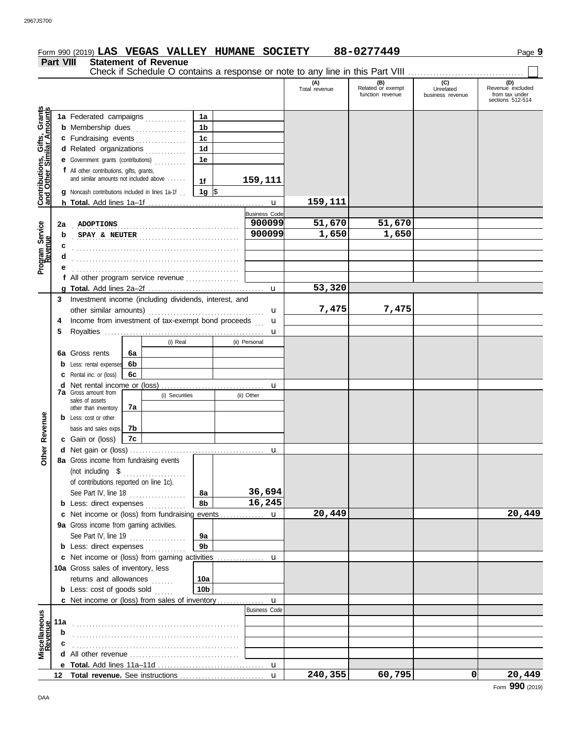|                              |                  | Form 990 (2019) LAS VEGAS VALLEY HUMANE SOCIETY                                     |    |                             |                  |                      |                      | 88-0277449                                                                    |                                      | Page 9                                                        |
|------------------------------|------------------|-------------------------------------------------------------------------------------|----|-----------------------------|------------------|----------------------|----------------------|-------------------------------------------------------------------------------|--------------------------------------|---------------------------------------------------------------|
|                              | <b>Part VIII</b> |                                                                                     |    | <b>Statement of Revenue</b> |                  |                      |                      | Check if Schedule O contains a response or note to any line in this Part VIII |                                      |                                                               |
|                              |                  |                                                                                     |    |                             |                  |                      | (A)<br>Total revenue | (B)<br>Related or exempt<br>function revenue                                  | (C)<br>Unrelated<br>business revenue | (D)<br>Revenue excluded<br>from tax under<br>sections 512-514 |
|                              |                  | 1a Federated campaigns                                                              |    |                             | 1a               |                      |                      |                                                                               |                                      |                                                               |
|                              |                  | <b>b</b> Membership dues                                                            |    |                             | 1 <sub>b</sub>   |                      |                      |                                                                               |                                      |                                                               |
|                              |                  | c Fundraising events                                                                |    |                             | 1 <sub>c</sub>   |                      |                      |                                                                               |                                      |                                                               |
|                              |                  | d Related organizations                                                             |    |                             | 1 <sub>d</sub>   |                      |                      |                                                                               |                                      |                                                               |
|                              |                  | <b>e</b> Government grants (contributions)                                          |    |                             | 1e               |                      |                      |                                                                               |                                      |                                                               |
| Contributions, Gifts, Grants |                  | f All other contributions, gifts, grants,<br>and similar amounts not included above |    |                             | 1f               | 159,111              |                      |                                                                               |                                      |                                                               |
|                              |                  | <b>g</b> Noncash contributions included in lines 1a-1f.                             |    |                             | 1g $\frac{1}{3}$ |                      |                      |                                                                               |                                      |                                                               |
|                              |                  |                                                                                     |    |                             |                  | $\mathbf{u}$         | 159,111              |                                                                               |                                      |                                                               |
|                              |                  |                                                                                     |    |                             |                  | <b>Business Code</b> |                      |                                                                               |                                      |                                                               |
|                              | 2a               | ADOPTIONS                                                                           |    |                             |                  | 900099               | 51,670               | 51,670                                                                        |                                      |                                                               |
|                              | b                | SPAY & NEUTER                                                                       |    |                             |                  | 900099               | 1,650                | 1,650                                                                         |                                      |                                                               |
| Program Service<br>Revenue   | c                |                                                                                     |    |                             |                  |                      |                      |                                                                               |                                      |                                                               |
|                              |                  |                                                                                     |    |                             |                  |                      |                      |                                                                               |                                      |                                                               |
|                              |                  |                                                                                     |    |                             |                  |                      |                      |                                                                               |                                      |                                                               |
|                              |                  | f All other program service revenue                                                 |    |                             |                  |                      | 53,320               |                                                                               |                                      |                                                               |
|                              |                  | 3 Investment income (including dividends, interest, and                             |    |                             |                  | $\mathbf{u}$         |                      |                                                                               |                                      |                                                               |
|                              |                  |                                                                                     |    |                             |                  | u                    | 7,475                | 7,475                                                                         |                                      |                                                               |
|                              | 4                | Income from investment of tax-exempt bond proceeds                                  |    |                             |                  | u                    |                      |                                                                               |                                      |                                                               |
|                              | 5                |                                                                                     |    |                             |                  | u                    |                      |                                                                               |                                      |                                                               |
|                              |                  |                                                                                     |    | (i) Real                    |                  | (ii) Personal        |                      |                                                                               |                                      |                                                               |
|                              |                  | 6a Gross rents                                                                      | 6a |                             |                  |                      |                      |                                                                               |                                      |                                                               |
|                              |                  | <b>b</b> Less: rental expenses                                                      | 6b |                             |                  |                      |                      |                                                                               |                                      |                                                               |
|                              |                  | <b>c</b> Rental inc. or (loss)                                                      | 6c |                             |                  |                      |                      |                                                                               |                                      |                                                               |
|                              |                  | <b>7a</b> Gross amount from                                                         |    |                             |                  | u                    |                      |                                                                               |                                      |                                                               |
|                              |                  | sales of assets                                                                     |    | (i) Securities              |                  | (ii) Other           |                      |                                                                               |                                      |                                                               |
|                              |                  | other than inventory                                                                | 7a |                             |                  |                      |                      |                                                                               |                                      |                                                               |
|                              |                  | <b>b</b> Less: cost or other                                                        |    |                             |                  |                      |                      |                                                                               |                                      |                                                               |
| Revenue                      |                  | basis and sales exps.                                                               | 7b |                             |                  |                      |                      |                                                                               |                                      |                                                               |
| 늤                            |                  | c Gain or (loss)<br>d Net gain or (loss)                                            | 7c |                             |                  |                      |                      |                                                                               |                                      |                                                               |
| $\tilde{\vec{a}}$            |                  | 8a Gross income from fundraising events                                             |    |                             |                  |                      |                      |                                                                               |                                      |                                                               |
|                              |                  | (not including \$                                                                   |    | .                           |                  |                      |                      |                                                                               |                                      |                                                               |
|                              |                  | of contributions reported on line 1c).                                              |    |                             |                  |                      |                      |                                                                               |                                      |                                                               |
|                              |                  | See Part IV, line 18                                                                |    |                             | 8а               | 36,694               |                      |                                                                               |                                      |                                                               |
|                              |                  | <b>b</b> Less: direct expenses                                                      |    |                             | 8b               | 16,245               |                      |                                                                               |                                      |                                                               |
|                              |                  | c Net income or (loss) from fundraising events                                      |    |                             |                  | $\mathbf{u}$         | 20,449               |                                                                               |                                      | 20,449                                                        |
|                              |                  | 9a Gross income from gaming activities.                                             |    |                             |                  |                      |                      |                                                                               |                                      |                                                               |
|                              |                  | See Part IV, line 19                                                                |    |                             | 9а               |                      |                      |                                                                               |                                      |                                                               |
|                              |                  | <b>b</b> Less: direct expenses                                                      |    |                             | 9 <sub>b</sub>   |                      |                      |                                                                               |                                      |                                                               |
|                              |                  |                                                                                     |    |                             |                  |                      |                      |                                                                               |                                      |                                                               |
|                              |                  | 10a Gross sales of inventory, less<br>returns and allowances                        |    |                             | 10a              |                      |                      |                                                                               |                                      |                                                               |
|                              |                  | <b>b</b> Less: cost of goods sold                                                   |    |                             | 10 <sub>b</sub>  |                      |                      |                                                                               |                                      |                                                               |
|                              |                  | c Net income or (loss) from sales of inventory                                      |    |                             |                  | u                    |                      |                                                                               |                                      |                                                               |
|                              |                  |                                                                                     |    |                             |                  | <b>Business Code</b> |                      |                                                                               |                                      |                                                               |
| Miscellaneous<br>Revenue     | 11a              |                                                                                     |    |                             |                  |                      |                      |                                                                               |                                      |                                                               |
|                              | b                |                                                                                     |    |                             |                  |                      |                      |                                                                               |                                      |                                                               |
|                              |                  |                                                                                     |    |                             |                  |                      |                      |                                                                               |                                      |                                                               |
|                              |                  |                                                                                     |    |                             |                  |                      |                      |                                                                               |                                      |                                                               |
|                              |                  |                                                                                     |    |                             |                  |                      |                      |                                                                               |                                      |                                                               |
|                              |                  |                                                                                     |    |                             |                  | $\mathbf{u}$         | 240,355              | 60,795                                                                        | $\mathbf{0}$                         | 20,449                                                        |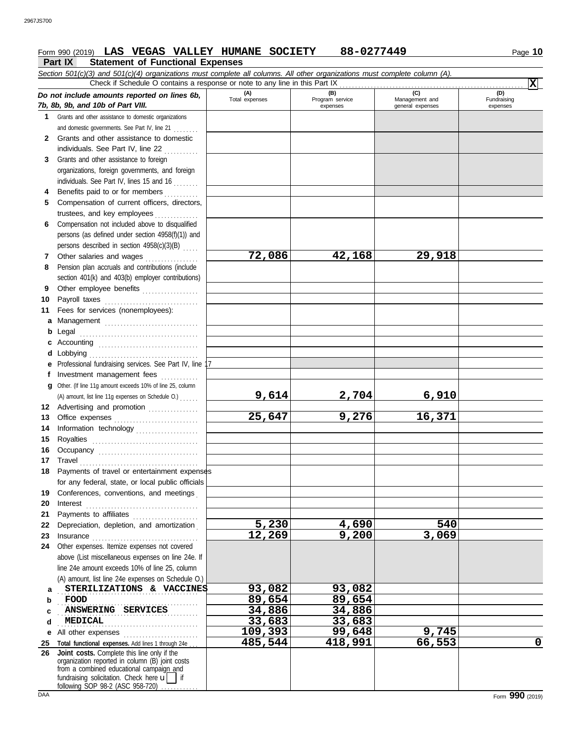# **Form 990 (2019) LAS VEGAS VALLEY HUMANE SOCIETY 88-0277449** Page 10

*Section 501(c)(3) and 501(c)(4) organizations must complete all columns. All other organizations must complete column (A).*

### **Part IX Statement of Functional Expenses**

*Do not include amounts reported on lines 6b, 7b, 8b, 9b, and 10b of Part VIII.* **1 2 3** Grants and other assistance to foreign **4** Benefits paid to or for members **........**.. **5** Compensation of current officers, directors, **6** Compensation not included above to disqualified **7** Other salaries and wages **. . . . . . . . . . . .** . . **8 9 10** Payroll taxes ............................... **11 a** Management .............................. **b** Legal **c** Accounting . . . . . . . . . . . . . . . . . . . . . . . . . . . . . . . . **d** Lobbying . . . . . . . . . . . . . . . . . . . . . . . . . . . . . . . . . . . **e** Professional fundraising services. See Part IV, line 17 **f g** Other. (If line 11g amount exceeds 10% of line 25, column **12** Advertising and promotion ............... **13** Office expenses **.......................**... **14 15 16 17** Travel . . . . . . . . . . . . . . . . . . . . . . . . . . . . . . . . . . . . . . **18** Payments of travel or entertainment expenses **19** Conferences, conventions, and meetings . **20** Interest . . . . . . . . . . . . . . . . . . . . . . . . . . . . . . . . . . . . **21 22** Depreciation, depletion, and amortization . **23** Insurance . . . . . . . . . . . . . . . . . . . . . . . . . . . . . . . . . . **24** Other expenses. Itemize expenses not covered **a** STERILIZATIONS & VACCINES **93,082 93,082 b c d e** All other expenses . . . . . . . . . . . . . . . . . . . . . . . . **25 Total functional expenses.** Add lines 1 through 24e . . . **26** Grants and other assistance to domestic organizations and domestic governments. See Part IV, line 21 . . . . . . . . Grants and other assistance to domestic individuals. See Part IV, line 22 organizations, foreign governments, and foreign individuals. See Part IV, lines 15 and 16 trustees, and key employees .............. persons (as defined under section 4958(f)(1)) and persons described in section 4958(c)(3)(B) . . . . . Pension plan accruals and contributions (include section 401(k) and 403(b) employer contributions) Other employee benefits .................. Fees for services (nonemployees): . . . . . . . . . . . . . . . . . . . . . . . . . . . . . . . . . . . . . . Investment management fees Information technology ..................... Royalties . . . . . . . . . . . . . . . . . . . . . . . . . . . . . . . . . . Occupancy . . . . . . . . . . . . . . . . . . . . . . . . . . . . . . . . for any federal, state, or local public officials Payments to affiliates ....................... above (List miscellaneous expenses on line 24e. If line 24e amount exceeds 10% of line 25, column (A) amount, list line 24e expenses on Schedule O.) fundraising solicitation. Check here  $\mathbf{u}$  | if organization reported in column (B) joint costs from a combined educational campaign and following SOP 98-2 (ASC 958-720) **(A) (B) (C) (D)** Tor<br>
gram service Management and<br>
expenses expenses<br>
general expenses expenses general expenses Fundraising expenses . . . . . . . . . . . . . . . . . . . . . . . . . . . . . . . . . . . . . . . . . . . . . **ANSWERING SERVICES** 24,886 34,886 . . . . . . . . . . . . . . . . . . . . . . . . . . . . . . . . . . . . . . . . . . . . . **MEDICAL 33,683 33,683** Check if Schedule O contains a response or note to any line in this Part IX **Joint costs.** Complete this line only if the (A) amount, list line 11g expenses on Schedule O.) . . . . . . **X 72,086 42,168 29,918 9,614 2,704 6,910 25,647 9,276 16,371 5,230 4,690 540 12,269 9,200 3,069 FOOD 89,654 89,654 109,393 99,648 9,745 485,544 418,991 66,553 0**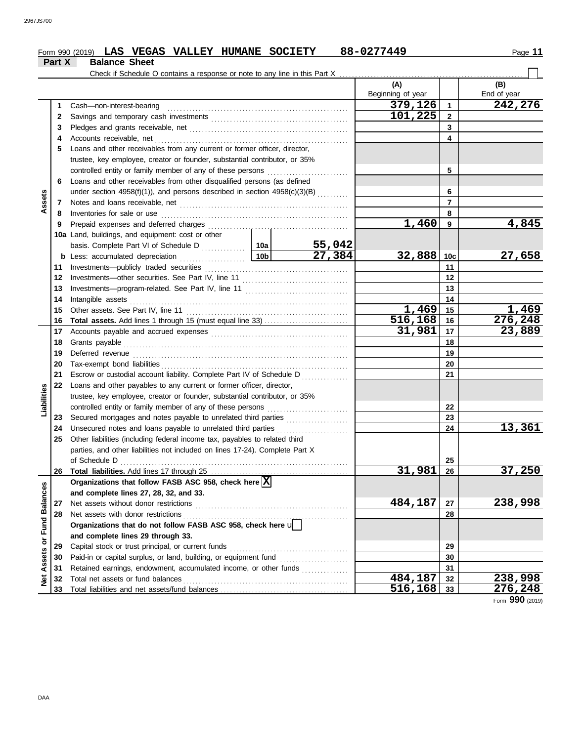|               |        | Form 990 (2019) LAS VEGAS VALLEY HUMANE SOCIETY   |                      |                                                                              |   |        | 88-0277449               |                         | Page 11            |
|---------------|--------|---------------------------------------------------|----------------------|------------------------------------------------------------------------------|---|--------|--------------------------|-------------------------|--------------------|
|               | Part X |                                                   | <b>Balance Sheet</b> |                                                                              |   |        |                          |                         |                    |
|               |        |                                                   |                      |                                                                              |   |        |                          |                         |                    |
|               |        |                                                   |                      |                                                                              |   |        | (A)<br>Beginning of year |                         | (B)<br>End of year |
|               | 1      | Cash-non-interest-bearing                         |                      |                                                                              |   |        | 379,126                  | $\mathbf{1}$            | 242,276            |
|               | 2      |                                                   |                      |                                                                              |   |        | 101,225                  | $\overline{2}$          |                    |
|               | 3      |                                                   |                      |                                                                              |   |        |                          | 3                       |                    |
|               | 4      |                                                   |                      |                                                                              |   |        |                          | $\overline{\mathbf{4}}$ |                    |
|               | 5      |                                                   |                      | Loans and other receivables from any current or former officer, director,    |   |        |                          |                         |                    |
|               |        |                                                   |                      | trustee, key employee, creator or founder, substantial contributor, or 35%   |   |        |                          |                         |                    |
|               |        |                                                   |                      | controlled entity or family member of any of these persons                   |   |        |                          | 5                       |                    |
|               | 6      |                                                   |                      | Loans and other receivables from other disqualified persons (as defined      |   |        |                          |                         |                    |
|               |        |                                                   |                      | under section 4958(f)(1)), and persons described in section 4958(c)(3)(B)    |   |        |                          | 6                       |                    |
| Assets        | 7      |                                                   |                      |                                                                              |   |        |                          | $\overline{7}$          |                    |
|               | 8      | Inventories for sale or use                       |                      |                                                                              |   |        |                          | 8                       |                    |
|               | 9      |                                                   |                      |                                                                              |   |        | 1,460                    | 9                       | 4,845              |
|               |        | 10a Land, buildings, and equipment: cost or other |                      |                                                                              |   |        |                          |                         |                    |
|               |        |                                                   |                      |                                                                              |   | 55,042 |                          |                         |                    |
|               |        | <b>b</b> Less: accumulated depreciation           |                      |                                                                              | . | 27,384 | $32,888$ 10c             |                         | 27,658             |
|               | 11     |                                                   |                      |                                                                              |   |        |                          | 11                      |                    |
|               | 12     |                                                   |                      |                                                                              |   |        |                          | 12                      |                    |
|               | 13     |                                                   |                      |                                                                              |   |        |                          | 13                      |                    |
|               | 14     | Intangible assets                                 |                      |                                                                              |   |        |                          | 14                      |                    |
|               | 15     | Other assets. See Part IV, line 11                |                      |                                                                              |   |        | 1,469                    | 15                      | 1,469              |
|               | 16     |                                                   |                      |                                                                              |   |        | $516, 168$ 16            |                         | 276,248            |
|               | 17     |                                                   |                      |                                                                              |   |        | 31,981                   | 17                      | 23,889             |
|               | 18     |                                                   |                      |                                                                              |   |        |                          | 18                      |                    |
|               | 19     |                                                   |                      |                                                                              |   |        |                          | 19                      |                    |
|               | 20     |                                                   |                      |                                                                              |   |        |                          | 20                      |                    |
|               | 21     |                                                   |                      | Escrow or custodial account liability. Complete Part IV of Schedule D        |   |        |                          | 21                      |                    |
|               | 22     |                                                   |                      | Loans and other payables to any current or former officer, director,         |   |        |                          |                         |                    |
|               |        |                                                   |                      | trustee, key employee, creator or founder, substantial contributor, or 35%   |   |        |                          |                         |                    |
| Liabilities   |        |                                                   |                      | controlled entity or family member of any of these persons                   |   |        |                          | 22                      |                    |
|               | 23     |                                                   |                      | Secured mortgages and notes payable to unrelated third parties               |   |        |                          | 23                      |                    |
|               | 24     |                                                   |                      | Unsecured notes and loans payable to unrelated third parties                 |   |        |                          | 24                      | 13,361             |
|               | 25     |                                                   |                      | Other liabilities (including federal income tax, payables to related third   |   |        |                          |                         |                    |
|               |        |                                                   |                      | parties, and other liabilities not included on lines 17-24). Complete Part X |   |        |                          |                         |                    |
|               |        | of Schedule D                                     |                      |                                                                              |   |        |                          | 25                      |                    |
|               | 26     |                                                   |                      |                                                                              |   |        | 31,981                   | 26                      | 37,250             |
|               |        |                                                   |                      | Organizations that follow FASB ASC 958, check here X                         |   |        |                          |                         |                    |
|               |        | and complete lines 27, 28, 32, and 33.            |                      |                                                                              |   |        |                          |                         |                    |
|               | 27     | Net assets without donor restrictions             |                      |                                                                              |   |        | 484,187                  | 27                      | 238,998            |
| Fund Balances | 28     | Net assets with donor restrictions                |                      | Organizations that do not follow FASB ASC 958, check here $\mathbf{u}$       |   |        |                          | 28                      |                    |
|               |        |                                                   |                      |                                                                              |   |        |                          |                         |                    |
|               | 29     | and complete lines 29 through 33.                 |                      | Capital stock or trust principal, or current funds                           |   | 29     |                          |                         |                    |
|               | 30     |                                                   |                      |                                                                              |   | 30     |                          |                         |                    |
|               | 31     |                                                   |                      | Retained earnings, endowment, accumulated income, or other funds             |   | 31     |                          |                         |                    |
| Net Assets or | 32     | Total net assets or fund balances                 |                      |                                                                              |   |        | 484,187                  | 32                      | 238,998            |
|               | 33     |                                                   |                      |                                                                              |   |        | $516, 168$ 33            |                         | 276,248            |
|               |        |                                                   |                      |                                                                              |   |        |                          |                         |                    |

Form **990** (2019)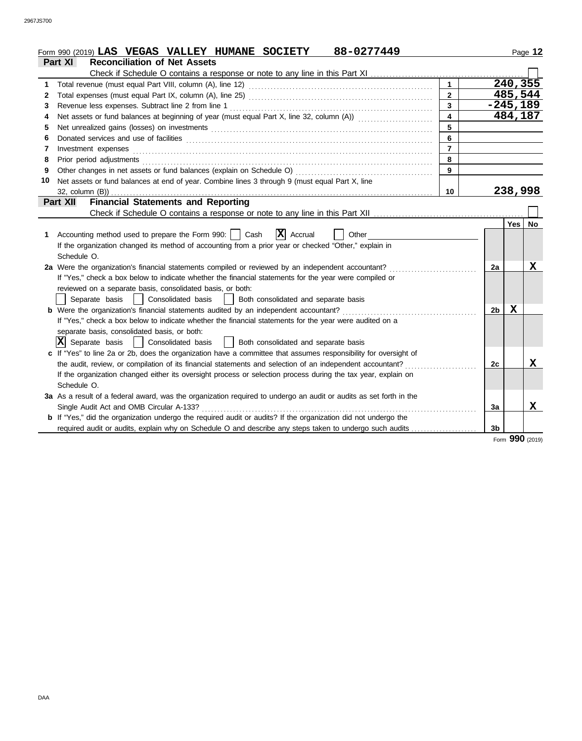|    | 88-0277449<br>Form 990 (2019) LAS VEGAS VALLEY HUMANE SOCIETY                                                                                                                                                                  |                         |                |            | Page 12     |
|----|--------------------------------------------------------------------------------------------------------------------------------------------------------------------------------------------------------------------------------|-------------------------|----------------|------------|-------------|
|    | <b>Reconciliation of Net Assets</b><br>Part XI                                                                                                                                                                                 |                         |                |            |             |
|    |                                                                                                                                                                                                                                |                         |                |            |             |
| 1. |                                                                                                                                                                                                                                | $\mathbf{1}$            |                | 240, 355   |             |
| 2  |                                                                                                                                                                                                                                | $\mathbf{2}$            |                | 485,544    |             |
| 3  | Revenue less expenses. Subtract line 2 from line 1                                                                                                                                                                             | $\mathbf{3}$            |                | $-245,189$ |             |
| 4  | Net assets or fund balances at beginning of year (must equal Part X, line 32, column (A)) [[[[[[[[[[[[[[[[[[[                                                                                                                  | $\overline{\mathbf{4}}$ |                | 484,187    |             |
| 5  | Net unrealized gains (losses) on investments [11] match and the contract of the state of the state of the state of the state of the state of the state of the state of the state of the state of the state of the state of the | 5                       |                |            |             |
| 6  |                                                                                                                                                                                                                                | 6                       |                |            |             |
| 7  | Investment expenses                                                                                                                                                                                                            | $\overline{7}$          |                |            |             |
| 8  | Prior period adjustments [11, 12] and the contract of the contract of the contract of the contract of the contract of the contract of the contract of the contract of the contract of the contract of the contract of the cont | 8                       |                |            |             |
| 9  | Other changes in net assets or fund balances (explain on Schedule O)                                                                                                                                                           | $\overline{9}$          |                |            |             |
| 10 | Net assets or fund balances at end of year. Combine lines 3 through 9 (must equal Part X, line                                                                                                                                 |                         |                |            |             |
|    | $32$ , column $(B)$ )                                                                                                                                                                                                          | 10                      |                | 238,998    |             |
|    | <b>Financial Statements and Reporting</b><br>Part XII                                                                                                                                                                          |                         |                |            |             |
|    |                                                                                                                                                                                                                                |                         |                |            |             |
|    |                                                                                                                                                                                                                                |                         |                | Yes        | <b>No</b>   |
| 1. | $ \mathbf{X} $ Accrual<br>Accounting method used to prepare the Form 990:     Cash<br>Other                                                                                                                                    |                         |                |            |             |
|    | If the organization changed its method of accounting from a prior year or checked "Other," explain in                                                                                                                          |                         |                |            |             |
|    | Schedule O.                                                                                                                                                                                                                    |                         |                |            |             |
|    | 2a Were the organization's financial statements compiled or reviewed by an independent accountant?                                                                                                                             |                         | 2a             |            | X           |
|    | If "Yes," check a box below to indicate whether the financial statements for the year were compiled or                                                                                                                         |                         |                |            |             |
|    | reviewed on a separate basis, consolidated basis, or both:                                                                                                                                                                     |                         |                |            |             |
|    | Both consolidated and separate basis<br>Separate basis   Consolidated basis                                                                                                                                                    |                         |                |            |             |
|    | b Were the organization's financial statements audited by an independent accountant?                                                                                                                                           |                         | 2 <sub>b</sub> | X          |             |
|    | If "Yes," check a box below to indicate whether the financial statements for the year were audited on a                                                                                                                        |                         |                |            |             |
|    | separate basis, consolidated basis, or both:                                                                                                                                                                                   |                         |                |            |             |
|    | $ \mathbf{X} $ Separate basis<br>Consolidated basis<br>  Both consolidated and separate basis                                                                                                                                  |                         |                |            |             |
|    | c If "Yes" to line 2a or 2b, does the organization have a committee that assumes responsibility for oversight of                                                                                                               |                         |                |            |             |
|    | the audit, review, or compilation of its financial statements and selection of an independent accountant?                                                                                                                      |                         | 2с             |            | х           |
|    | If the organization changed either its oversight process or selection process during the tax year, explain on                                                                                                                  |                         |                |            |             |
|    | Schedule O.                                                                                                                                                                                                                    |                         |                |            |             |
|    | 3a As a result of a federal award, was the organization required to undergo an audit or audits as set forth in the                                                                                                             |                         |                |            |             |
|    | Single Audit Act and OMB Circular A-133?                                                                                                                                                                                       |                         | 3a             |            | $\mathbf X$ |
|    | b If "Yes," did the organization undergo the required audit or audits? If the organization did not undergo the                                                                                                                 |                         |                |            |             |
|    | required audit or audits, explain why on Schedule O and describe any steps taken to undergo such audits                                                                                                                        |                         | 3 <sub>b</sub> |            |             |

Form **990** (2019)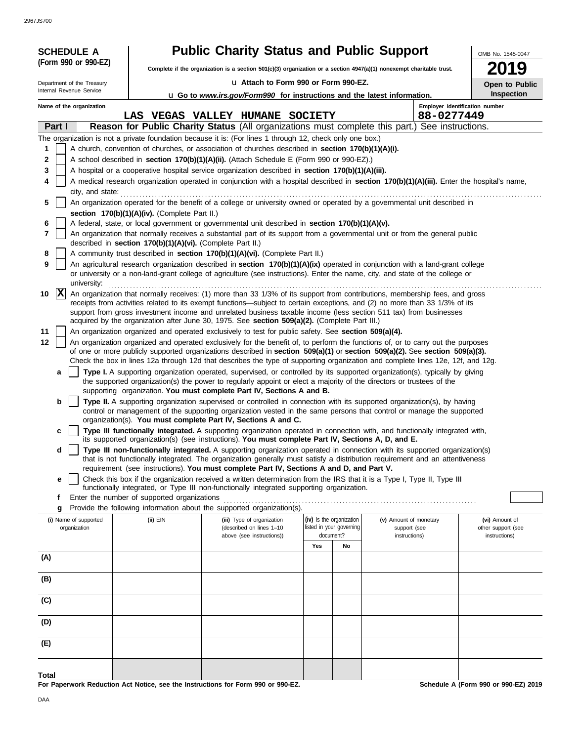2967JS700

| <b>SCHEDULE A</b>          |                                                            | <b>Public Charity Status and Public Support</b>                                                                                                                                                                                                                 |                          |                        | OMB No. 1545-0047              |
|----------------------------|------------------------------------------------------------|-----------------------------------------------------------------------------------------------------------------------------------------------------------------------------------------------------------------------------------------------------------------|--------------------------|------------------------|--------------------------------|
| (Form 990 or 990-EZ)       |                                                            | Complete if the organization is a section 501(c)(3) organization or a section $4947(a)(1)$ nonexempt charitable trust.                                                                                                                                          |                          |                        | 19                             |
| Department of the Treasury |                                                            | La Attach to Form 990 or Form 990-EZ.                                                                                                                                                                                                                           |                          |                        | Open to Public                 |
| Internal Revenue Service   |                                                            | u Go to www.irs.gov/Form990 for instructions and the latest information.                                                                                                                                                                                        |                          |                        | Inspection                     |
| Name of the organization   |                                                            |                                                                                                                                                                                                                                                                 |                          |                        | Employer identification number |
|                            |                                                            | LAS VEGAS VALLEY HUMANE SOCIETY                                                                                                                                                                                                                                 |                          | 88-0277449             |                                |
| Part I                     |                                                            | Reason for Public Charity Status (All organizations must complete this part.) See instructions.                                                                                                                                                                 |                          |                        |                                |
|                            |                                                            | The organization is not a private foundation because it is: (For lines 1 through 12, check only one box.)                                                                                                                                                       |                          |                        |                                |
| 1<br>2                     |                                                            | A church, convention of churches, or association of churches described in section 170(b)(1)(A)(i).<br>A school described in section 170(b)(1)(A)(ii). (Attach Schedule E (Form 990 or 990-EZ).)                                                                 |                          |                        |                                |
| 3                          |                                                            | A hospital or a cooperative hospital service organization described in section 170(b)(1)(A)(iii).                                                                                                                                                               |                          |                        |                                |
| 4                          |                                                            | A medical research organization operated in conjunction with a hospital described in section 170(b)(1)(A)(iii). Enter the hospital's name,                                                                                                                      |                          |                        |                                |
| city, and state:           |                                                            |                                                                                                                                                                                                                                                                 |                          |                        |                                |
| 5                          |                                                            | An organization operated for the benefit of a college or university owned or operated by a governmental unit described in                                                                                                                                       |                          |                        |                                |
|                            | section 170(b)(1)(A)(iv). (Complete Part II.)              |                                                                                                                                                                                                                                                                 |                          |                        |                                |
| 6                          |                                                            | A federal, state, or local government or governmental unit described in section 170(b)(1)(A)(v).                                                                                                                                                                |                          |                        |                                |
| 7                          | described in section 170(b)(1)(A)(vi). (Complete Part II.) | An organization that normally receives a substantial part of its support from a governmental unit or from the general public                                                                                                                                    |                          |                        |                                |
| 8                          |                                                            | A community trust described in section 170(b)(1)(A)(vi). (Complete Part II.)                                                                                                                                                                                    |                          |                        |                                |
| 9                          |                                                            | An agricultural research organization described in section 170(b)(1)(A)(ix) operated in conjunction with a land-grant college<br>or university or a non-land-grant college of agriculture (see instructions). Enter the name, city, and state of the college or |                          |                        |                                |
| university:                |                                                            |                                                                                                                                                                                                                                                                 |                          |                        |                                |
| $ {\bf x} $<br>10          |                                                            | An organization that normally receives: (1) more than 33 1/3% of its support from contributions, membership fees, and gross<br>receipts from activities related to its exempt functions—subject to certain exceptions, and (2) no more than 33 1/3% of its      |                          |                        |                                |
|                            |                                                            | support from gross investment income and unrelated business taxable income (less section 511 tax) from businesses                                                                                                                                               |                          |                        |                                |
|                            |                                                            | acquired by the organization after June 30, 1975. See section 509(a)(2). (Complete Part III.)                                                                                                                                                                   |                          |                        |                                |
| 11                         |                                                            | An organization organized and operated exclusively to test for public safety. See section 509(a)(4).                                                                                                                                                            |                          |                        |                                |
| 12                         |                                                            | An organization organized and operated exclusively for the benefit of, to perform the functions of, or to carry out the purposes                                                                                                                                |                          |                        |                                |
|                            |                                                            | of one or more publicly supported organizations described in section 509(a)(1) or section 509(a)(2). See section 509(a)(3).<br>Check the box in lines 12a through 12d that describes the type of supporting organization and complete lines 12e, 12f, and 12g.  |                          |                        |                                |
| a                          |                                                            | Type I. A supporting organization operated, supervised, or controlled by its supported organization(s), typically by giving                                                                                                                                     |                          |                        |                                |
|                            |                                                            | the supported organization(s) the power to regularly appoint or elect a majority of the directors or trustees of the                                                                                                                                            |                          |                        |                                |
|                            |                                                            | supporting organization. You must complete Part IV, Sections A and B.                                                                                                                                                                                           |                          |                        |                                |
| b                          |                                                            | Type II. A supporting organization supervised or controlled in connection with its supported organization(s), by having                                                                                                                                         |                          |                        |                                |
|                            |                                                            | control or management of the supporting organization vested in the same persons that control or manage the supported<br>organization(s). You must complete Part IV, Sections A and C.                                                                           |                          |                        |                                |
| c                          |                                                            | Type III functionally integrated. A supporting organization operated in connection with, and functionally integrated with,                                                                                                                                      |                          |                        |                                |
|                            |                                                            | its supported organization(s) (see instructions). You must complete Part IV, Sections A, D, and E.                                                                                                                                                              |                          |                        |                                |
| d                          |                                                            | Type III non-functionally integrated. A supporting organization operated in connection with its supported organization(s)<br>that is not functionally integrated. The organization generally must satisfy a distribution requirement and an attentiveness       |                          |                        |                                |
|                            |                                                            | requirement (see instructions). You must complete Part IV, Sections A and D, and Part V.                                                                                                                                                                        |                          |                        |                                |
| е                          |                                                            | Check this box if the organization received a written determination from the IRS that it is a Type I, Type II, Type III                                                                                                                                         |                          |                        |                                |
|                            |                                                            | functionally integrated, or Type III non-functionally integrated supporting organization.                                                                                                                                                                       |                          |                        |                                |
| f<br>g                     | Enter the number of supported organizations                | Provide the following information about the supported organization(s).                                                                                                                                                                                          |                          |                        |                                |
| (i) Name of supported      | (ii) EIN                                                   | (iii) Type of organization                                                                                                                                                                                                                                      | (iv) Is the organization | (v) Amount of monetary | (vi) Amount of                 |
| organization               |                                                            | (described on lines 1-10                                                                                                                                                                                                                                        | listed in your governing | support (see           | other support (see             |
|                            |                                                            | above (see instructions))                                                                                                                                                                                                                                       | document?                | instructions)          | instructions)                  |
|                            |                                                            |                                                                                                                                                                                                                                                                 | Yes<br>No                |                        |                                |
| (A)                        |                                                            |                                                                                                                                                                                                                                                                 |                          |                        |                                |
| (B)                        |                                                            |                                                                                                                                                                                                                                                                 |                          |                        |                                |
| (C)                        |                                                            |                                                                                                                                                                                                                                                                 |                          |                        |                                |
|                            |                                                            |                                                                                                                                                                                                                                                                 |                          |                        |                                |
| (D)                        |                                                            |                                                                                                                                                                                                                                                                 |                          |                        |                                |
| (E)                        |                                                            |                                                                                                                                                                                                                                                                 |                          |                        |                                |
|                            |                                                            |                                                                                                                                                                                                                                                                 |                          |                        |                                |
| <b>Total</b>               |                                                            |                                                                                                                                                                                                                                                                 |                          |                        |                                |

**For Paperwork Reduction Act Notice, see the Instructions for Form 990 or 990-EZ.**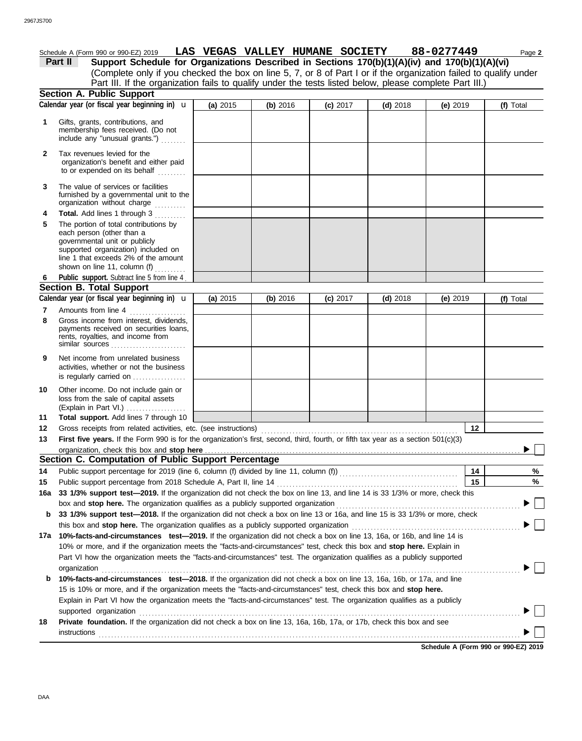(Explain in Part VI.) . . . . . . . . . . . . . . . . . . . governmental unit or publicly **Section A. Public Support Total support.** Add lines 7 through 10 loss from the sale of capital assets Other income. Do not include gain or is regularly carried on ................. activities, whether or not the business Net income from unrelated business rents, royalties, and income from payments received on securities loans, Gross income from interest, dividends, line 1 that exceeds 2% of the amount supported organization) included on each person (other than a The portion of total contributions by **Total.** Add lines 1 through 3 .......... The value of services or facilities to or expended on its behalf ......... organization's benefit and either paid Tax revenues levied for the First five years. If the Form 990 is for the organization's first, second, third, fourth, or fifth tax year as a section 501(c)(3) Gross receipts from related activities, etc. (see instructions) . . . . . . . . . . . . . . . . . . . . . . . . . . . . . . . . . . . . . . . . . . . . . . . . . . . . . . . . . . . . . . . Amounts from line 4 Public support. Subtract line 5 from line 4 include any "unusual grants.") . . . . . . . . membership fees received. (Do not Gifts, grants, contributions, and Schedule A (Form 990 or 990-EZ) 2019 **LAS VEGAS VALLEY HUMANE SOCIETY** 88-0277449 Page 2 **13 12 11 9 8 6 4 3 2 1 (a)** 2015 **(b)** 2016 **(c)** 2017 **(d)** 2018 **(e)** 2019 (Complete only if you checked the box on line 5, 7, or 8 of Part I or if the organization failed to qualify under **Part II Support Schedule for Organizations Described in Sections 170(b)(1)(A)(iv) and 170(b)(1)(A)(vi)** Calendar year (or fiscal year beginning in) **\u** | (a) 2015 | (b) 2016 | (c) 2017 | (d) 2018 | (e) 2019 | (f) Total furnished by a governmental unit to the organization without charge **5 Section B. Total Support 7** similar sources **10** organization, check this box and stop here **Section C. Computation of Public Support Percentage 12 14** Public support percentage for 2019 (line 6, column (f) divided by line 11, column (f)) . . . . . . . . . . . . . . . . . . . . . . . . . . . . . . . . . . . . . . Public support percentage from 2018 Schedule A, Part II, line 14 . . . . . . . . . . . . . . . . . . . . . . . . . . . . . . . . . . . . . . . . . . . . . . . . . . . . . . . . . . **15 16a 33 1/3% support test—2019.** If the organization did not check the box on line 13, and line 14 is 33 1/3% or more, check this box and stop here. The organization qualifies as a publicly supported organization ............... **b 33 1/3% support test—2018.** If the organization did not check a box on line 13 or 16a, and line 15 is 33 1/3% or more, check this box and **stop here.** The organization qualifies as a publicly supported organization . . . . . . . . . . . . . . . . . . . . . . . . . . . . . . . . . . . . . . . . . . . . . . . . . . . . . . **17a 10%-facts-and-circumstances test—2019.** If the organization did not check a box on line 13, 16a, or 16b, and line 14 is 10% or more, and if the organization meets the "facts-and-circumstances" test, check this box and **stop here.** Explain in Part VI how the organization meets the "facts-and-circumstances" test. The organization qualifies as a publicly supported **b 10%-facts-and-circumstances test—2018.** If the organization did not check a box on line 13, 16a, 16b, or 17a, and line Explain in Part VI how the organization meets the "facts-and-circumstances" test. The organization qualifies as a publicly 15 is 10% or more, and if the organization meets the "facts-and-circumstances" test, check this box and **stop here. 18 Private foundation.** If the organization did not check a box on line 13, 16a, 16b, 17a, or 17b, check this box and see **14 15 % %** Calendar year (or fiscal year beginning in)  $\bf{u}$  (a) 2015 (b) 2016 (c) 2017 (d) 2018 (e) 2019 (f) Total Part III. If the organization fails to qualify under the tests listed below, please complete Part III.) **(a)** 2015 shown on line 11, column (f)  $\ldots$ organization content to the content of the content of the content of the content of the content of the content of the content of the content of the content of the content of the content of the content of the content of the supported organization . . . . . . . . . . . . . . . . . . . . . . . . . . . . . . . . . . . . . . . . . . . . . . . . . . . . . . . . . . . . . . . . . . . . . . . . . . . . . . . . . . . . . . . . . . . . . . . . . . . . . . . . . . . . . . . . . . . . . . . . . . instructions . . . . . . . . . . . . . . . . . . . . . . . . . . . . . . . . . . . . . . . . . . . . . . . . . . . . . . . . . . . . . . . . . . . . . . . . . . . . . . . . . . . . . . . . . . . . . . . . . . . . . . . . . . . . . . . . . . . . . . . . . . . . . . . . . . . . . . . u **(b)** 2016 **(c)** 2017 **(d)** 2018 **(e)** 2019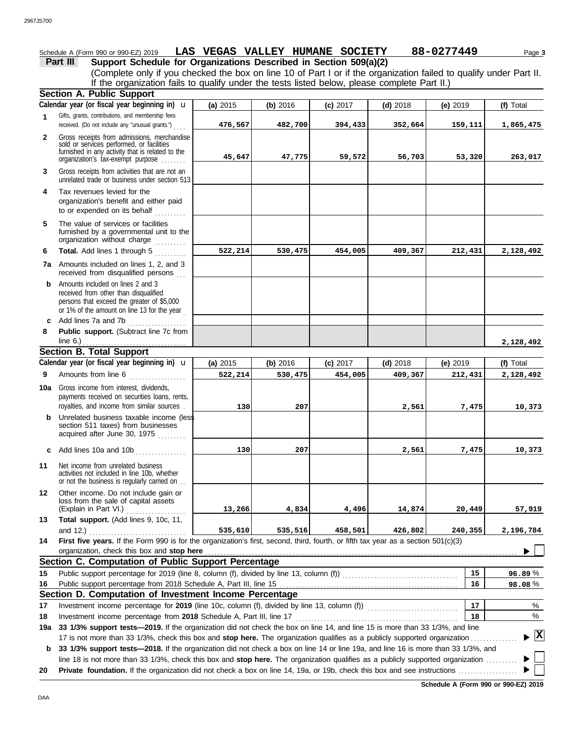|              | Schedule A (Form 990 or 990-EZ) 2019                                                                                                                                                                                                                                 | LAS VEGAS VALLEY HUMANE SOCIETY |          |            |            | 88-0277449 | Page 3    |
|--------------|----------------------------------------------------------------------------------------------------------------------------------------------------------------------------------------------------------------------------------------------------------------------|---------------------------------|----------|------------|------------|------------|-----------|
|              | Part III<br>Support Schedule for Organizations Described in Section 509(a)(2)                                                                                                                                                                                        |                                 |          |            |            |            |           |
|              | (Complete only if you checked the box on line 10 of Part I or if the organization failed to qualify under Part II.                                                                                                                                                   |                                 |          |            |            |            |           |
|              | If the organization fails to qualify under the tests listed below, please complete Part II.)                                                                                                                                                                         |                                 |          |            |            |            |           |
|              | Section A. Public Support                                                                                                                                                                                                                                            |                                 |          |            |            |            |           |
|              | Calendar year (or fiscal year beginning in) <b>u</b>                                                                                                                                                                                                                 | (a) 2015                        | (b) 2016 | (c) 2017   | $(d)$ 2018 | (e) 2019   | (f) Total |
| 1            | Gifts, grants, contributions, and membership fees<br>received. (Do not include any "unusual grants.")                                                                                                                                                                | 476,567                         | 482,700  | 394,433    | 352,664    | 159,111    | 1,865,475 |
| $\mathbf{2}$ | Gross receipts from admissions, merchandise<br>sold or services performed, or facilities<br>furnished in any activity that is related to the<br>organization's fax-exempt purpose                                                                                    | 45,647                          | 47,775   | 59,572     | 56,703     | 53,320     | 263,017   |
| 3            | Gross receipts from activities that are not an<br>unrelated trade or business under section 513                                                                                                                                                                      |                                 |          |            |            |            |           |
| 4            | Tax revenues levied for the<br>organization's benefit and either paid<br>to or expended on its behalf                                                                                                                                                                |                                 |          |            |            |            |           |
| 5            | The value of services or facilities<br>furnished by a governmental unit to the<br>organization without charge                                                                                                                                                        |                                 |          |            |            |            |           |
| 6            | Total. Add lines 1 through 5<br>.                                                                                                                                                                                                                                    | 522,214                         | 530,475  | 454,005    | 409,367    | 212,431    | 2,128,492 |
|              | 7a Amounts included on lines 1, 2, and 3<br>received from disqualified persons                                                                                                                                                                                       |                                 |          |            |            |            |           |
| b            | Amounts included on lines 2 and 3<br>received from other than disqualified<br>persons that exceed the greater of \$5,000<br>or 1% of the amount on line 13 for the year                                                                                              |                                 |          |            |            |            |           |
|              | c Add lines 7a and 7b<br>.                                                                                                                                                                                                                                           |                                 |          |            |            |            |           |
| 8            | Public support. (Subtract line 7c from                                                                                                                                                                                                                               |                                 |          |            |            |            | 2,128,492 |
|              | <b>Section B. Total Support</b>                                                                                                                                                                                                                                      |                                 |          |            |            |            |           |
|              | Calendar year (or fiscal year beginning in) <b>u</b>                                                                                                                                                                                                                 | (a) 2015                        | (b) 2016 | $(c)$ 2017 | $(d)$ 2018 | (e) $2019$ | (f) Total |
| 9            | Amounts from line 6                                                                                                                                                                                                                                                  | 522,214                         | 530,475  | 454,005    | 409,367    | 212,431    | 2,128,492 |
|              | <b>10a</b> Gross income from interest, dividends,<br>payments received on securities loans, rents,<br>royalties, and income from similar sources.                                                                                                                    | 130                             | 207      |            | 2,561      | 7,475      | 10,373    |
|              | <b>b</b> Unrelated business taxable income (less<br>section 511 taxes) from businesses<br>acquired after June 30, 1975                                                                                                                                               |                                 |          |            |            |            |           |
|              | c Add lines 10a and 10b $\ldots$                                                                                                                                                                                                                                     | 130                             | 207      |            | 2,561      | 7,475      | 10,373    |
| 11           | Net income from unrelated business<br>activities not included in line 10b, whether<br>or not the business is regularly carried on.                                                                                                                                   |                                 |          |            |            |            |           |
| 12           | Other income. Do not include gain or<br>loss from the sale of capital assets<br>(Explain in Part VI.)                                                                                                                                                                | 13,266                          | 4,834    | 4,496      | 14,874     | 20,449     | 57,919    |
| 13           | Total support. (Add lines 9, 10c, 11,                                                                                                                                                                                                                                |                                 |          |            |            |            |           |
| 14           | and 12.)<br>First five years. If the Form 990 is for the organization's first, second, third, fourth, or fifth tax year as a section 501(c)(3)                                                                                                                       | 535,610                         | 535,516  | 458,501    | 426,802    | 240,355    | 2,196,784 |
|              | organization, check this box and stop here                                                                                                                                                                                                                           |                                 |          |            |            |            |           |
|              | Section C. Computation of Public Support Percentage                                                                                                                                                                                                                  |                                 |          |            |            |            |           |
| 15           |                                                                                                                                                                                                                                                                      |                                 |          |            |            | 15         | 96.89%    |
| 16           |                                                                                                                                                                                                                                                                      |                                 |          |            |            | 16         | 98.08%    |
|              | Section D. Computation of Investment Income Percentage                                                                                                                                                                                                               |                                 |          |            |            |            |           |
| 17           |                                                                                                                                                                                                                                                                      |                                 |          |            |            | 17<br>18   | %<br>$\%$ |
| 18<br>19a    | 33 1/3% support tests—2019. If the organization did not check the box on line 14, and line 15 is more than 33 1/3%, and line                                                                                                                                         |                                 |          |            |            |            |           |
|              | 17 is not more than 33 1/3%, check this box and stop here. The organization qualifies as a publicly supported organization                                                                                                                                           |                                 |          |            |            |            |           |
| b            | 33 1/3% support tests—2018. If the organization did not check a box on line 14 or line 19a, and line 16 is more than 33 1/3%, and<br>line 18 is not more than 33 1/3%, check this box and stop here. The organization qualifies as a publicly supported organization |                                 |          |            |            |            |           |
| 20           |                                                                                                                                                                                                                                                                      |                                 |          |            |            |            |           |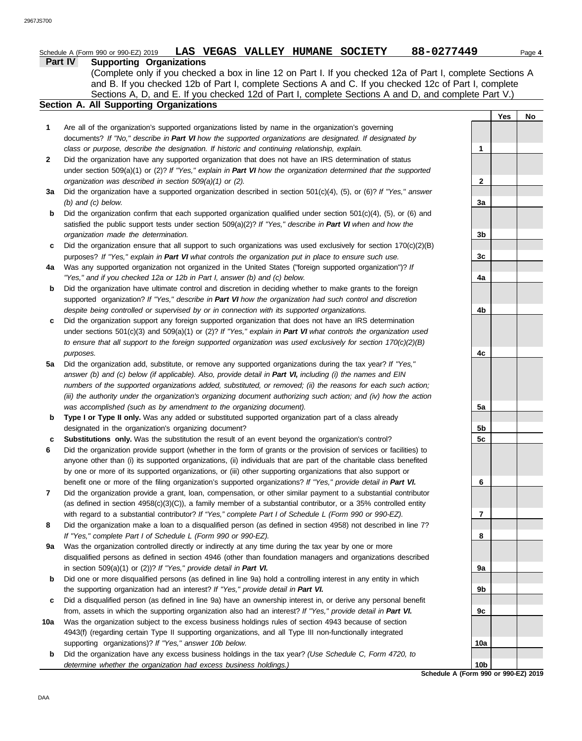|              | 88-0277449<br>LAS VEGAS VALLEY HUMANE SOCIETY<br>Schedule A (Form 990 or 990-EZ) 2019                                                                                                                                                                                      |     |            | Page 4 |
|--------------|----------------------------------------------------------------------------------------------------------------------------------------------------------------------------------------------------------------------------------------------------------------------------|-----|------------|--------|
|              | <b>Supporting Organizations</b><br><b>Part IV</b><br>(Complete only if you checked a box in line 12 on Part I. If you checked 12a of Part I, complete Sections A<br>and B. If you checked 12b of Part I, complete Sections A and C. If you checked 12c of Part I, complete |     |            |        |
|              | Sections A, D, and E. If you checked 12d of Part I, complete Sections A and D, and complete Part V.)<br>Section A. All Supporting Organizations                                                                                                                            |     |            |        |
|              |                                                                                                                                                                                                                                                                            |     | <b>Yes</b> | No     |
| 1            | Are all of the organization's supported organizations listed by name in the organization's governing                                                                                                                                                                       |     |            |        |
|              | documents? If "No," describe in Part VI how the supported organizations are designated. If designated by                                                                                                                                                                   |     |            |        |
|              | class or purpose, describe the designation. If historic and continuing relationship, explain.                                                                                                                                                                              | 1   |            |        |
| $\mathbf{2}$ | Did the organization have any supported organization that does not have an IRS determination of status                                                                                                                                                                     |     |            |        |
|              | under section 509(a)(1) or (2)? If "Yes," explain in Part VI how the organization determined that the supported<br>organization was described in section 509(a)(1) or (2).                                                                                                 | 2   |            |        |
| За           | Did the organization have a supported organization described in section 501(c)(4), (5), or (6)? If "Yes," answer                                                                                                                                                           |     |            |        |
|              | $(b)$ and $(c)$ below.                                                                                                                                                                                                                                                     | 3a  |            |        |
| b            | Did the organization confirm that each supported organization qualified under section $501(c)(4)$ , (5), or (6) and                                                                                                                                                        |     |            |        |
|              | satisfied the public support tests under section 509(a)(2)? If "Yes," describe in Part VI when and how the                                                                                                                                                                 |     |            |        |
|              | organization made the determination.                                                                                                                                                                                                                                       | 3b  |            |        |
| c            | Did the organization ensure that all support to such organizations was used exclusively for section $170(c)(2)(B)$                                                                                                                                                         |     |            |        |
|              | purposes? If "Yes," explain in Part VI what controls the organization put in place to ensure such use.                                                                                                                                                                     | 3c  |            |        |
| 4a           | Was any supported organization not organized in the United States ("foreign supported organization")? If                                                                                                                                                                   |     |            |        |
| $\mathbf b$  | "Yes," and if you checked 12a or 12b in Part I, answer (b) and (c) below.<br>Did the organization have ultimate control and discretion in deciding whether to make grants to the foreign                                                                                   | 4a  |            |        |
|              | supported organization? If "Yes," describe in Part VI how the organization had such control and discretion                                                                                                                                                                 |     |            |        |
|              | despite being controlled or supervised by or in connection with its supported organizations.                                                                                                                                                                               | 4b  |            |        |
| c            | Did the organization support any foreign supported organization that does not have an IRS determination                                                                                                                                                                    |     |            |        |
|              | under sections $501(c)(3)$ and $509(a)(1)$ or (2)? If "Yes," explain in Part VI what controls the organization used                                                                                                                                                        |     |            |        |
|              | to ensure that all support to the foreign supported organization was used exclusively for section $170(c)(2)(B)$                                                                                                                                                           |     |            |        |
|              | purposes.                                                                                                                                                                                                                                                                  | 4c  |            |        |
| 5a           | Did the organization add, substitute, or remove any supported organizations during the tax year? If "Yes,"                                                                                                                                                                 |     |            |        |
|              | answer (b) and (c) below (if applicable). Also, provide detail in Part VI, including (i) the names and EIN                                                                                                                                                                 |     |            |        |
|              | numbers of the supported organizations added, substituted, or removed; (ii) the reasons for each such action;<br>(iii) the authority under the organization's organizing document authorizing such action; and (iv) how the action                                         |     |            |        |
|              | was accomplished (such as by amendment to the organizing document).                                                                                                                                                                                                        | 5a  |            |        |
| b            | Type I or Type II only. Was any added or substituted supported organization part of a class already                                                                                                                                                                        |     |            |        |
|              | designated in the organization's organizing document?                                                                                                                                                                                                                      | 5b  |            |        |
|              | <b>Substitutions only.</b> Was the substitution the result of an event beyond the organization's control?                                                                                                                                                                  | 5c  |            |        |
| 6            | Did the organization provide support (whether in the form of grants or the provision of services or facilities) to                                                                                                                                                         |     |            |        |
|              | anyone other than (i) its supported organizations, (ii) individuals that are part of the charitable class benefited                                                                                                                                                        |     |            |        |
|              | by one or more of its supported organizations, or (iii) other supporting organizations that also support or                                                                                                                                                                |     |            |        |
| 7            | benefit one or more of the filing organization's supported organizations? If "Yes," provide detail in Part VI.<br>Did the organization provide a grant, loan, compensation, or other similar payment to a substantial contributor                                          | 6   |            |        |
|              | (as defined in section $4958(c)(3)(C)$ ), a family member of a substantial contributor, or a 35% controlled entity                                                                                                                                                         |     |            |        |
|              | with regard to a substantial contributor? If "Yes," complete Part I of Schedule L (Form 990 or 990-EZ).                                                                                                                                                                    | 7   |            |        |
| 8            | Did the organization make a loan to a disqualified person (as defined in section 4958) not described in line 7?                                                                                                                                                            |     |            |        |
|              | If "Yes," complete Part I of Schedule L (Form 990 or 990-EZ).                                                                                                                                                                                                              | 8   |            |        |
| 9а           | Was the organization controlled directly or indirectly at any time during the tax year by one or more                                                                                                                                                                      |     |            |        |
|              | disqualified persons as defined in section 4946 (other than foundation managers and organizations described                                                                                                                                                                |     |            |        |
|              | in section $509(a)(1)$ or $(2)$ ? If "Yes," provide detail in Part VI.                                                                                                                                                                                                     | 9a  |            |        |
| $\mathbf b$  | Did one or more disqualified persons (as defined in line 9a) hold a controlling interest in any entity in which                                                                                                                                                            |     |            |        |
| c            | the supporting organization had an interest? If "Yes," provide detail in Part VI.<br>Did a disqualified person (as defined in line 9a) have an ownership interest in, or derive any personal benefit                                                                       | 9b  |            |        |
|              | from, assets in which the supporting organization also had an interest? If "Yes," provide detail in Part VI.                                                                                                                                                               | 9c  |            |        |
| 10a          | Was the organization subject to the excess business holdings rules of section 4943 because of section                                                                                                                                                                      |     |            |        |
|              | 4943(f) (regarding certain Type II supporting organizations, and all Type III non-functionally integrated                                                                                                                                                                  |     |            |        |
|              | supporting organizations)? If "Yes," answer 10b below.                                                                                                                                                                                                                     | 10a |            |        |
| $\mathbf b$  | Did the organization have any excess business holdings in the tax year? (Use Schedule C, Form 4720, to                                                                                                                                                                     |     |            |        |
|              | determine whether the organization had excess business holdings.)                                                                                                                                                                                                          | 10b |            |        |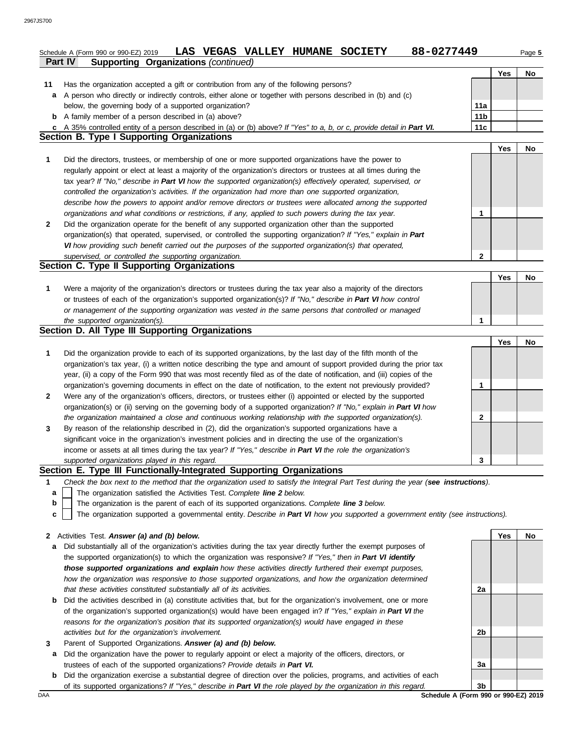|              | 88-0277449<br><b>VEGAS VALLEY HUMANE</b><br><b>SOCIETY</b><br>LAS<br>Schedule A (Form 990 or 990-EZ) 2019                         |                 |     | Page 5 |
|--------------|-----------------------------------------------------------------------------------------------------------------------------------|-----------------|-----|--------|
| Part IV      | <b>Supporting Organizations (continued)</b>                                                                                       |                 | Yes | No     |
| 11           | Has the organization accepted a gift or contribution from any of the following persons?                                           |                 |     |        |
| a            | A person who directly or indirectly controls, either alone or together with persons described in (b) and (c)                      |                 |     |        |
|              | below, the governing body of a supported organization?                                                                            | 11a             |     |        |
| b            | A family member of a person described in (a) above?                                                                               | 11 <sub>b</sub> |     |        |
| c            | A 35% controlled entity of a person described in (a) or (b) above? If "Yes" to a, b, or c, provide detail in Part VI.             | 11c             |     |        |
|              | <b>Section B. Type I Supporting Organizations</b>                                                                                 |                 |     |        |
|              |                                                                                                                                   |                 | Yes | No     |
| 1            | Did the directors, trustees, or membership of one or more supported organizations have the power to                               |                 |     |        |
|              | regularly appoint or elect at least a majority of the organization's directors or trustees at all times during the                |                 |     |        |
|              | tax year? If "No," describe in Part VI how the supported organization(s) effectively operated, supervised, or                     |                 |     |        |
|              | controlled the organization's activities. If the organization had more than one supported organization,                           |                 |     |        |
|              | describe how the powers to appoint and/or remove directors or trustees were allocated among the supported                         |                 |     |        |
|              | organizations and what conditions or restrictions, if any, applied to such powers during the tax year.                            | 1               |     |        |
| $\mathbf{2}$ | Did the organization operate for the benefit of any supported organization other than the supported                               |                 |     |        |
|              | organization(s) that operated, supervised, or controlled the supporting organization? If "Yes," explain in Part                   |                 |     |        |
|              | VI how providing such benefit carried out the purposes of the supported organization(s) that operated,                            |                 |     |        |
|              |                                                                                                                                   |                 |     |        |
|              | supervised, or controlled the supporting organization.<br>Section C. Type II Supporting Organizations                             | 2               |     |        |
|              |                                                                                                                                   |                 | Yes | No     |
|              | Were a majority of the organization's directors or trustees during the tax year also a majority of the directors                  |                 |     |        |
|              | or trustees of each of the organization's supported organization(s)? If "No," describe in Part VI how control                     |                 |     |        |
|              | or management of the supporting organization was vested in the same persons that controlled or managed                            |                 |     |        |
|              | the supported organization(s).                                                                                                    | $\mathbf 1$     |     |        |
|              | Section D. All Type III Supporting Organizations                                                                                  |                 |     |        |
|              |                                                                                                                                   |                 | Yes | No     |
|              | Did the organization provide to each of its supported organizations, by the last day of the fifth month of the                    |                 |     |        |
|              |                                                                                                                                   |                 |     |        |
|              | organization's tax year, (i) a written notice describing the type and amount of support provided during the prior tax             |                 |     |        |
|              | year, (ii) a copy of the Form 990 that was most recently filed as of the date of notification, and (iii) copies of the            |                 |     |        |
|              | organization's governing documents in effect on the date of notification, to the extent not previously provided?                  | 1               |     |        |
|              | Were any of the organization's officers, directors, or trustees either (i) appointed or elected by the supported                  |                 |     |        |
|              | organization(s) or (ii) serving on the governing body of a supported organization? If "No," explain in Part VI how                |                 |     |        |
|              | the organization maintained a close and continuous working relationship with the supported organization(s).                       | 2               |     |        |
|              | By reason of the relationship described in (2), did the organization's supported organizations have a                             |                 |     |        |
|              | significant voice in the organization's investment policies and in directing the use of the organization's                        |                 |     |        |
|              | income or assets at all times during the tax year? If "Yes," describe in Part VI the role the organization's                      |                 |     |        |
|              | supported organizations played in this regard.                                                                                    | 3               |     |        |
|              | Section E. Type III Functionally-Integrated Supporting Organizations                                                              |                 |     |        |
|              | Check the box next to the method that the organization used to satisfy the Integral Part Test during the year (see instructions). |                 |     |        |
| a            | The organization satisfied the Activities Test. Complete line 2 below.                                                            |                 |     |        |
| b            | The organization is the parent of each of its supported organizations. Complete line 3 below.                                     |                 |     |        |
| c            | The organization supported a governmental entity. Describe in Part VI how you supported a government entity (see instructions).   |                 |     |        |
|              |                                                                                                                                   |                 |     |        |
| 2            | Activities Test. Answer (a) and (b) below.                                                                                        |                 | Yes | No     |
| a            | Did substantially all of the organization's activities during the tax year directly further the exempt purposes of                |                 |     |        |
|              | the supported organization(s) to which the organization was responsive? If "Yes," then in Part VI identify                        |                 |     |        |
|              | those supported organizations and explain how these activities directly furthered their exempt purposes,                          |                 |     |        |
|              | how the organization was responsive to those supported organizations, and how the organization determined                         |                 |     |        |
|              | that these activities constituted substantially all of its activities.                                                            | 2a              |     |        |

**b** Did the activities described in (a) constitute activities that, but for the organization's involvement, one or more

of the organization's supported organization(s) would have been engaged in? *If "Yes," explain in Part VI the reasons for the organization's position that its supported organization(s) would have engaged in these* 

**b** Did the organization exercise a substantial degree of direction over the policies, programs, and activities of each

**a** Did the organization have the power to regularly appoint or elect a majority of the officers, directors, or

*activities but for the organization's involvement.*

Parent of Supported Organizations. *Answer (a) and (b) below.*

trustees of each of the supported organizations? *Provide details in Part VI.*

**2b**

**3a**

**3**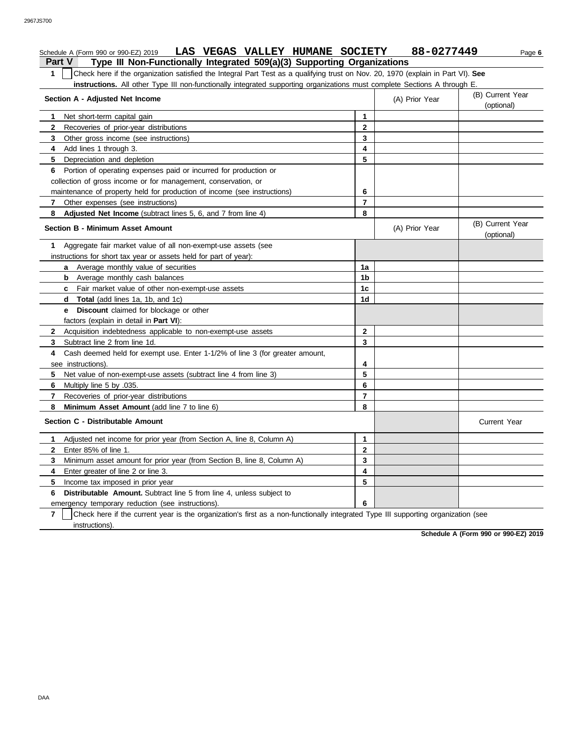| LAS VEGAS VALLEY HUMANE SOCIETY<br>Schedule A (Form 990 or 990-EZ) 2019                                                                                                                                                    |                | 88-0277449     | Page 6                         |
|----------------------------------------------------------------------------------------------------------------------------------------------------------------------------------------------------------------------------|----------------|----------------|--------------------------------|
| Part V<br>Type III Non-Functionally Integrated 509(a)(3) Supporting Organizations<br>Check here if the organization satisfied the Integral Part Test as a qualifying trust on Nov. 20, 1970 (explain in Part VI). See<br>1 |                |                |                                |
| instructions. All other Type III non-functionally integrated supporting organizations must complete Sections A through E.                                                                                                  |                |                |                                |
| Section A - Adjusted Net Income                                                                                                                                                                                            |                | (A) Prior Year | (B) Current Year<br>(optional) |
| Net short-term capital gain<br>1.                                                                                                                                                                                          | 1              |                |                                |
| Recoveries of prior-year distributions<br>2                                                                                                                                                                                | $\mathbf{2}$   |                |                                |
| Other gross income (see instructions)<br>3                                                                                                                                                                                 | 3              |                |                                |
| Add lines 1 through 3.<br>4                                                                                                                                                                                                | 4              |                |                                |
| 5<br>Depreciation and depletion                                                                                                                                                                                            | 5              |                |                                |
| Portion of operating expenses paid or incurred for production or<br>6                                                                                                                                                      |                |                |                                |
| collection of gross income or for management, conservation, or                                                                                                                                                             |                |                |                                |
| maintenance of property held for production of income (see instructions)                                                                                                                                                   | 6              |                |                                |
| Other expenses (see instructions)<br>7                                                                                                                                                                                     | $\overline{7}$ |                |                                |
| Adjusted Net Income (subtract lines 5, 6, and 7 from line 4)<br>8                                                                                                                                                          | 8              |                |                                |
| <b>Section B - Minimum Asset Amount</b>                                                                                                                                                                                    |                | (A) Prior Year | (B) Current Year<br>(optional) |
| Aggregate fair market value of all non-exempt-use assets (see<br>1                                                                                                                                                         |                |                |                                |
| instructions for short tax year or assets held for part of year):                                                                                                                                                          |                |                |                                |
| a Average monthly value of securities                                                                                                                                                                                      | 1a             |                |                                |
| <b>b</b> Average monthly cash balances                                                                                                                                                                                     | 1 <sub>b</sub> |                |                                |
| Fair market value of other non-exempt-use assets<br>C                                                                                                                                                                      | 1c             |                |                                |
| d Total (add lines 1a, 1b, and 1c)                                                                                                                                                                                         | 1d             |                |                                |
| e Discount claimed for blockage or other                                                                                                                                                                                   |                |                |                                |
| factors (explain in detail in Part VI):                                                                                                                                                                                    |                |                |                                |
| Acquisition indebtedness applicable to non-exempt-use assets<br>$\mathbf{2}$                                                                                                                                               | $\mathbf{2}$   |                |                                |
| Subtract line 2 from line 1d.<br>3                                                                                                                                                                                         | 3              |                |                                |
| Cash deemed held for exempt use. Enter 1-1/2% of line 3 (for greater amount,<br>4                                                                                                                                          |                |                |                                |
| see instructions)                                                                                                                                                                                                          | 4              |                |                                |
| Net value of non-exempt-use assets (subtract line 4 from line 3)<br>5.                                                                                                                                                     | 5              |                |                                |
| Multiply line 5 by .035.<br>6                                                                                                                                                                                              | 6              |                |                                |
| Recoveries of prior-year distributions<br>7                                                                                                                                                                                | $\overline{7}$ |                |                                |
| Minimum Asset Amount (add line 7 to line 6)<br>8                                                                                                                                                                           | 8              |                |                                |
| Section C - Distributable Amount                                                                                                                                                                                           |                |                | <b>Current Year</b>            |
| Adjusted net income for prior year (from Section A, line 8, Column A)<br>1.                                                                                                                                                | 1              |                |                                |
| Enter 85% of line 1.<br>2                                                                                                                                                                                                  | 2              |                |                                |
| Minimum asset amount for prior year (from Section B, line 8, Column A)<br>3                                                                                                                                                | 3              |                |                                |
| Enter greater of line 2 or line 3.<br>4                                                                                                                                                                                    | 4              |                |                                |
| 5<br>Income tax imposed in prior year                                                                                                                                                                                      | 5              |                |                                |
| Distributable Amount. Subtract line 5 from line 4, unless subject to<br>6                                                                                                                                                  |                |                |                                |
| emergency temporary reduction (see instructions).                                                                                                                                                                          | 6              |                |                                |
| $\overline{7}$<br>Check here if the current year is the organization's first as a non-functionally integrated Type III supporting organization (see                                                                        |                |                |                                |
| instructions).                                                                                                                                                                                                             |                |                |                                |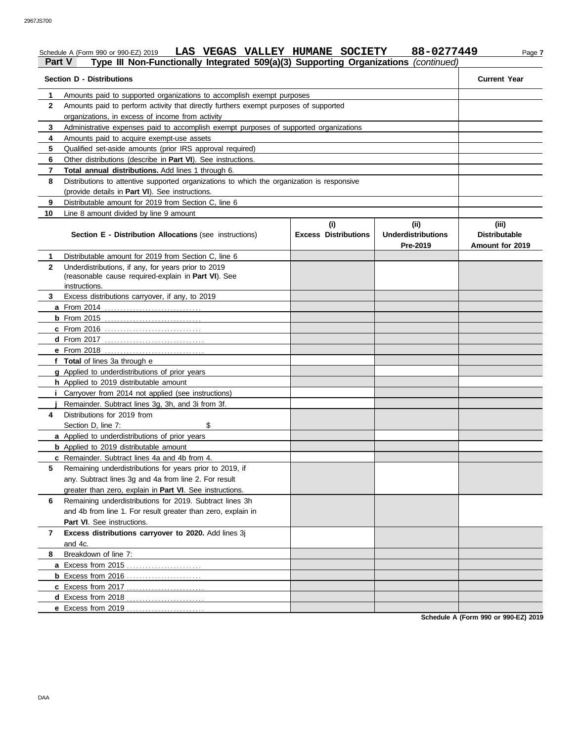# Schedule A (Form 990 or 990-EZ) 2019 **LAS VEGAS VALLEY HUMANE SOCIETY** 88-0277449 Page 7 **Part V Type III Non-Functionally Integrated 509(a)(3) Supporting Organizations** *(continued)*

| <b>Section D - Distributions</b> | <b>Current Year</b>                                                                        |                             |                           |                        |  |  |  |  |
|----------------------------------|--------------------------------------------------------------------------------------------|-----------------------------|---------------------------|------------------------|--|--|--|--|
| 1                                | Amounts paid to supported organizations to accomplish exempt purposes                      |                             |                           |                        |  |  |  |  |
| $\mathbf{2}$                     | Amounts paid to perform activity that directly furthers exempt purposes of supported       |                             |                           |                        |  |  |  |  |
|                                  | organizations, in excess of income from activity                                           |                             |                           |                        |  |  |  |  |
| 3                                | Administrative expenses paid to accomplish exempt purposes of supported organizations      |                             |                           |                        |  |  |  |  |
| 4                                | Amounts paid to acquire exempt-use assets                                                  |                             |                           |                        |  |  |  |  |
| 5                                | Qualified set-aside amounts (prior IRS approval required)                                  |                             |                           |                        |  |  |  |  |
| 6                                | Other distributions (describe in Part VI). See instructions.                               |                             |                           |                        |  |  |  |  |
| 7                                | Total annual distributions. Add lines 1 through 6.                                         |                             |                           |                        |  |  |  |  |
| 8                                | Distributions to attentive supported organizations to which the organization is responsive |                             |                           |                        |  |  |  |  |
|                                  | (provide details in Part VI). See instructions.                                            |                             |                           |                        |  |  |  |  |
| 9                                | Distributable amount for 2019 from Section C, line 6                                       |                             |                           |                        |  |  |  |  |
| 10                               | Line 8 amount divided by line 9 amount                                                     |                             |                           |                        |  |  |  |  |
|                                  |                                                                                            | (i)                         | (ii)                      | (iii)                  |  |  |  |  |
|                                  | <b>Section E - Distribution Allocations (see instructions)</b>                             | <b>Excess Distributions</b> | <b>Underdistributions</b> | <b>Distributable</b>   |  |  |  |  |
|                                  |                                                                                            |                             | Pre-2019                  | <b>Amount for 2019</b> |  |  |  |  |
| 1                                | Distributable amount for 2019 from Section C. line 6                                       |                             |                           |                        |  |  |  |  |
| $\mathbf{2}$                     | Underdistributions, if any, for years prior to 2019                                        |                             |                           |                        |  |  |  |  |
|                                  | (reasonable cause required-explain in Part VI). See                                        |                             |                           |                        |  |  |  |  |
|                                  | instructions.                                                                              |                             |                           |                        |  |  |  |  |
| 3.                               | Excess distributions carryover, if any, to 2019                                            |                             |                           |                        |  |  |  |  |
|                                  |                                                                                            |                             |                           |                        |  |  |  |  |
|                                  |                                                                                            |                             |                           |                        |  |  |  |  |
|                                  | c From 2016                                                                                |                             |                           |                        |  |  |  |  |
|                                  |                                                                                            |                             |                           |                        |  |  |  |  |
|                                  |                                                                                            |                             |                           |                        |  |  |  |  |
|                                  | f Total of lines 3a through e                                                              |                             |                           |                        |  |  |  |  |
|                                  | g Applied to underdistributions of prior years                                             |                             |                           |                        |  |  |  |  |
|                                  | h Applied to 2019 distributable amount                                                     |                             |                           |                        |  |  |  |  |
|                                  | <i>i</i> Carryover from 2014 not applied (see instructions)                                |                             |                           |                        |  |  |  |  |
|                                  | Remainder. Subtract lines 3g, 3h, and 3i from 3f.                                          |                             |                           |                        |  |  |  |  |
| 4                                | Distributions for 2019 from                                                                |                             |                           |                        |  |  |  |  |
|                                  | \$<br>Section D. line 7:                                                                   |                             |                           |                        |  |  |  |  |
|                                  | a Applied to underdistributions of prior years                                             |                             |                           |                        |  |  |  |  |
|                                  | <b>b</b> Applied to 2019 distributable amount                                              |                             |                           |                        |  |  |  |  |
|                                  | c Remainder. Subtract lines 4a and 4b from 4.                                              |                             |                           |                        |  |  |  |  |
| 5                                | Remaining underdistributions for years prior to 2019, if                                   |                             |                           |                        |  |  |  |  |
|                                  | any. Subtract lines 3g and 4a from line 2. For result                                      |                             |                           |                        |  |  |  |  |
|                                  | greater than zero, explain in Part VI. See instructions.                                   |                             |                           |                        |  |  |  |  |
| 6                                | Remaining underdistributions for 2019. Subtract lines 3h                                   |                             |                           |                        |  |  |  |  |
|                                  | and 4b from line 1. For result greater than zero, explain in                               |                             |                           |                        |  |  |  |  |
|                                  | Part VI. See instructions.                                                                 |                             |                           |                        |  |  |  |  |
| 7                                | Excess distributions carryover to 2020. Add lines 3j                                       |                             |                           |                        |  |  |  |  |
|                                  | and 4c.                                                                                    |                             |                           |                        |  |  |  |  |
| 8                                | Breakdown of line 7:                                                                       |                             |                           |                        |  |  |  |  |
|                                  |                                                                                            |                             |                           |                        |  |  |  |  |
|                                  | <b>b</b> Excess from 2016                                                                  |                             |                           |                        |  |  |  |  |
|                                  |                                                                                            |                             |                           |                        |  |  |  |  |
|                                  | d Excess from 2018                                                                         |                             |                           |                        |  |  |  |  |
|                                  | e Excess from 2019                                                                         |                             |                           |                        |  |  |  |  |
|                                  |                                                                                            |                             |                           |                        |  |  |  |  |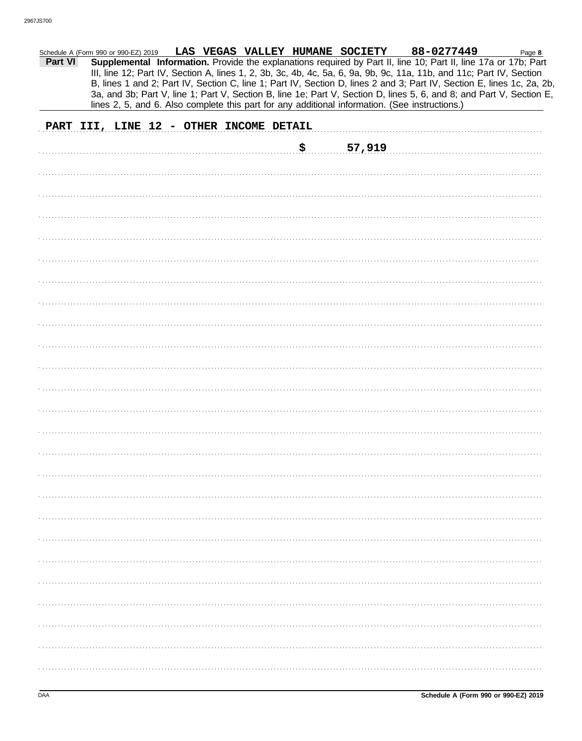| 88-0277449<br>LAS VEGAS VALLEY HUMANE SOCIETY<br>Schedule A (Form 990 or 990-EZ) 2019<br>Page 8<br>Supplemental Information. Provide the explanations required by Part II, line 10; Part II, line 17a or 17b; Part<br>Part VI<br>III, line 12; Part IV, Section A, lines 1, 2, 3b, 3c, 4b, 4c, 5a, 6, 9a, 9b, 9c, 11a, 11b, and 11c; Part IV, Section<br>B, lines 1 and 2; Part IV, Section C, line 1; Part IV, Section D, lines 2 and 3; Part IV, Section E, lines 1c, 2a, 2b,<br>3a, and 3b; Part V, line 1; Part V, Section B, line 1e; Part V, Section D, lines 5, 6, and 8; and Part V, Section E,<br>lines 2, 5, and 6. Also complete this part for any additional information. (See instructions.) |
|-----------------------------------------------------------------------------------------------------------------------------------------------------------------------------------------------------------------------------------------------------------------------------------------------------------------------------------------------------------------------------------------------------------------------------------------------------------------------------------------------------------------------------------------------------------------------------------------------------------------------------------------------------------------------------------------------------------|
| PART III, LINE 12 - OTHER INCOME DETAIL                                                                                                                                                                                                                                                                                                                                                                                                                                                                                                                                                                                                                                                                   |
| 57,919<br>\$                                                                                                                                                                                                                                                                                                                                                                                                                                                                                                                                                                                                                                                                                              |
|                                                                                                                                                                                                                                                                                                                                                                                                                                                                                                                                                                                                                                                                                                           |
|                                                                                                                                                                                                                                                                                                                                                                                                                                                                                                                                                                                                                                                                                                           |
|                                                                                                                                                                                                                                                                                                                                                                                                                                                                                                                                                                                                                                                                                                           |
|                                                                                                                                                                                                                                                                                                                                                                                                                                                                                                                                                                                                                                                                                                           |
|                                                                                                                                                                                                                                                                                                                                                                                                                                                                                                                                                                                                                                                                                                           |
|                                                                                                                                                                                                                                                                                                                                                                                                                                                                                                                                                                                                                                                                                                           |
|                                                                                                                                                                                                                                                                                                                                                                                                                                                                                                                                                                                                                                                                                                           |
|                                                                                                                                                                                                                                                                                                                                                                                                                                                                                                                                                                                                                                                                                                           |
|                                                                                                                                                                                                                                                                                                                                                                                                                                                                                                                                                                                                                                                                                                           |
|                                                                                                                                                                                                                                                                                                                                                                                                                                                                                                                                                                                                                                                                                                           |
|                                                                                                                                                                                                                                                                                                                                                                                                                                                                                                                                                                                                                                                                                                           |
|                                                                                                                                                                                                                                                                                                                                                                                                                                                                                                                                                                                                                                                                                                           |
|                                                                                                                                                                                                                                                                                                                                                                                                                                                                                                                                                                                                                                                                                                           |
|                                                                                                                                                                                                                                                                                                                                                                                                                                                                                                                                                                                                                                                                                                           |
|                                                                                                                                                                                                                                                                                                                                                                                                                                                                                                                                                                                                                                                                                                           |
|                                                                                                                                                                                                                                                                                                                                                                                                                                                                                                                                                                                                                                                                                                           |
|                                                                                                                                                                                                                                                                                                                                                                                                                                                                                                                                                                                                                                                                                                           |
|                                                                                                                                                                                                                                                                                                                                                                                                                                                                                                                                                                                                                                                                                                           |
|                                                                                                                                                                                                                                                                                                                                                                                                                                                                                                                                                                                                                                                                                                           |
|                                                                                                                                                                                                                                                                                                                                                                                                                                                                                                                                                                                                                                                                                                           |
|                                                                                                                                                                                                                                                                                                                                                                                                                                                                                                                                                                                                                                                                                                           |
|                                                                                                                                                                                                                                                                                                                                                                                                                                                                                                                                                                                                                                                                                                           |
|                                                                                                                                                                                                                                                                                                                                                                                                                                                                                                                                                                                                                                                                                                           |
|                                                                                                                                                                                                                                                                                                                                                                                                                                                                                                                                                                                                                                                                                                           |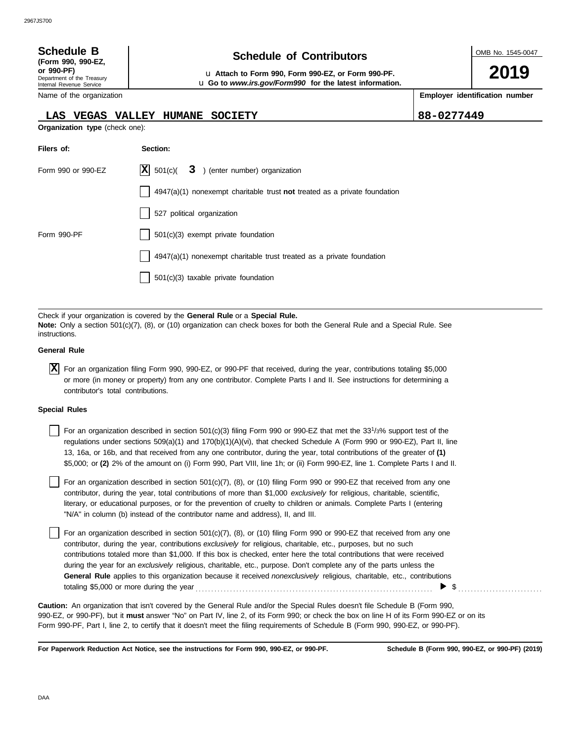| <b>Schedule B</b>  |  |
|--------------------|--|
| (Form 990, 990-EZ, |  |

Department of the Treasury Internal Revenue Service

Name of the organization

## **Schedule of Contributors**

**or 990-PF)** u **Attach to Form 990, Form 990-EZ, or Form 990-PF.** u **Go to** *www.irs.gov/Form990* **for the latest information.**

**2019 Employer identification number**

OMB No. 1545-0047

| Name of the organization |  |  |  |
|--------------------------|--|--|--|
|--------------------------|--|--|--|

|  |  | LAS VEGAS VALLEY HUMANE SOCIETY | 88-0277449 |
|--|--|---------------------------------|------------|

|                    | <b>Organization type</b> (check one):                                              |  |  |  |  |  |  |
|--------------------|------------------------------------------------------------------------------------|--|--|--|--|--|--|
| Filers of:         | Section:                                                                           |  |  |  |  |  |  |
| Form 990 or 990-EZ | $ \mathbf{X} $ 501(c)( $3$ ) (enter number) organization                           |  |  |  |  |  |  |
|                    | $4947(a)(1)$ nonexempt charitable trust <b>not</b> treated as a private foundation |  |  |  |  |  |  |
|                    | 527 political organization                                                         |  |  |  |  |  |  |
| Form 990-PF        | 501(c)(3) exempt private foundation                                                |  |  |  |  |  |  |
|                    | 4947(a)(1) nonexempt charitable trust treated as a private foundation              |  |  |  |  |  |  |
|                    | 501(c)(3) taxable private foundation                                               |  |  |  |  |  |  |

Check if your organization is covered by the **General Rule** or a **Special Rule. Note:** Only a section 501(c)(7), (8), or (10) organization can check boxes for both the General Rule and a Special Rule. See **instructions** 

### **General Rule**

For an organization filing Form 990, 990-EZ, or 990-PF that received, during the year, contributions totaling \$5,000 **X** or more (in money or property) from any one contributor. Complete Parts I and II. See instructions for determining a contributor's total contributions.

### **Special Rules**

For an organization described in section 501(c)(3) filing Form 990 or 990-EZ that met the  $33^{1/3\%}$  support test of the regulations under sections 509(a)(1) and 170(b)(1)(A)(vi), that checked Schedule A (Form 990 or 990-EZ), Part II, line 13, 16a, or 16b, and that received from any one contributor, during the year, total contributions of the greater of **(1)** \$5,000; or **(2)** 2% of the amount on (i) Form 990, Part VIII, line 1h; or (ii) Form 990-EZ, line 1. Complete Parts I and II.

literary, or educational purposes, or for the prevention of cruelty to children or animals. Complete Parts I (entering For an organization described in section 501(c)(7), (8), or (10) filing Form 990 or 990-EZ that received from any one contributor, during the year, total contributions of more than \$1,000 *exclusively* for religious, charitable, scientific, "N/A" in column (b) instead of the contributor name and address), II, and III.

For an organization described in section 501(c)(7), (8), or (10) filing Form 990 or 990-EZ that received from any one contributor, during the year, contributions *exclusively* for religious, charitable, etc., purposes, but no such contributions totaled more than \$1,000. If this box is checked, enter here the total contributions that were received during the year for an *exclusively* religious, charitable, etc., purpose. Don't complete any of the parts unless the **General Rule** applies to this organization because it received *nonexclusively* religious, charitable, etc., contributions totaling \$5,000 or more during the year . . . . . . . . . . . . . . . . . . . . . . . . . . . . . . . . . . . . . . . . . . . . . . . . . . . . . . . . . . . . . . . . . . . . . . . . . . . .  $\triangleright$  \$

990-EZ, or 990-PF), but it **must** answer "No" on Part IV, line 2, of its Form 990; or check the box on line H of its Form 990-EZ or on its Form 990-PF, Part I, line 2, to certify that it doesn't meet the filing requirements of Schedule B (Form 990, 990-EZ, or 990-PF). **Caution:** An organization that isn't covered by the General Rule and/or the Special Rules doesn't file Schedule B (Form 990,

**For Paperwork Reduction Act Notice, see the instructions for Form 990, 990-EZ, or 990-PF.**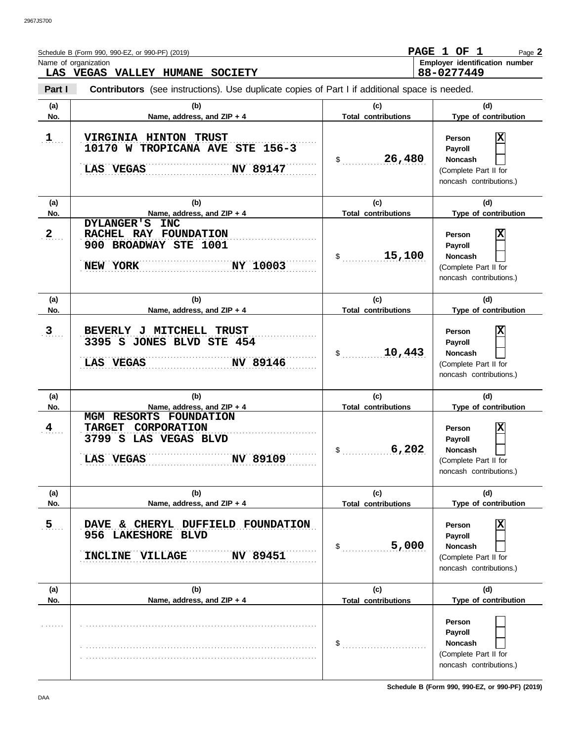|                | Schedule B (Form 990, 990-EZ, or 990-PF) (2019)<br>Name of organization<br>LAS VEGAS VALLEY HUMANE SOCIETY                                       |                                           | PAGE 1 OF 1<br>Page 2<br>Employer identification number<br>88-0277449                                                                      |
|----------------|--------------------------------------------------------------------------------------------------------------------------------------------------|-------------------------------------------|--------------------------------------------------------------------------------------------------------------------------------------------|
| Part I         | <b>Contributors</b> (see instructions). Use duplicate copies of Part I if additional space is needed.                                            |                                           |                                                                                                                                            |
| (a)<br>No.     | (b)<br>Name, address, and ZIP + 4                                                                                                                | (c)<br><b>Total contributions</b>         | (d)<br>Type of contribution                                                                                                                |
| $1$            | <b>VIRGINIA HINTON TRUST</b><br>10170 W TROPICANA AVE STE 156-3<br>NV 89147<br>LAS VEGAS                                                         | 26,480<br>$\sim$                          | ΙX<br>Person<br>Payroll<br><b>Noncash</b><br>(Complete Part II for<br>noncash contributions.)                                              |
| (a)<br>No.     | (b)<br>Name, address, and ZIP + 4                                                                                                                | (c)<br><b>Total contributions</b>         | (d)<br>Type of contribution                                                                                                                |
| 2              | <b>INC</b><br><b>DYLANGER'S</b><br>RACHEL RAY FOUNDATION<br>900 BROADWAY STE 1001<br>NY 10003<br>NEW YORK                                        | 15,100<br>\$                              | ΙX<br>Person<br>Payroll<br><b>Noncash</b><br>(Complete Part II for<br>noncash contributions.)                                              |
| (a)<br>No.     | (b)<br>Name, address, and ZIP + 4                                                                                                                | (c)<br><b>Total contributions</b>         | (d)<br>Type of contribution                                                                                                                |
| 3 <sub>1</sub> | BEVERLY J MITCHELL TRUST<br>3395 S JONES BLVD STE 454<br>NV 89146<br>LAS VEGAS                                                                   | 10,443<br>\$                              | ΙX<br>Person<br>Payroll<br><b>Noncash</b><br>(Complete Part II for<br>noncash contributions.)                                              |
| (a)            | (b)                                                                                                                                              | (c)                                       | (d)                                                                                                                                        |
| No.<br>4       | Name, address, and ZIP + 4<br>RESORTS FOUNDATION<br>MGM<br><b>CORPORATION</b><br><b>TARGET</b><br>3799 S LAS VEGAS BLVD<br>NV 89109<br>LAS VEGAS | <b>Total contributions</b><br>6,202<br>\$ | Type of contribution<br>$\overline{\mathbf{x}}$<br>Person<br>Payroll<br><b>Noncash</b><br>(Complete Part II for<br>noncash contributions.) |
| (a)<br>No.     | (b)<br>Name, address, and ZIP + 4                                                                                                                | (c)<br><b>Total contributions</b>         | (d)<br>Type of contribution                                                                                                                |
| 5 <sub>1</sub> | CHERYL DUFFIELD FOUNDATION<br><b>DAVE</b><br>δc.<br>956 LAKESHORE BLVD<br>INCLINE VILLAGE<br>NV 89451                                            | 5,000<br>\$                               | ΙX<br>Person<br>Payroll<br><b>Noncash</b><br>(Complete Part II for<br>noncash contributions.)                                              |
| (a)<br>No.     | (b)<br>Name, address, and ZIP + 4                                                                                                                | (c)<br><b>Total contributions</b>         | (d)<br>Type of contribution                                                                                                                |
|                |                                                                                                                                                  | \$                                        | Person<br>Payroll<br><b>Noncash</b><br>(Complete Part II for<br>noncash contributions.)                                                    |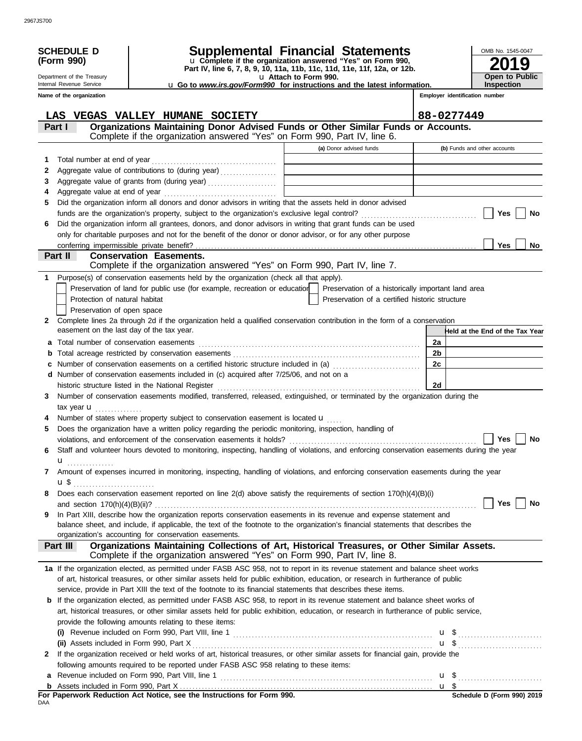| 2967JS700 |
|-----------|
|           |

|        | <b>SCHEDULE D</b>                         | Supplemental Financial Statements                                                                                                                                                                                             |                       |                                                    |                      |                                 | OMB No. 1545-0047 |                       |
|--------|-------------------------------------------|-------------------------------------------------------------------------------------------------------------------------------------------------------------------------------------------------------------------------------|-----------------------|----------------------------------------------------|----------------------|---------------------------------|-------------------|-----------------------|
|        | (Form 990)                                | u Complete if the organization answered "Yes" on Form 990,<br>Part IV, line 6, 7, 8, 9, 10, 11a, 11b, 11c, 11d, 11e, 11f, 12a, or 12b.                                                                                        |                       |                                                    |                      |                                 |                   |                       |
|        | Department of the Treasury                |                                                                                                                                                                                                                               | u Attach to Form 990. |                                                    |                      |                                 |                   | <b>Open to Public</b> |
|        | Internal Revenue Service                  | u Go to www.irs.gov/Form990 for instructions and the latest information.                                                                                                                                                      |                       |                                                    |                      |                                 | <b>Inspection</b> |                       |
|        | Name of the organization                  |                                                                                                                                                                                                                               |                       |                                                    |                      | Employer identification number  |                   |                       |
|        | LAS                                       | VEGAS VALLEY HUMANE SOCIETY                                                                                                                                                                                                   |                       |                                                    |                      | 88-0277449                      |                   |                       |
|        | Part I                                    | Organizations Maintaining Donor Advised Funds or Other Similar Funds or Accounts.                                                                                                                                             |                       |                                                    |                      |                                 |                   |                       |
|        |                                           | Complete if the organization answered "Yes" on Form 990, Part IV, line 6.                                                                                                                                                     |                       |                                                    |                      |                                 |                   |                       |
|        |                                           |                                                                                                                                                                                                                               |                       | (a) Donor advised funds                            |                      | (b) Funds and other accounts    |                   |                       |
| 1      |                                           |                                                                                                                                                                                                                               |                       |                                                    |                      |                                 |                   |                       |
| 2<br>3 |                                           | Aggregate value of contributions to (during year)                                                                                                                                                                             |                       |                                                    |                      |                                 |                   |                       |
| 4      |                                           |                                                                                                                                                                                                                               |                       |                                                    |                      |                                 |                   |                       |
| 5      |                                           | Did the organization inform all donors and donor advisors in writing that the assets held in donor advised                                                                                                                    |                       |                                                    |                      |                                 |                   |                       |
|        |                                           |                                                                                                                                                                                                                               |                       |                                                    |                      |                                 | Yes               | No                    |
| 6      |                                           | Did the organization inform all grantees, donors, and donor advisors in writing that grant funds can be used                                                                                                                  |                       |                                                    |                      |                                 |                   |                       |
|        |                                           | only for charitable purposes and not for the benefit of the donor or donor advisor, or for any other purpose                                                                                                                  |                       |                                                    |                      |                                 |                   |                       |
|        |                                           |                                                                                                                                                                                                                               |                       |                                                    |                      |                                 | <b>Yes</b>        | No.                   |
|        | Part II                                   | <b>Conservation Easements.</b>                                                                                                                                                                                                |                       |                                                    |                      |                                 |                   |                       |
|        |                                           | Complete if the organization answered "Yes" on Form 990, Part IV, line 7.                                                                                                                                                     |                       |                                                    |                      |                                 |                   |                       |
| 1.     |                                           | Purpose(s) of conservation easements held by the organization (check all that apply).                                                                                                                                         |                       |                                                    |                      |                                 |                   |                       |
|        |                                           | Preservation of land for public use (for example, recreation or education                                                                                                                                                     |                       | Preservation of a historically important land area |                      |                                 |                   |                       |
|        | Protection of natural habitat             |                                                                                                                                                                                                                               |                       | Preservation of a certified historic structure     |                      |                                 |                   |                       |
|        | Preservation of open space                |                                                                                                                                                                                                                               |                       |                                                    |                      |                                 |                   |                       |
| 2      | easement on the last day of the tax year. | Complete lines 2a through 2d if the organization held a qualified conservation contribution in the form of a conservation                                                                                                     |                       |                                                    |                      |                                 |                   |                       |
|        |                                           |                                                                                                                                                                                                                               |                       |                                                    |                      | Held at the End of the Tax Year |                   |                       |
|        |                                           | a Total number of conservation easements [11] matter contracts and a set of conservation of conservation easements [11] matter contracts and a set of conservation of a set of conservation of a set of conservation of a set |                       |                                                    | 2a<br>2 <sub>b</sub> |                                 |                   |                       |
| b      |                                           |                                                                                                                                                                                                                               |                       |                                                    | 2c                   |                                 |                   |                       |
|        |                                           | d Number of conservation easements included in (c) acquired after 7/25/06, and not on a                                                                                                                                       |                       |                                                    |                      |                                 |                   |                       |
|        |                                           |                                                                                                                                                                                                                               |                       |                                                    | 2d                   |                                 |                   |                       |
| 3      |                                           | Number of conservation easements modified, transferred, released, extinguished, or terminated by the organization during the                                                                                                  |                       |                                                    |                      |                                 |                   |                       |
|        | tax year $\mathbf{u}$                     |                                                                                                                                                                                                                               |                       |                                                    |                      |                                 |                   |                       |
|        |                                           | Number of states where property subject to conservation easement is located u                                                                                                                                                 |                       |                                                    |                      |                                 |                   |                       |
| 5      |                                           | Does the organization have a written policy regarding the periodic monitoring, inspection, handling of                                                                                                                        |                       |                                                    |                      |                                 |                   |                       |
|        |                                           |                                                                                                                                                                                                                               |                       |                                                    |                      |                                 | Yes               | No                    |
| 6      |                                           | Staff and volunteer hours devoted to monitoring, inspecting, handling of violations, and enforcing conservation easements during the year                                                                                     |                       |                                                    |                      |                                 |                   |                       |
|        | $\mathbf{u}$                              |                                                                                                                                                                                                                               |                       |                                                    |                      |                                 |                   |                       |
| 7      |                                           | Amount of expenses incurred in monitoring, inspecting, handling of violations, and enforcing conservation easements during the year                                                                                           |                       |                                                    |                      |                                 |                   |                       |
|        |                                           |                                                                                                                                                                                                                               |                       |                                                    |                      |                                 |                   |                       |
| 8      |                                           | Does each conservation easement reported on line 2(d) above satisfy the requirements of section 170(h)(4)(B)(i)                                                                                                               |                       |                                                    |                      |                                 |                   |                       |
|        |                                           | In Part XIII, describe how the organization reports conservation easements in its revenue and expense statement and                                                                                                           |                       |                                                    |                      |                                 | <b>Yes</b>        | No                    |
| 9      |                                           | balance sheet, and include, if applicable, the text of the footnote to the organization's financial statements that describes the                                                                                             |                       |                                                    |                      |                                 |                   |                       |
|        |                                           | organization's accounting for conservation easements.                                                                                                                                                                         |                       |                                                    |                      |                                 |                   |                       |
|        | Part III                                  | Organizations Maintaining Collections of Art, Historical Treasures, or Other Similar Assets.                                                                                                                                  |                       |                                                    |                      |                                 |                   |                       |
|        |                                           | Complete if the organization answered "Yes" on Form 990, Part IV, line 8.                                                                                                                                                     |                       |                                                    |                      |                                 |                   |                       |
|        |                                           | 1a If the organization elected, as permitted under FASB ASC 958, not to report in its revenue statement and balance sheet works                                                                                               |                       |                                                    |                      |                                 |                   |                       |
|        |                                           | of art, historical treasures, or other similar assets held for public exhibition, education, or research in furtherance of public                                                                                             |                       |                                                    |                      |                                 |                   |                       |
|        |                                           | service, provide in Part XIII the text of the footnote to its financial statements that describes these items.                                                                                                                |                       |                                                    |                      |                                 |                   |                       |
|        |                                           | <b>b</b> If the organization elected, as permitted under FASB ASC 958, to report in its revenue statement and balance sheet works of                                                                                          |                       |                                                    |                      |                                 |                   |                       |
|        |                                           | art, historical treasures, or other similar assets held for public exhibition, education, or research in furtherance of public service,<br>provide the following amounts relating to these items:                             |                       |                                                    |                      |                                 |                   |                       |
|        |                                           |                                                                                                                                                                                                                               |                       |                                                    |                      |                                 |                   |                       |
|        |                                           |                                                                                                                                                                                                                               |                       |                                                    |                      | $\mathbf{u}$ \$                 |                   |                       |
| 2      |                                           | If the organization received or held works of art, historical treasures, or other similar assets for financial gain, provide the                                                                                              |                       |                                                    |                      |                                 |                   |                       |
|        |                                           | following amounts required to be reported under FASB ASC 958 relating to these items:                                                                                                                                         |                       |                                                    |                      |                                 |                   |                       |
|        |                                           | <b>a</b> Revenue included on Form 990, Part VIII, line 1 $\ldots$ $\ldots$ $\ldots$ $\ldots$ $\ldots$ $\ldots$ $\ldots$ $\ldots$ $\ldots$ $\ldots$ $\ldots$                                                                   |                       |                                                    |                      |                                 |                   |                       |
|        |                                           |                                                                                                                                                                                                                               |                       |                                                    |                      |                                 |                   |                       |
|        |                                           |                                                                                                                                                                                                                               |                       |                                                    |                      |                                 |                   |                       |

|     | For Paperwork Reduction Act Notice, see the Instructions for Form 990. |  |  |  |
|-----|------------------------------------------------------------------------|--|--|--|
| DAA |                                                                        |  |  |  |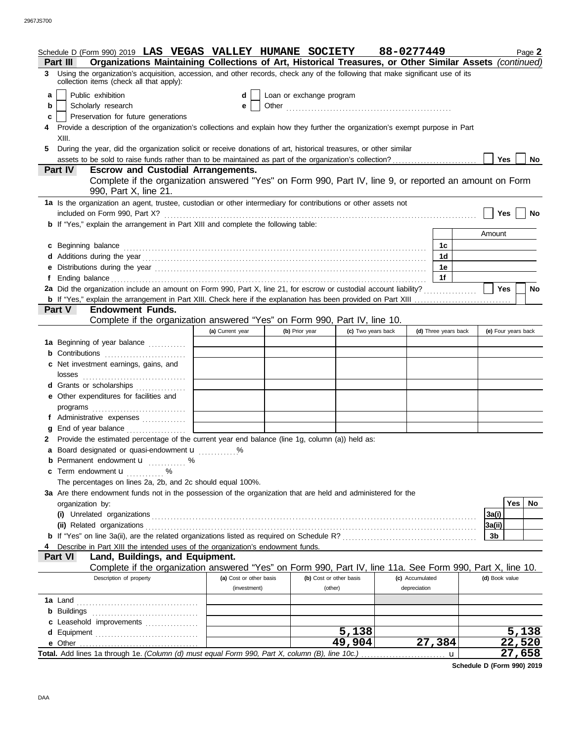|    | Schedule D (Form 990) 2019 LAS VEGAS VALLEY HUMANE SOCIETY                                                                                                                                                                                               |                         |                          |                         | 88-0277449      |                      |                | Page 2              |
|----|----------------------------------------------------------------------------------------------------------------------------------------------------------------------------------------------------------------------------------------------------------|-------------------------|--------------------------|-------------------------|-----------------|----------------------|----------------|---------------------|
|    | Organizations Maintaining Collections of Art, Historical Treasures, or Other Similar Assets (continued)<br>Part III<br>3 Using the organization's acquisition, accession, and other records, check any of the following that make significant use of its |                         |                          |                         |                 |                      |                |                     |
|    | collection items (check all that apply):                                                                                                                                                                                                                 |                         |                          |                         |                 |                      |                |                     |
| a  | Public exhibition                                                                                                                                                                                                                                        | d                       | Loan or exchange program |                         |                 |                      |                |                     |
| b  | Scholarly research                                                                                                                                                                                                                                       | е                       |                          |                         |                 |                      |                |                     |
| c  | Preservation for future generations                                                                                                                                                                                                                      |                         |                          |                         |                 |                      |                |                     |
|    | Provide a description of the organization's collections and explain how they further the organization's exempt purpose in Part                                                                                                                           |                         |                          |                         |                 |                      |                |                     |
|    | XIII.                                                                                                                                                                                                                                                    |                         |                          |                         |                 |                      |                |                     |
| 5. | During the year, did the organization solicit or receive donations of art, historical treasures, or other similar                                                                                                                                        |                         |                          |                         |                 |                      | Yes            |                     |
|    | <b>Escrow and Custodial Arrangements.</b><br><b>Part IV</b>                                                                                                                                                                                              |                         |                          |                         |                 |                      |                | No                  |
|    | Complete if the organization answered "Yes" on Form 990, Part IV, line 9, or reported an amount on Form                                                                                                                                                  |                         |                          |                         |                 |                      |                |                     |
|    | 990, Part X, line 21.                                                                                                                                                                                                                                    |                         |                          |                         |                 |                      |                |                     |
|    | 1a Is the organization an agent, trustee, custodian or other intermediary for contributions or other assets not                                                                                                                                          |                         |                          |                         |                 |                      |                |                     |
|    | included on Form 990, Part X?                                                                                                                                                                                                                            |                         |                          |                         |                 |                      | Yes            | No                  |
|    | <b>b</b> If "Yes," explain the arrangement in Part XIII and complete the following table:                                                                                                                                                                |                         |                          |                         |                 |                      |                |                     |
|    |                                                                                                                                                                                                                                                          |                         |                          |                         |                 |                      | Amount         |                     |
|    | c Beginning balance                                                                                                                                                                                                                                      |                         |                          |                         |                 | 1c                   |                |                     |
|    |                                                                                                                                                                                                                                                          |                         |                          |                         |                 | 1d                   |                |                     |
|    | e Distributions during the year manufactured and contact the year manufactured and all the Vertex and the Vertex of the United States and Tables and Tables and Tables and Tables and Tables and Tables and Tables and Tables                            |                         |                          |                         |                 | 1e                   |                |                     |
| f  |                                                                                                                                                                                                                                                          |                         |                          |                         |                 | 1f                   |                |                     |
|    | 2a Did the organization include an amount on Form 990, Part X, line 21, for escrow or custodial account liability?                                                                                                                                       |                         |                          |                         |                 |                      | Yes            | <b>No</b>           |
|    |                                                                                                                                                                                                                                                          |                         |                          |                         |                 |                      |                |                     |
|    | <b>Endowment Funds.</b><br><b>Part V</b><br>Complete if the organization answered "Yes" on Form 990, Part IV, line 10.                                                                                                                                   |                         |                          |                         |                 |                      |                |                     |
|    |                                                                                                                                                                                                                                                          |                         |                          |                         |                 |                      |                | (e) Four years back |
|    |                                                                                                                                                                                                                                                          | (a) Current year        | (b) Prior year           | (c) Two years back      |                 | (d) Three years back |                |                     |
|    | 1a Beginning of year balance                                                                                                                                                                                                                             |                         |                          |                         |                 |                      |                |                     |
|    | <b>b</b> Contributions<br>c Net investment earnings, gains, and                                                                                                                                                                                          |                         |                          |                         |                 |                      |                |                     |
|    |                                                                                                                                                                                                                                                          |                         |                          |                         |                 |                      |                |                     |
|    | d Grants or scholarships                                                                                                                                                                                                                                 |                         |                          |                         |                 |                      |                |                     |
|    | e Other expenditures for facilities and                                                                                                                                                                                                                  |                         |                          |                         |                 |                      |                |                     |
|    | programs                                                                                                                                                                                                                                                 |                         |                          |                         |                 |                      |                |                     |
|    | f Administrative expenses                                                                                                                                                                                                                                |                         |                          |                         |                 |                      |                |                     |
| g  | End of year balance <i>[[[[[[[[[[[[[[[[[[[[[[[[[[[[]]]</i> ]]]                                                                                                                                                                                           |                         |                          |                         |                 |                      |                |                     |
|    | 2 Provide the estimated percentage of the current year end balance (line 1g, column (a)) held as:                                                                                                                                                        |                         |                          |                         |                 |                      |                |                     |
|    | a Board designated or quasi-endowment u                                                                                                                                                                                                                  |                         |                          |                         |                 |                      |                |                     |
|    | <b>b</b> Permanent endowment $\mathbf{u}$ %                                                                                                                                                                                                              |                         |                          |                         |                 |                      |                |                     |
|    | c Term endowment <b>u</b> %                                                                                                                                                                                                                              |                         |                          |                         |                 |                      |                |                     |
|    | The percentages on lines 2a, 2b, and 2c should equal 100%.                                                                                                                                                                                               |                         |                          |                         |                 |                      |                |                     |
|    | 3a Are there endowment funds not in the possession of the organization that are held and administered for the                                                                                                                                            |                         |                          |                         |                 |                      |                |                     |
|    | organization by:                                                                                                                                                                                                                                         |                         |                          |                         |                 |                      |                | Yes  <br>No         |
|    |                                                                                                                                                                                                                                                          |                         |                          |                         |                 |                      | 3a(i)          |                     |
|    |                                                                                                                                                                                                                                                          |                         |                          |                         |                 |                      | 3a(ii)         |                     |
|    |                                                                                                                                                                                                                                                          |                         |                          |                         |                 |                      | 3b             |                     |
|    | Describe in Part XIII the intended uses of the organization's endowment funds.<br>Land, Buildings, and Equipment.<br><b>Part VI</b>                                                                                                                      |                         |                          |                         |                 |                      |                |                     |
|    | Complete if the organization answered "Yes" on Form 990, Part IV, line 11a. See Form 990, Part X, line 10.                                                                                                                                               |                         |                          |                         |                 |                      |                |                     |
|    | Description of property                                                                                                                                                                                                                                  | (a) Cost or other basis |                          | (b) Cost or other basis | (c) Accumulated |                      | (d) Book value |                     |
|    |                                                                                                                                                                                                                                                          | (investment)            |                          | (other)                 | depreciation    |                      |                |                     |
|    |                                                                                                                                                                                                                                                          |                         |                          |                         |                 |                      |                |                     |
|    |                                                                                                                                                                                                                                                          |                         |                          |                         |                 |                      |                |                     |
|    | c Leasehold improvements                                                                                                                                                                                                                                 |                         |                          |                         |                 |                      |                |                     |
|    |                                                                                                                                                                                                                                                          |                         |                          | 5,138                   |                 |                      |                | 5,138               |
|    | e Other                                                                                                                                                                                                                                                  |                         |                          | 49,904                  |                 | 27,384               |                | 22,520              |
|    | Total. Add lines 1a through 1e. (Column (d) must equal Form 990, Part X, column (B), line 10c.)                                                                                                                                                          |                         |                          |                         |                 | u                    |                | 27,658              |

**Schedule D (Form 990) 2019**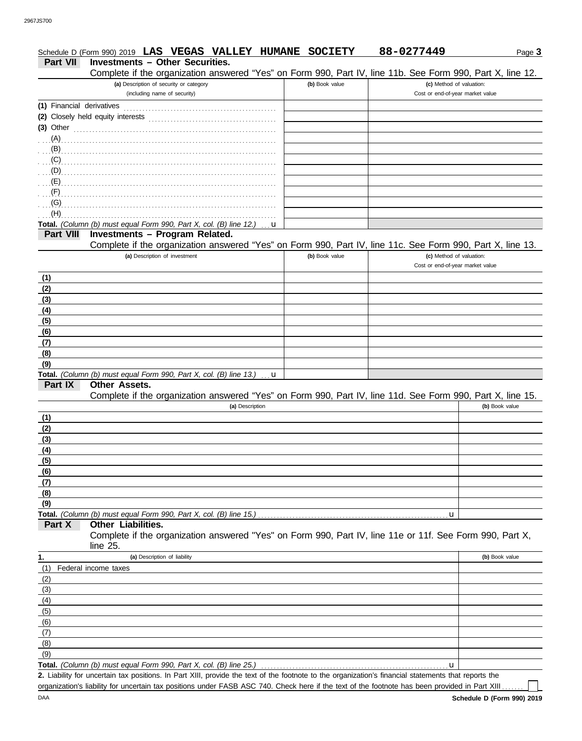|                           | Schedule D (Form 990) 2019 LAS VEGAS VALLEY HUMANE SOCIETY                                                                                           |                 |   |                |  | 88-0277449                                                   | Page 3                                                                                                     |
|---------------------------|------------------------------------------------------------------------------------------------------------------------------------------------------|-----------------|---|----------------|--|--------------------------------------------------------------|------------------------------------------------------------------------------------------------------------|
| <b>Part VII</b>           | <b>Investments - Other Securities.</b>                                                                                                               |                 |   |                |  |                                                              |                                                                                                            |
|                           |                                                                                                                                                      |                 |   |                |  |                                                              | Complete if the organization answered "Yes" on Form 990, Part IV, line 11b. See Form 990, Part X, line 12. |
|                           | (a) Description of security or category                                                                                                              |                 |   | (b) Book value |  | (c) Method of valuation:                                     |                                                                                                            |
|                           | (including name of security)                                                                                                                         |                 |   |                |  | Cost or end-of-year market value                             |                                                                                                            |
| (1) Financial derivatives |                                                                                                                                                      |                 |   |                |  |                                                              |                                                                                                            |
|                           |                                                                                                                                                      |                 |   |                |  |                                                              |                                                                                                            |
| $(3)$ Other               |                                                                                                                                                      |                 |   |                |  |                                                              |                                                                                                            |
| $(A)$ .                   |                                                                                                                                                      |                 |   |                |  |                                                              |                                                                                                            |
| $\overline{B}$ .          |                                                                                                                                                      |                 |   |                |  |                                                              |                                                                                                            |
|                           |                                                                                                                                                      |                 |   |                |  |                                                              |                                                                                                            |
|                           |                                                                                                                                                      |                 |   |                |  |                                                              |                                                                                                            |
|                           |                                                                                                                                                      |                 |   |                |  |                                                              |                                                                                                            |
| (F)                       |                                                                                                                                                      |                 |   |                |  |                                                              |                                                                                                            |
| (G)                       |                                                                                                                                                      |                 |   |                |  |                                                              |                                                                                                            |
| (H)                       |                                                                                                                                                      |                 |   |                |  |                                                              |                                                                                                            |
|                           | Total. (Column (b) must equal Form 990, Part X, col. (B) line 12.)                                                                                   |                 | u |                |  |                                                              |                                                                                                            |
| <b>Part VIII</b>          | Investments - Program Related.                                                                                                                       |                 |   |                |  |                                                              |                                                                                                            |
|                           |                                                                                                                                                      |                 |   |                |  |                                                              | Complete if the organization answered "Yes" on Form 990, Part IV, line 11c. See Form 990, Part X, line 13. |
|                           | (a) Description of investment                                                                                                                        |                 |   | (b) Book value |  | (c) Method of valuation:<br>Cost or end-of-year market value |                                                                                                            |
|                           |                                                                                                                                                      |                 |   |                |  |                                                              |                                                                                                            |
| (1)                       |                                                                                                                                                      |                 |   |                |  |                                                              |                                                                                                            |
| (2)                       |                                                                                                                                                      |                 |   |                |  |                                                              |                                                                                                            |
| (3)                       |                                                                                                                                                      |                 |   |                |  |                                                              |                                                                                                            |
| (4)                       |                                                                                                                                                      |                 |   |                |  |                                                              |                                                                                                            |
| (5)                       |                                                                                                                                                      |                 |   |                |  |                                                              |                                                                                                            |
| (6)                       |                                                                                                                                                      |                 |   |                |  |                                                              |                                                                                                            |
| (7)                       |                                                                                                                                                      |                 |   |                |  |                                                              |                                                                                                            |
| (8)<br>(9)                |                                                                                                                                                      |                 |   |                |  |                                                              |                                                                                                            |
|                           | Total. (Column (b) must equal Form 990, Part X, col. (B) line 13.)                                                                                   |                 |   |                |  |                                                              |                                                                                                            |
| Part IX                   | <b>Other Assets.</b>                                                                                                                                 |                 | u |                |  |                                                              |                                                                                                            |
|                           |                                                                                                                                                      |                 |   |                |  |                                                              | Complete if the organization answered "Yes" on Form 990, Part IV, line 11d. See Form 990, Part X, line 15. |
|                           |                                                                                                                                                      | (a) Description |   |                |  |                                                              | (b) Book value                                                                                             |
| (1)                       |                                                                                                                                                      |                 |   |                |  |                                                              |                                                                                                            |
| (2)                       |                                                                                                                                                      |                 |   |                |  |                                                              |                                                                                                            |
| (3)                       |                                                                                                                                                      |                 |   |                |  |                                                              |                                                                                                            |
| (4)                       |                                                                                                                                                      |                 |   |                |  |                                                              |                                                                                                            |
| (5)                       |                                                                                                                                                      |                 |   |                |  |                                                              |                                                                                                            |
| (6)                       |                                                                                                                                                      |                 |   |                |  |                                                              |                                                                                                            |
| (7)                       |                                                                                                                                                      |                 |   |                |  |                                                              |                                                                                                            |
| (8)                       |                                                                                                                                                      |                 |   |                |  |                                                              |                                                                                                            |
| (9)                       |                                                                                                                                                      |                 |   |                |  |                                                              |                                                                                                            |
|                           |                                                                                                                                                      |                 |   |                |  | u                                                            |                                                                                                            |
| Part X                    | <b>Other Liabilities.</b>                                                                                                                            |                 |   |                |  |                                                              |                                                                                                            |
|                           | Complete if the organization answered "Yes" on Form 990, Part IV, line 11e or 11f. See Form 990, Part X,                                             |                 |   |                |  |                                                              |                                                                                                            |
|                           | line 25.                                                                                                                                             |                 |   |                |  |                                                              |                                                                                                            |
| 1.                        | (a) Description of liability                                                                                                                         |                 |   |                |  |                                                              | (b) Book value                                                                                             |
| (1)                       | Federal income taxes                                                                                                                                 |                 |   |                |  |                                                              |                                                                                                            |
| (2)                       |                                                                                                                                                      |                 |   |                |  |                                                              |                                                                                                            |
| (3)                       |                                                                                                                                                      |                 |   |                |  |                                                              |                                                                                                            |
| (4)                       |                                                                                                                                                      |                 |   |                |  |                                                              |                                                                                                            |
| (5)                       |                                                                                                                                                      |                 |   |                |  |                                                              |                                                                                                            |
| (6)                       |                                                                                                                                                      |                 |   |                |  |                                                              |                                                                                                            |
| (7)                       |                                                                                                                                                      |                 |   |                |  |                                                              |                                                                                                            |
| (8)                       |                                                                                                                                                      |                 |   |                |  |                                                              |                                                                                                            |
| (9)                       |                                                                                                                                                      |                 |   |                |  |                                                              |                                                                                                            |
|                           | Total. (Column (b) must equal Form 990, Part X, col. (B) line 25.)                                                                                   |                 |   |                |  | u                                                            |                                                                                                            |
|                           | 2. Liability for uncertain tax positions. In Part XIII, provide the text of the footnote to the organization's financial statements that reports the |                 |   |                |  |                                                              |                                                                                                            |

organization's liability for uncertain tax positions under FASB ASC 740. Check here if the text of the footnote has been provided in Part XIII . . . . . . .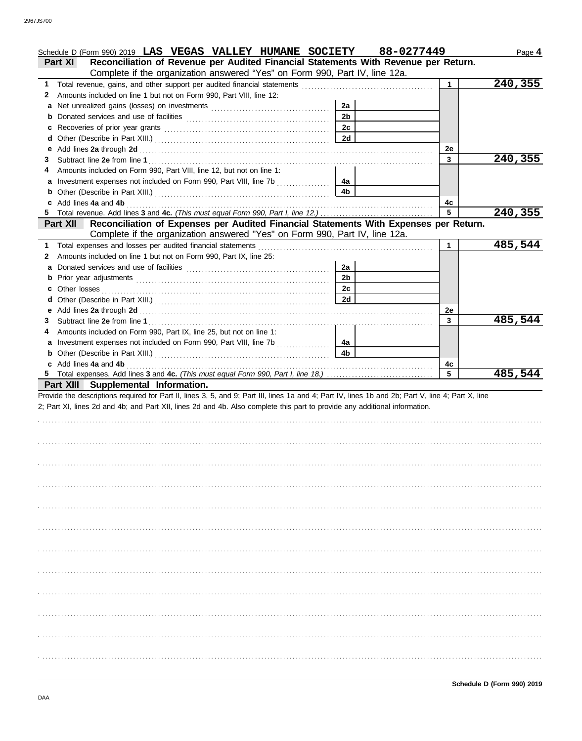|   | Schedule D (Form 990) 2019 LAS VEGAS VALLEY HUMANE SOCIETY 88-0277449                                                                                                                                                                                          |                |    | Page 4  |
|---|----------------------------------------------------------------------------------------------------------------------------------------------------------------------------------------------------------------------------------------------------------------|----------------|----|---------|
|   | Reconciliation of Revenue per Audited Financial Statements With Revenue per Return.<br>Part XI<br>Complete if the organization answered "Yes" on Form 990, Part IV, line 12a.                                                                                  |                |    |         |
|   | 1 Total revenue, gains, and other support per audited financial statements [11] Total revenues [11] Total revenues [11] Total revenues [11] Total revenues [11] Total revenues [11] Total revenues [11] Total revenues [11] To                                 |                | 1. | 240,355 |
| 2 | Amounts included on line 1 but not on Form 990, Part VIII, line 12:                                                                                                                                                                                            |                |    |         |
|   | a Net unrealized gains (losses) on investments [11] [11] [11] Net unrealized gains (losses) on investments [11] [11] $\cdot$ [11] $\cdot$ [11] $\cdot$ [11] $\cdot$ [11] $\cdot$ [11] $\cdot$ [11] $\cdot$ [11] $\cdot$ [11] $\cdot$ [11] $\cdot$ [11] $\cdot$ | 2a             |    |         |
|   |                                                                                                                                                                                                                                                                | 2 <sub>b</sub> |    |         |
|   |                                                                                                                                                                                                                                                                | 2c             |    |         |
| d |                                                                                                                                                                                                                                                                | 2d             |    |         |
| е |                                                                                                                                                                                                                                                                |                | 2e |         |
| 3 |                                                                                                                                                                                                                                                                |                | 3  | 240,355 |
| 4 | Amounts included on Form 990, Part VIII, line 12, but not on line 1:                                                                                                                                                                                           |                |    |         |
|   | a Investment expenses not included on Form 990, Part VIII, line 7b                                                                                                                                                                                             | 4a             |    |         |
|   | <b>b</b> Other (Describe in Part XIII.) <b>CONSIDENT</b> 2014 12:                                                                                                                                                                                              | 4 <sub>b</sub> |    |         |
|   | c Add lines 4a and 4b                                                                                                                                                                                                                                          |                | 4c |         |
|   |                                                                                                                                                                                                                                                                |                | 5  | 240,355 |
|   | Reconciliation of Expenses per Audited Financial Statements With Expenses per Return.<br><b>Part XII</b>                                                                                                                                                       |                |    |         |
|   | Complete if the organization answered "Yes" on Form 990, Part IV, line 12a.                                                                                                                                                                                    |                |    |         |
|   | 1 Total expenses and losses per audited financial statements [11] [11] Total expenses and losses and losses per audited financial statements [11] Total expenses and losses                                                                                    |                | 1  | 485,544 |
| 2 | Amounts included on line 1 but not on Form 990, Part IX, line 25:                                                                                                                                                                                              |                |    |         |
|   |                                                                                                                                                                                                                                                                | 2a             |    |         |
|   |                                                                                                                                                                                                                                                                | 2 <sub>b</sub> |    |         |
|   |                                                                                                                                                                                                                                                                | 2c             |    |         |
|   |                                                                                                                                                                                                                                                                | 2d             |    |         |
|   |                                                                                                                                                                                                                                                                |                | 2e |         |
| 3 |                                                                                                                                                                                                                                                                |                | 3  | 485,544 |
| 4 | Amounts included on Form 990, Part IX, line 25, but not on line 1:                                                                                                                                                                                             |                |    |         |
|   | a Investment expenses not included on Form 990, Part VIII, line 7b                                                                                                                                                                                             | 4a             |    |         |
|   | <b>b</b> Other (Describe in Part XIII.) <b>CONSIDENT DESCRIPTION DESCRIPTION DESCRIPTION DESCRIPTION DESCRIPTION DESCRIPTION DESCRIPTION DESCRIPTION DESCRIPTION DESCRIPTION DESCRIPTION DESCRIPTION DESCRI</b>                                                | 4 <sub>b</sub> |    |         |
|   | c Add lines 4a and 4b (a) and the contract of the contract of the contract of the contract of the contract of the contract of the contract of the contract of the contract of the contract of the contract of the contract of                                  |                | 4c |         |
|   |                                                                                                                                                                                                                                                                |                | 5  | 485,544 |
|   | Part XIII Supplemental Information.                                                                                                                                                                                                                            |                |    |         |
|   |                                                                                                                                                                                                                                                                |                |    |         |
|   | Provide the descriptions required for Part II, lines 3, 5, and 9; Part III, lines 1a and 4; Part IV, lines 1b and 2b; Part V, line 4; Part X, line                                                                                                             |                |    |         |
|   | 2; Part XI, lines 2d and 4b; and Part XII, lines 2d and 4b. Also complete this part to provide any additional information.                                                                                                                                     |                |    |         |
|   |                                                                                                                                                                                                                                                                |                |    |         |
|   |                                                                                                                                                                                                                                                                |                |    |         |
|   |                                                                                                                                                                                                                                                                |                |    |         |
|   |                                                                                                                                                                                                                                                                |                |    |         |
|   |                                                                                                                                                                                                                                                                |                |    |         |
|   |                                                                                                                                                                                                                                                                |                |    |         |
|   |                                                                                                                                                                                                                                                                |                |    |         |
|   |                                                                                                                                                                                                                                                                |                |    |         |
|   |                                                                                                                                                                                                                                                                |                |    |         |
|   |                                                                                                                                                                                                                                                                |                |    |         |
|   |                                                                                                                                                                                                                                                                |                |    |         |
|   |                                                                                                                                                                                                                                                                |                |    |         |
|   |                                                                                                                                                                                                                                                                |                |    |         |
|   |                                                                                                                                                                                                                                                                |                |    |         |
|   |                                                                                                                                                                                                                                                                |                |    |         |
|   |                                                                                                                                                                                                                                                                |                |    |         |
|   |                                                                                                                                                                                                                                                                |                |    |         |
|   |                                                                                                                                                                                                                                                                |                |    |         |
|   |                                                                                                                                                                                                                                                                |                |    |         |
|   |                                                                                                                                                                                                                                                                |                |    |         |
|   |                                                                                                                                                                                                                                                                |                |    |         |
|   |                                                                                                                                                                                                                                                                |                |    |         |
|   |                                                                                                                                                                                                                                                                |                |    |         |
|   |                                                                                                                                                                                                                                                                |                |    |         |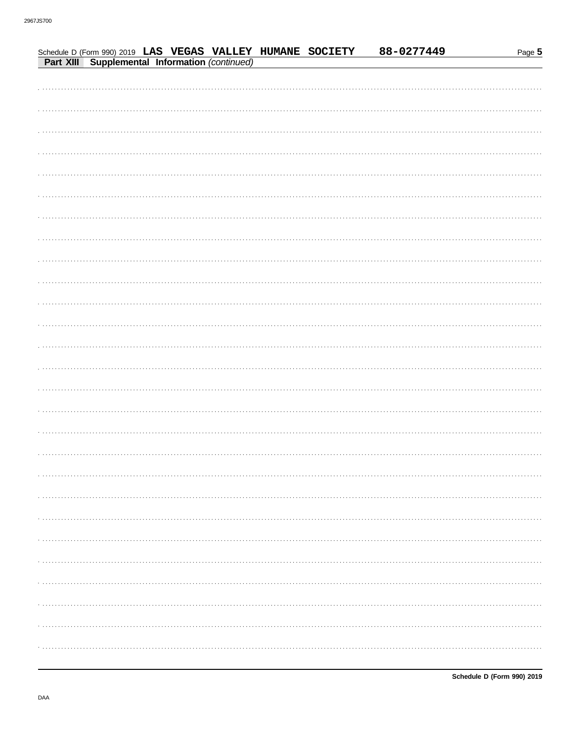|  |  |                                                | Schedule D (Form 990) 2019 LAS VEGAS VALLEY HUMANE SOCIETY | 88-0277449 | Page 5 |
|--|--|------------------------------------------------|------------------------------------------------------------|------------|--------|
|  |  | Part XIII Supplemental Information (continued) |                                                            |            |        |
|  |  |                                                |                                                            |            |        |
|  |  |                                                |                                                            |            |        |
|  |  |                                                |                                                            |            |        |
|  |  |                                                |                                                            |            |        |
|  |  |                                                |                                                            |            |        |
|  |  |                                                |                                                            |            |        |
|  |  |                                                |                                                            |            |        |
|  |  |                                                |                                                            |            |        |
|  |  |                                                |                                                            |            |        |
|  |  |                                                |                                                            |            |        |
|  |  |                                                |                                                            |            |        |
|  |  |                                                |                                                            |            |        |
|  |  |                                                |                                                            |            |        |
|  |  |                                                |                                                            |            |        |
|  |  |                                                |                                                            |            |        |
|  |  |                                                |                                                            |            |        |
|  |  |                                                |                                                            |            |        |
|  |  |                                                |                                                            |            |        |
|  |  |                                                |                                                            |            |        |
|  |  |                                                |                                                            |            |        |
|  |  |                                                |                                                            |            |        |
|  |  |                                                |                                                            |            |        |
|  |  |                                                |                                                            |            |        |
|  |  |                                                |                                                            |            |        |
|  |  |                                                |                                                            |            |        |
|  |  |                                                |                                                            |            |        |
|  |  |                                                |                                                            |            |        |
|  |  |                                                |                                                            |            |        |
|  |  |                                                |                                                            |            |        |
|  |  |                                                |                                                            |            |        |
|  |  |                                                |                                                            |            |        |
|  |  |                                                |                                                            |            |        |
|  |  |                                                |                                                            |            |        |
|  |  |                                                |                                                            |            |        |
|  |  |                                                |                                                            |            |        |
|  |  |                                                |                                                            |            |        |
|  |  |                                                |                                                            |            |        |
|  |  |                                                |                                                            |            |        |
|  |  |                                                |                                                            |            |        |
|  |  |                                                |                                                            |            |        |
|  |  |                                                |                                                            |            |        |
|  |  |                                                |                                                            |            |        |
|  |  |                                                |                                                            |            |        |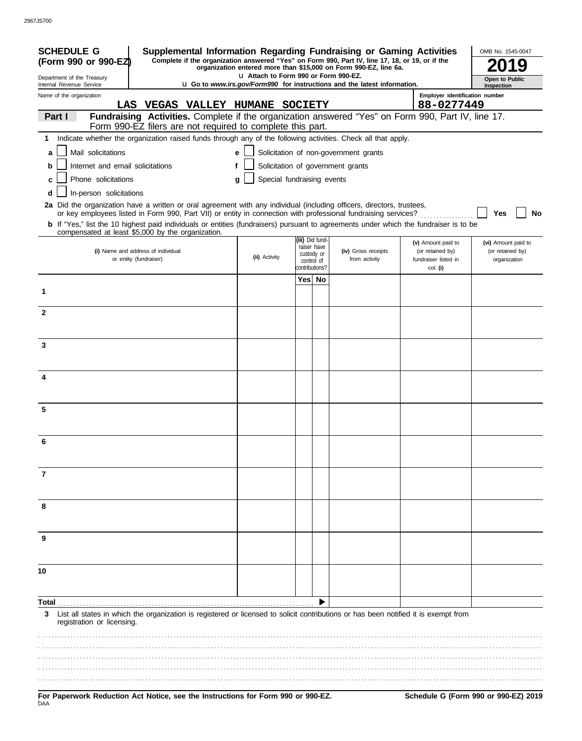| <b>SCHEDULE G</b><br>Supplemental Information Regarding Fundraising or Gaming Activities<br>Complete if the organization answered "Yes" on Form 990, Part IV, line 17, 18, or 19, or if the |                                       |                                |                                                                                 |                                          | OMB No. 1545-0047                    |
|---------------------------------------------------------------------------------------------------------------------------------------------------------------------------------------------|---------------------------------------|--------------------------------|---------------------------------------------------------------------------------|------------------------------------------|--------------------------------------|
| (Form 990 or 990-EZ)                                                                                                                                                                        |                                       |                                | organization entered more than \$15,000 on Form 990-EZ, line 6a.                |                                          |                                      |
| Department of the Treasury<br>Internal Revenue Service                                                                                                                                      | L1 Attach to Form 990 or Form 990-EZ. |                                | <b>u</b> Go to www.irs.gov/Form990 for instructions and the latest information. |                                          | Open to Public<br>Inspection         |
| Name of the organization                                                                                                                                                                    |                                       |                                |                                                                                 | Employer identification number           |                                      |
| LAS VEGAS VALLEY HUMANE SOCIETY                                                                                                                                                             |                                       |                                |                                                                                 | 88-0277449                               |                                      |
| Fundraising Activities. Complete if the organization answered "Yes" on Form 990, Part IV, line 17.<br>Part I<br>Form 990-EZ filers are not required to complete this part.                  |                                       |                                |                                                                                 |                                          |                                      |
| Indicate whether the organization raised funds through any of the following activities. Check all that apply.<br>1.                                                                         |                                       |                                |                                                                                 |                                          |                                      |
| Mail solicitations<br>a                                                                                                                                                                     | e                                     |                                | Solicitation of non-government grants                                           |                                          |                                      |
| Internet and email solicitations<br>b                                                                                                                                                       | f                                     |                                | Solicitation of government grants                                               |                                          |                                      |
| Phone solicitations<br>c                                                                                                                                                                    | Special fundraising events<br>g       |                                |                                                                                 |                                          |                                      |
| In-person solicitations<br>d                                                                                                                                                                |                                       |                                |                                                                                 |                                          |                                      |
| 2a Did the organization have a written or oral agreement with any individual (including officers, directors, trustees,                                                                      |                                       |                                |                                                                                 |                                          |                                      |
| or key employees listed in Form 990, Part VII) or entity in connection with professional fundraising services?                                                                              |                                       |                                |                                                                                 |                                          | No<br>Yes                            |
| b If "Yes," list the 10 highest paid individuals or entities (fundraisers) pursuant to agreements under which the fundraiser is to be<br>compensated at least \$5,000 by the organization.  |                                       |                                |                                                                                 |                                          |                                      |
|                                                                                                                                                                                             |                                       | (iii) Did fund-<br>raiser have |                                                                                 | (v) Amount paid to                       | (vi) Amount paid to                  |
| (i) Name and address of individual<br>or entity (fundraiser)                                                                                                                                | (ii) Activity                         | custody or<br>control of       | (iv) Gross receipts<br>from activity                                            | (or retained by)<br>fundraiser listed in | (or retained by)<br>organization     |
|                                                                                                                                                                                             |                                       | contributions?                 |                                                                                 | col. (i)                                 |                                      |
|                                                                                                                                                                                             |                                       | Yes No                         |                                                                                 |                                          |                                      |
| 1                                                                                                                                                                                           |                                       |                                |                                                                                 |                                          |                                      |
| $\mathbf{2}$                                                                                                                                                                                |                                       |                                |                                                                                 |                                          |                                      |
|                                                                                                                                                                                             |                                       |                                |                                                                                 |                                          |                                      |
|                                                                                                                                                                                             |                                       |                                |                                                                                 |                                          |                                      |
| 3                                                                                                                                                                                           |                                       |                                |                                                                                 |                                          |                                      |
|                                                                                                                                                                                             |                                       |                                |                                                                                 |                                          |                                      |
| 4                                                                                                                                                                                           |                                       |                                |                                                                                 |                                          |                                      |
|                                                                                                                                                                                             |                                       |                                |                                                                                 |                                          |                                      |
| 5                                                                                                                                                                                           |                                       |                                |                                                                                 |                                          |                                      |
|                                                                                                                                                                                             |                                       |                                |                                                                                 |                                          |                                      |
|                                                                                                                                                                                             |                                       |                                |                                                                                 |                                          |                                      |
| 6                                                                                                                                                                                           |                                       |                                |                                                                                 |                                          |                                      |
|                                                                                                                                                                                             |                                       |                                |                                                                                 |                                          |                                      |
| 7                                                                                                                                                                                           |                                       |                                |                                                                                 |                                          |                                      |
|                                                                                                                                                                                             |                                       |                                |                                                                                 |                                          |                                      |
|                                                                                                                                                                                             |                                       |                                |                                                                                 |                                          |                                      |
| 8                                                                                                                                                                                           |                                       |                                |                                                                                 |                                          |                                      |
|                                                                                                                                                                                             |                                       |                                |                                                                                 |                                          |                                      |
| 9                                                                                                                                                                                           |                                       |                                |                                                                                 |                                          |                                      |
|                                                                                                                                                                                             |                                       |                                |                                                                                 |                                          |                                      |
| 10                                                                                                                                                                                          |                                       |                                |                                                                                 |                                          |                                      |
|                                                                                                                                                                                             |                                       |                                |                                                                                 |                                          |                                      |
|                                                                                                                                                                                             |                                       |                                |                                                                                 |                                          |                                      |
| Total                                                                                                                                                                                       |                                       |                                |                                                                                 |                                          |                                      |
| List all states in which the organization is registered or licensed to solicit contributions or has been notified it is exempt from<br>3<br>registration or licensing.                      |                                       |                                |                                                                                 |                                          |                                      |
|                                                                                                                                                                                             |                                       |                                |                                                                                 |                                          |                                      |
|                                                                                                                                                                                             |                                       |                                |                                                                                 |                                          |                                      |
|                                                                                                                                                                                             |                                       |                                |                                                                                 |                                          |                                      |
|                                                                                                                                                                                             |                                       |                                |                                                                                 |                                          |                                      |
| For Panerwork Peduction Act Notice, see the Instructions for Form 000 or 000-F7                                                                                                             |                                       |                                |                                                                                 |                                          | Schodule G (Form 000 or 000-F7) 2010 |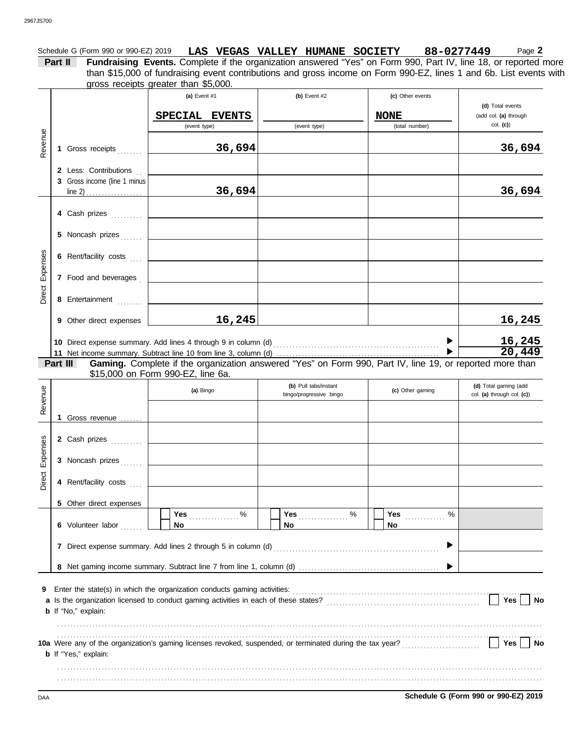|        |                                                       | gross receipts greater than \$5,000.<br>(a) Event $#1$<br>SPECIAL EVENTS<br>(event type)                                                                                                                                       | (b) Event $#2$<br>(event type)                   | (c) Other events<br><b>NONE</b><br>(total number) | (d) Total events<br>(add col. (a) through<br>col. (c) |
|--------|-------------------------------------------------------|--------------------------------------------------------------------------------------------------------------------------------------------------------------------------------------------------------------------------------|--------------------------------------------------|---------------------------------------------------|-------------------------------------------------------|
|        | 1 Gross receipts                                      | 36,694                                                                                                                                                                                                                         |                                                  |                                                   | 36,694                                                |
|        | 2 Less: Contributions<br>3 Gross income (line 1 minus | 36,694                                                                                                                                                                                                                         |                                                  |                                                   | 36,694                                                |
|        | 4 Cash prizes                                         |                                                                                                                                                                                                                                |                                                  |                                                   |                                                       |
|        | 5 Noncash prizes                                      |                                                                                                                                                                                                                                |                                                  |                                                   |                                                       |
|        | 6 Rent/facility costs                                 |                                                                                                                                                                                                                                |                                                  |                                                   |                                                       |
|        | 7 Food and beverages                                  |                                                                                                                                                                                                                                |                                                  |                                                   |                                                       |
|        | 8 Entertainment                                       |                                                                                                                                                                                                                                |                                                  |                                                   |                                                       |
|        |                                                       |                                                                                                                                                                                                                                |                                                  |                                                   |                                                       |
|        | 9 Other direct expenses                               | 16,245                                                                                                                                                                                                                         |                                                  |                                                   | 16,245                                                |
|        | Part III                                              | 10 Direct expense summary. Add lines 4 through 9 in column (d) [11] content content content content and Direct<br>Gaming. Complete if the organization answered "Yes" on Form 990, Part IV, line 19, or reported more than     |                                                  |                                                   | 16,245<br>20,449                                      |
|        |                                                       | \$15,000 on Form 990-EZ, line 6a.<br>(a) Bingo                                                                                                                                                                                 | (b) Pull tabs/instant<br>bingo/progressive bingo | (c) Other gaming                                  | (d) Total gaming (add<br>col. (a) through col. (c))   |
|        | 1 Gross revenue                                       |                                                                                                                                                                                                                                |                                                  |                                                   |                                                       |
|        | 2 Cash prizes<br>. 1                                  |                                                                                                                                                                                                                                |                                                  |                                                   |                                                       |
|        | 3 Noncash prizes                                      |                                                                                                                                                                                                                                |                                                  |                                                   |                                                       |
| Expens | 4 Rent/facility costs                                 |                                                                                                                                                                                                                                |                                                  |                                                   |                                                       |
|        | 5 Other direct expenses                               |                                                                                                                                                                                                                                |                                                  |                                                   |                                                       |
|        | 6 Volunteer labor                                     | %<br>Yes <b>Market</b><br>No                                                                                                                                                                                                   | Yes<br>%<br>No                                   | %<br><b>Yes</b><br>No                             |                                                       |
|        |                                                       | 7 Direct expense summary. Add lines 2 through 5 in column (d) [11] content content content content content and many content and many content and many content and many content and many content and many content and many cont |                                                  |                                                   |                                                       |

**10a** Were any of the organization's gaming licenses revoked, suspended, or terminated during the tax year? . . . . . . . . . . . . . . . . . . . . . . . . .

Vere any of the organization's gaming licenses revoked, suspended, or terminated during the tax year?

. . . . . . . . . . . . . . . . . . . . . . . . . . . . . . . . . . . . . . . . . . . . . . . . . . . . . . . . . . . . . . . . . . . . . . . . . . . . . . . . . . . . . . . . . . . . . . . . . . . . . . . . . . . . . . . . . . . . . . . . . . . . . . . . . . . . . . . . . . . . . . . . . . . . . . . . . . .

**b** If "Yes," explain: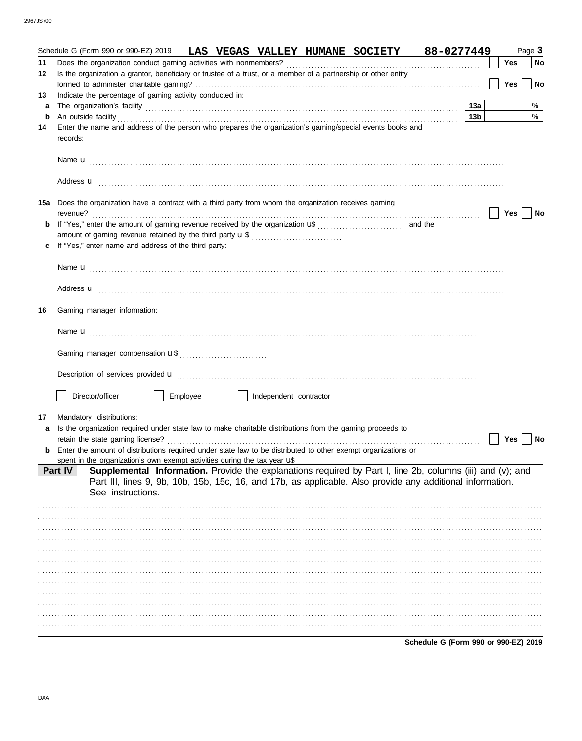|    | Schedule G (Form 990 or 990-EZ) 2019 LAS VEGAS VALLEY HUMANE SOCIETY 88-0277449                                                                                                                    |                 |            | Page 3    |
|----|----------------------------------------------------------------------------------------------------------------------------------------------------------------------------------------------------|-----------------|------------|-----------|
| 11 |                                                                                                                                                                                                    |                 | <b>Yes</b> | <b>No</b> |
| 12 | Is the organization a grantor, beneficiary or trustee of a trust, or a member of a partnership or other entity                                                                                     |                 |            |           |
|    |                                                                                                                                                                                                    |                 | Yes        | <b>No</b> |
| 13 | Indicate the percentage of gaming activity conducted in:                                                                                                                                           |                 |            |           |
| a  |                                                                                                                                                                                                    | 13a             |            | %         |
| b  |                                                                                                                                                                                                    | 13 <sub>b</sub> |            | $\%$      |
| 14 | Enter the name and address of the person who prepares the organization's gaming/special events books and<br>records:                                                                               |                 |            |           |
|    |                                                                                                                                                                                                    |                 |            |           |
|    |                                                                                                                                                                                                    |                 |            |           |
|    | 15a Does the organization have a contract with a third party from whom the organization receives gaming<br>revenue?                                                                                |                 | Yes        | No        |
|    |                                                                                                                                                                                                    |                 |            |           |
|    | amount of gaming revenue retained by the third party <b>u</b> \$                                                                                                                                   |                 |            |           |
|    | If "Yes," enter name and address of the third party:                                                                                                                                               |                 |            |           |
|    |                                                                                                                                                                                                    |                 |            |           |
|    |                                                                                                                                                                                                    |                 |            |           |
|    | Address <b>u</b>                                                                                                                                                                                   |                 |            |           |
| 16 | Gaming manager information:                                                                                                                                                                        |                 |            |           |
|    |                                                                                                                                                                                                    |                 |            |           |
|    |                                                                                                                                                                                                    |                 |            |           |
|    |                                                                                                                                                                                                    |                 |            |           |
|    |                                                                                                                                                                                                    |                 |            |           |
|    | Director/officer<br>Employee<br><b>Contract Contract State</b><br>Independent contractor                                                                                                           |                 |            |           |
|    |                                                                                                                                                                                                    |                 |            |           |
| 17 | Mandatory distributions:                                                                                                                                                                           |                 |            |           |
| a  | Is the organization required under state law to make charitable distributions from the gaming proceeds to                                                                                          |                 |            |           |
|    | retain the state gaming license?                                                                                                                                                                   |                 | Yes        | No        |
|    | <b>b</b> Enter the amount of distributions required under state law to be distributed to other exempt organizations or                                                                             |                 |            |           |
|    | spent in the organization's own exempt activities during the tax year uff<br>Supplemental Information. Provide the explanations required by Part I, line 2b, columns (iii) and (v); and<br>Part IV |                 |            |           |
|    | Part III, lines 9, 9b, 10b, 15b, 15c, 16, and 17b, as applicable. Also provide any additional information.<br>See instructions.                                                                    |                 |            |           |
|    |                                                                                                                                                                                                    |                 |            |           |
|    |                                                                                                                                                                                                    |                 |            |           |
|    |                                                                                                                                                                                                    |                 |            |           |
|    |                                                                                                                                                                                                    |                 |            |           |
|    |                                                                                                                                                                                                    |                 |            |           |
|    |                                                                                                                                                                                                    |                 |            |           |
|    |                                                                                                                                                                                                    |                 |            |           |
|    |                                                                                                                                                                                                    |                 |            |           |
|    |                                                                                                                                                                                                    |                 |            |           |
|    |                                                                                                                                                                                                    |                 |            |           |
|    |                                                                                                                                                                                                    |                 |            |           |
|    |                                                                                                                                                                                                    |                 |            |           |
|    | Schedule G (Form 990 or 990-EZ) 2019                                                                                                                                                               |                 |            |           |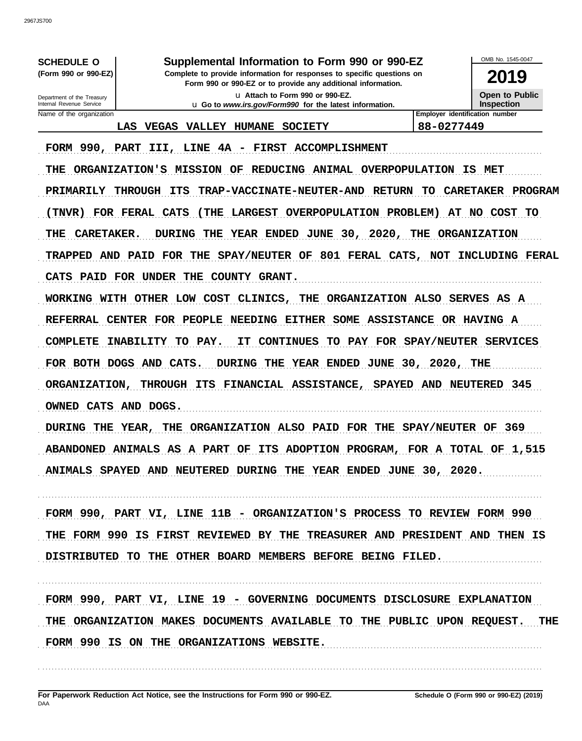| <b>SCHEDULE O</b><br>(Form 990 or 990-EZ)              | Supplemental Information to Form 990 or 990-EZ<br>Complete to provide information for responses to specific questions on |                                 | 2019                           |
|--------------------------------------------------------|--------------------------------------------------------------------------------------------------------------------------|---------------------------------|--------------------------------|
|                                                        | Form 990 or 990-EZ or to provide any additional information.<br>11 Attach to Form 990 or 990-EZ.                         |                                 | <b>Open to Public</b>          |
| Department of the Treasury<br>Internal Revenue Service | u Go to www.irs.gov/Form990 for the latest information.                                                                  |                                 | <b>Inspection</b>              |
| Name of the organization<br>LAS                        | <b>VEGAS</b><br><b>VALLEY HUMANE</b><br><b>SOCIETY</b>                                                                   | 88-0277449                      | Employer identification number |
|                                                        | FORM 990, PART III, LINE 4A - FIRST ACCOMPLISHMENT                                                                       |                                 |                                |
|                                                        |                                                                                                                          |                                 |                                |
|                                                        | THE ORGANIZATION'S MISSION OF REDUCING ANIMAL OVERPOPULATION                                                             |                                 | IS<br>MET                      |
| <b>PRIMARILY THROUGH</b>                               | ITS<br><b>TRAP-VACCINATE-NEUTER-AND</b>                                                                                  | <b>RETURN</b><br>TO.            | CARETAKER PROGRAM              |
| <b>FOR FERAL CATS</b><br>TNVR)                         | LARGEST OVERPOPULATION PROBLEM)<br>( THE                                                                                 | AT                              | NO COST TO                     |
| <b>CARETAKER.</b><br>THE                               | YEAR ENDED JUNE 30, 2020, THE ORGANIZATION<br><b>DURING</b><br>THE                                                       |                                 |                                |
| TRAPPED                                                | AND PAID FOR THE SPAY/NEUTER OF 801 FERAL CATS, NOT INCLUDING FERAL                                                      |                                 |                                |
| CATS PAID FOR UNDER THE                                | COUNTY GRANT.                                                                                                            |                                 |                                |
|                                                        | WORKING WITH OTHER LOW COST CLINICS, THE ORGANIZATION ALSO SERVES AS A                                                   |                                 |                                |
| REFERRAL CENTER FOR PEOPLE                             | NEEDING EITHER SOME ASSISTANCE OR HAVING A                                                                               |                                 |                                |
| <b>COMPLETE</b><br><b>INABILITY</b>                    | TO PAY.<br>IT.<br><b>CONTINUES</b>                                                                                       | TO PAY FOR SPAY/NEUTER SERVICES |                                |
| FOR BOTH DOGS AND                                      | <b>CATS.</b><br>DURING THE<br>YEAR ENDED JUNE 30, 2020, THE                                                              |                                 |                                |
| <b>ORGANIZATION,</b>                                   | THROUGH ITS FINANCIAL ASSISTANCE, SPAYED AND NEUTERED 345                                                                |                                 |                                |
| OWNED CATS AND                                         | DOGS.                                                                                                                    |                                 |                                |
| THE                                                    |                                                                                                                          |                                 |                                |
| DURING<br><b>YEAR,</b>                                 | THE<br>ORGANIZATION ALSO PAID FOR THE                                                                                    | <b>SPAY/NEUTER</b>              | -369<br>OF                     |
|                                                        | ABANDONED ANIMALS AS A PART OF ITS ADOPTION PROGRAM, FOR A TOTAL OF 1,515                                                |                                 |                                |
|                                                        | ANIMALS SPAYED AND NEUTERED DURING THE YEAR ENDED JUNE 30, 2020.                                                         |                                 |                                |
|                                                        |                                                                                                                          |                                 |                                |
|                                                        | FORM 990, PART VI, LINE 11B - ORGANIZATION'S PROCESS TO REVIEW FORM 990                                                  |                                 |                                |
|                                                        | THE FORM 990 IS FIRST REVIEWED BY THE TREASURER AND PRESIDENT AND THEN IS                                                |                                 |                                |
|                                                        | DISTRIBUTED TO THE OTHER BOARD MEMBERS BEFORE BEING FILED.                                                               |                                 |                                |
|                                                        |                                                                                                                          |                                 |                                |
|                                                        | FORM 990, PART VI, LINE 19 - GOVERNING DOCUMENTS DISCLOSURE EXPLANATION                                                  |                                 |                                |
|                                                        | THE ORGANIZATION MAKES DOCUMENTS AVAILABLE TO THE PUBLIC UPON REQUEST. THE                                               |                                 |                                |
|                                                        |                                                                                                                          |                                 |                                |